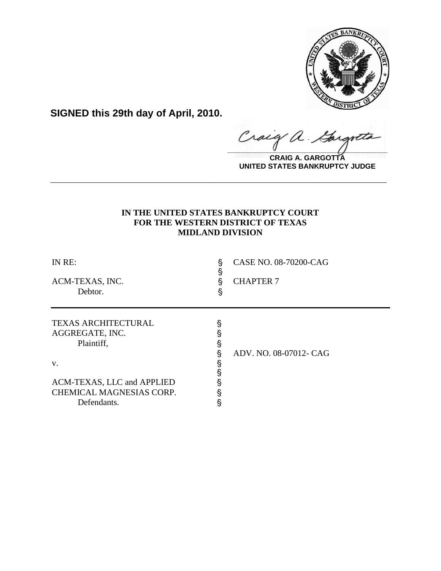

**SIGNED this 29th day of April, 2010.**

Craig a. Gargote

**CRAIG A. GARGOTTA UNITED STATES BANKRUPTCY JUDGE**

# **IN THE UNITED STATES BANKRUPTCY COURT FOR THE WESTERN DISTRICT OF TEXAS MIDLAND DIVISION**

**\_\_\_\_\_\_\_\_\_\_\_\_\_\_\_\_\_\_\_\_\_\_\_\_\_\_\_\_\_\_\_\_\_\_\_\_\_\_\_\_\_\_\_\_\_\_\_\_\_\_\_\_\_\_\_\_\_\_\_\_**

| IN RE:<br>ACM-TEXAS, INC.<br>Debtor.                                                                                                       | §<br>§<br>§<br>§                     | CASE NO. 08-70200-CAG<br><b>CHAPTER 7</b> |
|--------------------------------------------------------------------------------------------------------------------------------------------|--------------------------------------|-------------------------------------------|
| <b>TEXAS ARCHITECTURAL</b><br>AGGREGATE, INC.<br>Plaintiff,<br>V.<br>ACM-TEXAS, LLC and APPLIED<br>CHEMICAL MAGNESIAS CORP.<br>Defendants. | §<br>§<br>§<br>§<br>§<br>§<br>§<br>§ | ADV. NO. 08-07012- CAG                    |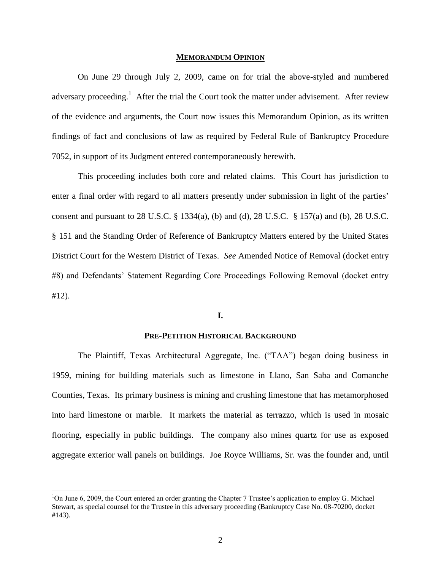#### **MEMORANDUM OPINION**

On June 29 through July 2, 2009, came on for trial the above-styled and numbered adversary proceeding.<sup>1</sup> After the trial the Court took the matter under advisement. After review of the evidence and arguments, the Court now issues this Memorandum Opinion, as its written findings of fact and conclusions of law as required by Federal Rule of Bankruptcy Procedure 7052, in support of its Judgment entered contemporaneously herewith.

This proceeding includes both core and related claims. This Court has jurisdiction to enter a final order with regard to all matters presently under submission in light of the parties' consent and pursuant to 28 U.S.C. § 1334(a), (b) and (d), 28 U.S.C. § 157(a) and (b), 28 U.S.C. § 151 and the Standing Order of Reference of Bankruptcy Matters entered by the United States District Court for the Western District of Texas. *See* Amended Notice of Removal (docket entry #8) and Defendants' Statement Regarding Core Proceedings Following Removal (docket entry #12).

### **I.**

# **PRE-PETITION HISTORICAL BACKGROUND**

The Plaintiff, Texas Architectural Aggregate, Inc. ("TAA") began doing business in 1959, mining for building materials such as limestone in Llano, San Saba and Comanche Counties, Texas. Its primary business is mining and crushing limestone that has metamorphosed into hard limestone or marble. It markets the material as terrazzo, which is used in mosaic flooring, especially in public buildings. The company also mines quartz for use as exposed aggregate exterior wall panels on buildings.Joe Royce Williams, Sr. was the founder and, until

l

<sup>&</sup>lt;sup>1</sup>On June 6, 2009, the Court entered an order granting the Chapter 7 Trustee's application to employ G. Michael Stewart, as special counsel for the Trustee in this adversary proceeding (Bankruptcy Case No. 08-70200, docket #143).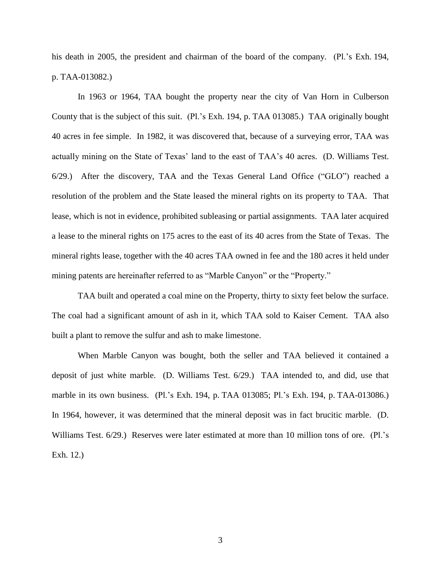his death in 2005, the president and chairman of the board of the company. (Pl.'s Exh. 194, p. TAA-013082.)

In 1963 or 1964, TAA bought the property near the city of Van Horn in Culberson County that is the subject of this suit. (Pl.'s Exh. 194, p. TAA 013085.) TAA originally bought 40 acres in fee simple. In 1982, it was discovered that, because of a surveying error, TAA was actually mining on the State of Texas' land to the east of TAA's 40 acres. (D. Williams Test. 6/29.) After the discovery, TAA and the Texas General Land Office ("GLO") reached a resolution of the problem and the State leased the mineral rights on its property to TAA. That lease, which is not in evidence, prohibited subleasing or partial assignments. TAA later acquired a lease to the mineral rights on 175 acres to the east of its 40 acres from the State of Texas. The mineral rights lease, together with the 40 acres TAA owned in fee and the 180 acres it held under mining patents are hereinafter referred to as "Marble Canyon" or the "Property."

TAA built and operated a coal mine on the Property, thirty to sixty feet below the surface. The coal had a significant amount of ash in it, which TAA sold to Kaiser Cement. TAA also built a plant to remove the sulfur and ash to make limestone.

When Marble Canyon was bought, both the seller and TAA believed it contained a deposit of just white marble. (D. Williams Test. 6/29.) TAA intended to, and did, use that marble in its own business. (Pl.'s Exh. 194, p. TAA 013085; Pl.'s Exh. 194, p. TAA-013086.) In 1964, however, it was determined that the mineral deposit was in fact brucitic marble. (D. Williams Test. 6/29.) Reserves were later estimated at more than 10 million tons of ore. (Pl.'s Exh. 12.)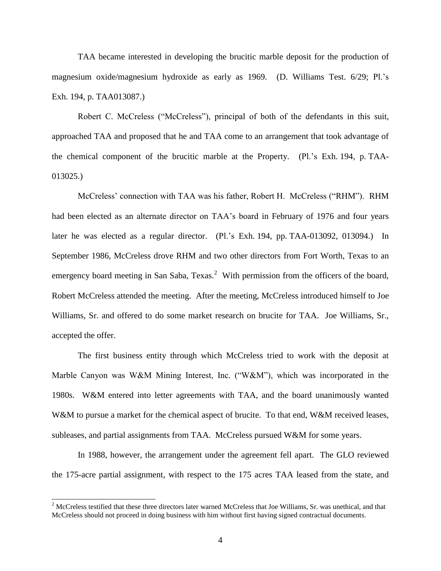TAA became interested in developing the brucitic marble deposit for the production of magnesium oxide/magnesium hydroxide as early as 1969. (D. Williams Test. 6/29; Pl.'s Exh. 194, p. TAA013087.)

Robert C. McCreless ("McCreless"), principal of both of the defendants in this suit, approached TAA and proposed that he and TAA come to an arrangement that took advantage of the chemical component of the brucitic marble at the Property. (Pl.'s Exh. 194, p. TAA-013025.)

McCreless' connection with TAA was his father, Robert H. McCreless ("RHM"). RHM had been elected as an alternate director on TAA's board in February of 1976 and four years later he was elected as a regular director. (Pl.'s Exh. 194, pp. TAA-013092, 013094.) In September 1986, McCreless drove RHM and two other directors from Fort Worth, Texas to an emergency board meeting in San Saba,  $T$ exas.<sup>2</sup> With permission from the officers of the board, Robert McCreless attended the meeting. After the meeting, McCreless introduced himself to Joe Williams, Sr. and offered to do some market research on brucite for TAA. Joe Williams, Sr., accepted the offer.

The first business entity through which McCreless tried to work with the deposit at Marble Canyon was W&M Mining Interest, Inc. ("W&M"), which was incorporated in the 1980s. W&M entered into letter agreements with TAA, and the board unanimously wanted W&M to pursue a market for the chemical aspect of brucite. To that end, W&M received leases, subleases, and partial assignments from TAA. McCreless pursued W&M for some years.

In 1988, however, the arrangement under the agreement fell apart. The GLO reviewed the 175-acre partial assignment, with respect to the 175 acres TAA leased from the state, and

 $\overline{a}$ 

 $2^{2}$  McCreless testified that these three directors later warned McCreless that Joe Williams, Sr. was unethical, and that McCreless should not proceed in doing business with him without first having signed contractual documents.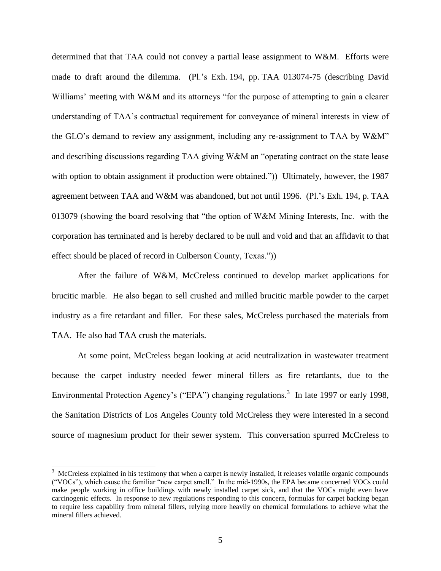determined that that TAA could not convey a partial lease assignment to W&M. Efforts were made to draft around the dilemma. (Pl.'s Exh. 194, pp. TAA 013074-75 (describing David Williams' meeting with W&M and its attorneys "for the purpose of attempting to gain a clearer understanding of TAA's contractual requirement for conveyance of mineral interests in view of the GLO's demand to review any assignment, including any re-assignment to TAA by  $W\&M$ " and describing discussions regarding TAA giving W&M an "operating contract on the state lease with option to obtain assignment if production were obtained.")) Ultimately, however, the 1987 agreement between TAA and W&M was abandoned, but not until 1996. (Pl.'s Exh. 194, p. TAA 013079 (showing the board resolving that "the option of W&M Mining Interests, Inc. with the corporation has terminated and is hereby declared to be null and void and that an affidavit to that effect should be placed of record in Culberson County, Texas.")

After the failure of W&M, McCreless continued to develop market applications for brucitic marble. He also began to sell crushed and milled brucitic marble powder to the carpet industry as a fire retardant and filler. For these sales, McCreless purchased the materials from TAA. He also had TAA crush the materials.

At some point, McCreless began looking at acid neutralization in wastewater treatment because the carpet industry needed fewer mineral fillers as fire retardants, due to the Environmental Protection Agency's ("EPA") changing regulations.<sup>3</sup> In late 1997 or early 1998, the Sanitation Districts of Los Angeles County told McCreless they were interested in a second source of magnesium product for their sewer system. This conversation spurred McCreless to

 $\overline{a}$ 

 $3$  McCreless explained in his testimony that when a carpet is newly installed, it releases volatile organic compounds (―VOCs‖), which cause the familiar ―new carpet smell.‖ In the mid-1990s, the EPA became concerned VOCs could make people working in office buildings with newly installed carpet sick, and that the VOCs might even have carcinogenic effects. In response to new regulations responding to this concern, formulas for carpet backing began to require less capability from mineral fillers, relying more heavily on chemical formulations to achieve what the mineral fillers achieved.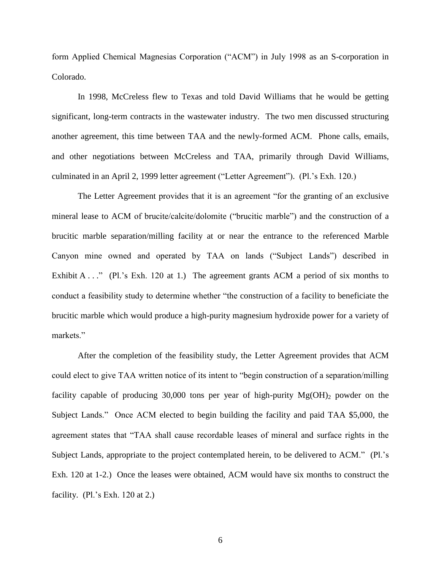form Applied Chemical Magnesias Corporation ("ACM") in July 1998 as an S-corporation in Colorado.

In 1998, McCreless flew to Texas and told David Williams that he would be getting significant, long-term contracts in the wastewater industry. The two men discussed structuring another agreement, this time between TAA and the newly-formed ACM. Phone calls, emails, and other negotiations between McCreless and TAA, primarily through David Williams, culminated in an April 2, 1999 letter agreement ("Letter Agreement"). (Pl.'s Exh. 120.)

The Letter Agreement provides that it is an agreement "for the granting of an exclusive mineral lease to ACM of brucite/calcite/dolomite ("brucitic marble") and the construction of a brucitic marble separation/milling facility at or near the entrance to the referenced Marble Canyon mine owned and operated by TAA on lands ("Subject Lands") described in Exhibit A  $\ldots$  " (Pl.'s Exh. 120 at 1.) The agreement grants ACM a period of six months to conduct a feasibility study to determine whether "the construction of a facility to beneficiate the brucitic marble which would produce a high-purity magnesium hydroxide power for a variety of markets."

After the completion of the feasibility study, the Letter Agreement provides that ACM could elect to give TAA written notice of its intent to "begin construction of a separation/milling facility capable of producing 30,000 tons per year of high-purity  $Mg(OH)$ <sub>2</sub> powder on the Subject Lands." Once ACM elected to begin building the facility and paid TAA \$5,000, the agreement states that "TAA shall cause recordable leases of mineral and surface rights in the Subject Lands, appropriate to the project contemplated herein, to be delivered to ACM." (Pl.'s Exh. 120 at 1-2.) Once the leases were obtained, ACM would have six months to construct the facility. (Pl.'s Exh. 120 at 2.)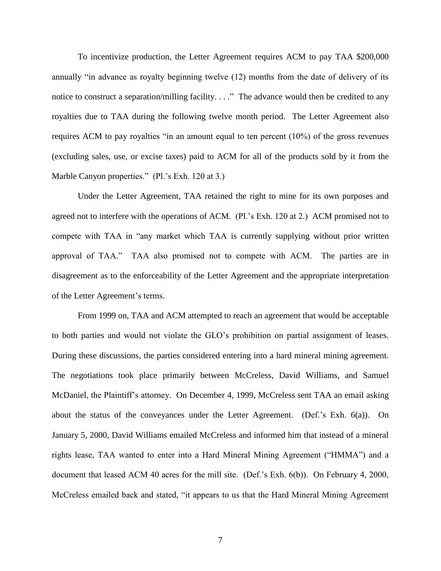To incentivize production, the Letter Agreement requires ACM to pay TAA \$200,000 annually "in advance as royalty beginning twelve (12) months from the date of delivery of its notice to construct a separation/milling facility.  $\ldots$ ." The advance would then be credited to any royalties due to TAA during the following twelve month period. The Letter Agreement also requires ACM to pay royalties "in an amount equal to ten percent  $(10\%)$  of the gross revenues (excluding sales, use, or excise taxes) paid to ACM for all of the products sold by it from the Marble Canyon properties." (Pl.'s Exh. 120 at 3.)

Under the Letter Agreement, TAA retained the right to mine for its own purposes and agreed not to interfere with the operations of ACM. (Pl.'s Exh. 120 at 2.) ACM promised not to compete with TAA in "any market which TAA is currently supplying without prior written approval of TAA." TAA also promised not to compete with ACM. The parties are in disagreement as to the enforceability of the Letter Agreement and the appropriate interpretation of the Letter Agreement's terms.

From 1999 on, TAA and ACM attempted to reach an agreement that would be acceptable to both parties and would not violate the GLO's prohibition on partial assignment of leases. During these discussions, the parties considered entering into a hard mineral mining agreement. The negotiations took place primarily between McCreless, David Williams, and Samuel McDaniel, the Plaintiff's attorney. On December 4, 1999, McCreless sent TAA an email asking about the status of the conveyances under the Letter Agreement. (Def.'s Exh. 6(a)). On January 5, 2000, David Williams emailed McCreless and informed him that instead of a mineral rights lease, TAA wanted to enter into a Hard Mineral Mining Agreement ("HMMA") and a document that leased ACM 40 acres for the mill site. (Def.'s Exh. 6(b)). On February 4, 2000, McCreless emailed back and stated, "it appears to us that the Hard Mineral Mining Agreement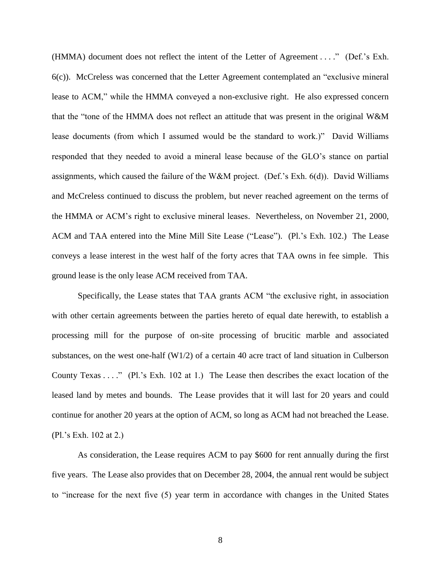(HMMA) document does not reflect the intent of the Letter of Agreement . . . ." (Def.'s Exh.  $6(c)$ ). McCreless was concerned that the Letter Agreement contemplated an "exclusive mineral lease to ACM," while the HMMA conveyed a non-exclusive right. He also expressed concern that the "tone of the HMMA does not reflect an attitude that was present in the original W&M lease documents (from which I assumed would be the standard to work.)" David Williams responded that they needed to avoid a mineral lease because of the GLO's stance on partial assignments, which caused the failure of the W&M project. (Def.'s Exh. 6(d)). David Williams and McCreless continued to discuss the problem, but never reached agreement on the terms of the HMMA or ACM's right to exclusive mineral leases. Nevertheless, on November 21, 2000, ACM and TAA entered into the Mine Mill Site Lease ("Lease"). (Pl.'s Exh. 102.) The Lease conveys a lease interest in the west half of the forty acres that TAA owns in fee simple. This ground lease is the only lease ACM received from TAA.

Specifically, the Lease states that TAA grants ACM "the exclusive right, in association with other certain agreements between the parties hereto of equal date herewith, to establish a processing mill for the purpose of on-site processing of brucitic marble and associated substances, on the west one-half (W1/2) of a certain 40 acre tract of land situation in Culberson County Texas  $\dots$ ." (Pl.'s Exh. 102 at 1.) The Lease then describes the exact location of the leased land by metes and bounds. The Lease provides that it will last for 20 years and could continue for another 20 years at the option of ACM, so long as ACM had not breached the Lease. (Pl.'s Exh. 102 at 2.)

As consideration, the Lease requires ACM to pay \$600 for rent annually during the first five years. The Lease also provides that on December 28, 2004, the annual rent would be subject to "increase for the next five (5) year term in accordance with changes in the United States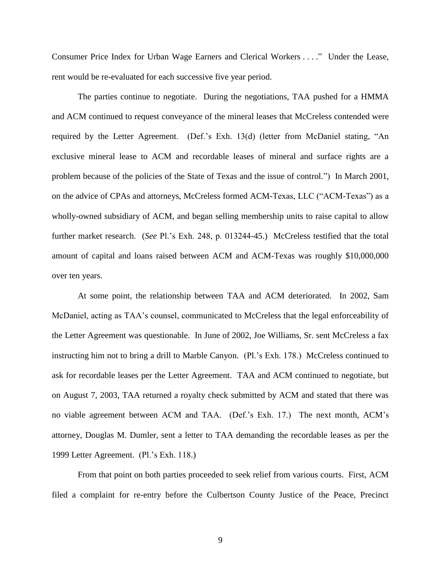Consumer Price Index for Urban Wage Earners and Clerical Workers . . . ." Under the Lease, rent would be re-evaluated for each successive five year period.

The parties continue to negotiate. During the negotiations, TAA pushed for a HMMA and ACM continued to request conveyance of the mineral leases that McCreless contended were required by the Letter Agreement. (Def.'s Exh. 13(d) (letter from McDaniel stating, "An exclusive mineral lease to ACM and recordable leases of mineral and surface rights are a problem because of the policies of the State of Texas and the issue of control.") In March 2001, on the advice of CPAs and attorneys, McCreless formed ACM-Texas, LLC ("ACM-Texas") as a wholly-owned subsidiary of ACM, and began selling membership units to raise capital to allow further market research. (*See* Pl.'s Exh. 248, p. 013244-45.) McCreless testified that the total amount of capital and loans raised between ACM and ACM-Texas was roughly \$10,000,000 over ten years.

At some point, the relationship between TAA and ACM deteriorated. In 2002, Sam McDaniel, acting as TAA's counsel, communicated to McCreless that the legal enforceability of the Letter Agreement was questionable. In June of 2002, Joe Williams, Sr. sent McCreless a fax instructing him not to bring a drill to Marble Canyon. (Pl.'s Exh. 178.) McCreless continued to ask for recordable leases per the Letter Agreement. TAA and ACM continued to negotiate, but on August 7, 2003, TAA returned a royalty check submitted by ACM and stated that there was no viable agreement between ACM and TAA. (Def.'s Exh. 17.) The next month, ACM's attorney, Douglas M. Dumler, sent a letter to TAA demanding the recordable leases as per the 1999 Letter Agreement. (Pl.'s Exh. 118.)

From that point on both parties proceeded to seek relief from various courts. First, ACM filed a complaint for re-entry before the Culbertson County Justice of the Peace, Precinct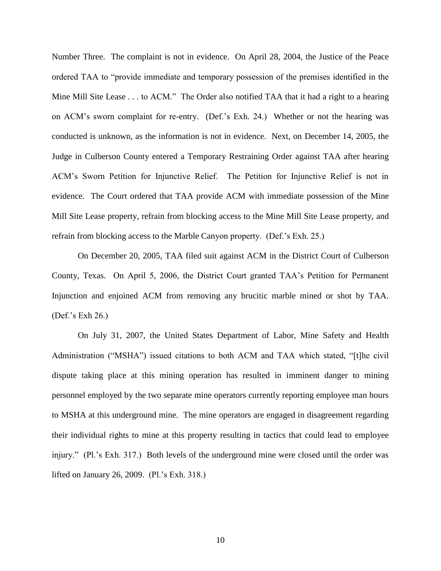Number Three. The complaint is not in evidence. On April 28, 2004, the Justice of the Peace ordered TAA to "provide immediate and temporary possession of the premises identified in the Mine Mill Site Lease . . . to ACM." The Order also notified TAA that it had a right to a hearing on ACM's sworn complaint for re-entry. (Def.'s Exh. 24.) Whether or not the hearing was conducted is unknown, as the information is not in evidence. Next, on December 14, 2005, the Judge in Culberson County entered a Temporary Restraining Order against TAA after hearing ACM's Sworn Petition for Injunctive Relief. The Petition for Injunctive Relief is not in evidence. The Court ordered that TAA provide ACM with immediate possession of the Mine Mill Site Lease property, refrain from blocking access to the Mine Mill Site Lease property, and refrain from blocking access to the Marble Canyon property. (Def.'s Exh. 25.)

On December 20, 2005, TAA filed suit against ACM in the District Court of Culberson County, Texas. On April 5, 2006, the District Court granted TAA's Petition for Permanent Injunction and enjoined ACM from removing any brucitic marble mined or shot by TAA. (Def.'s Exh 26.)

On July 31, 2007, the United States Department of Labor, Mine Safety and Health Administration ("MSHA") issued citations to both ACM and TAA which stated, "[t]he civil dispute taking place at this mining operation has resulted in imminent danger to mining personnel employed by the two separate mine operators currently reporting employee man hours to MSHA at this underground mine. The mine operators are engaged in disagreement regarding their individual rights to mine at this property resulting in tactics that could lead to employee injury." (Pl.'s Exh. 317.) Both levels of the underground mine were closed until the order was lifted on January 26, 2009. (Pl.'s Exh. 318.)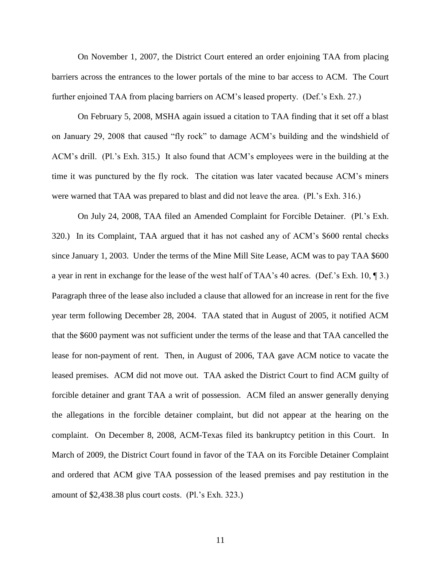On November 1, 2007, the District Court entered an order enjoining TAA from placing barriers across the entrances to the lower portals of the mine to bar access to ACM. The Court further enjoined TAA from placing barriers on ACM's leased property. (Def.'s Exh. 27.)

On February 5, 2008, MSHA again issued a citation to TAA finding that it set off a blast on January 29, 2008 that caused "fly rock" to damage ACM's building and the windshield of ACM's drill. (Pl.'s Exh. 315.) It also found that ACM's employees were in the building at the time it was punctured by the fly rock. The citation was later vacated because ACM's miners were warned that TAA was prepared to blast and did not leave the area. (Pl.'s Exh. 316.)

On July 24, 2008, TAA filed an Amended Complaint for Forcible Detainer. (Pl.'s Exh. 320.) In its Complaint, TAA argued that it has not cashed any of ACM's \$600 rental checks since January 1, 2003. Under the terms of the Mine Mill Site Lease, ACM was to pay TAA \$600 a year in rent in exchange for the lease of the west half of TAA's 40 acres. (Def.'s Exh. 10, ¶ 3.) Paragraph three of the lease also included a clause that allowed for an increase in rent for the five year term following December 28, 2004. TAA stated that in August of 2005, it notified ACM that the \$600 payment was not sufficient under the terms of the lease and that TAA cancelled the lease for non-payment of rent. Then, in August of 2006, TAA gave ACM notice to vacate the leased premises. ACM did not move out. TAA asked the District Court to find ACM guilty of forcible detainer and grant TAA a writ of possession. ACM filed an answer generally denying the allegations in the forcible detainer complaint, but did not appear at the hearing on the complaint. On December 8, 2008, ACM-Texas filed its bankruptcy petition in this Court. In March of 2009, the District Court found in favor of the TAA on its Forcible Detainer Complaint and ordered that ACM give TAA possession of the leased premises and pay restitution in the amount of \$2,438.38 plus court costs. (Pl.'s Exh. 323.)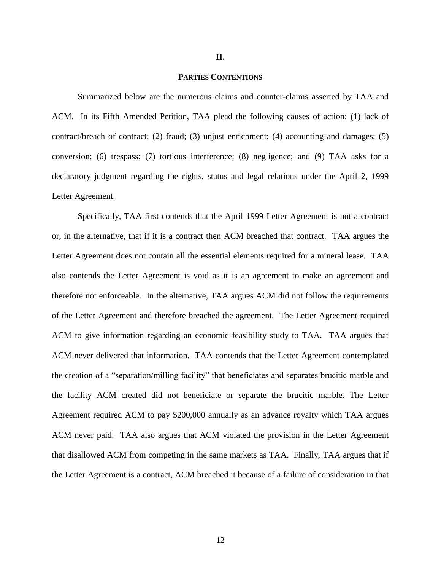#### **II.**

## **PARTIES CONTENTIONS**

Summarized below are the numerous claims and counter-claims asserted by TAA and ACM. In its Fifth Amended Petition, TAA plead the following causes of action: (1) lack of contract/breach of contract; (2) fraud; (3) unjust enrichment; (4) accounting and damages; (5) conversion; (6) trespass; (7) tortious interference; (8) negligence; and (9) TAA asks for a declaratory judgment regarding the rights, status and legal relations under the April 2, 1999 Letter Agreement.

Specifically, TAA first contends that the April 1999 Letter Agreement is not a contract or, in the alternative, that if it is a contract then ACM breached that contract. TAA argues the Letter Agreement does not contain all the essential elements required for a mineral lease. TAA also contends the Letter Agreement is void as it is an agreement to make an agreement and therefore not enforceable. In the alternative, TAA argues ACM did not follow the requirements of the Letter Agreement and therefore breached the agreement. The Letter Agreement required ACM to give information regarding an economic feasibility study to TAA. TAA argues that ACM never delivered that information. TAA contends that the Letter Agreement contemplated the creation of a "separation/milling facility" that beneficiates and separates brucitic marble and the facility ACM created did not beneficiate or separate the brucitic marble. The Letter Agreement required ACM to pay \$200,000 annually as an advance royalty which TAA argues ACM never paid. TAA also argues that ACM violated the provision in the Letter Agreement that disallowed ACM from competing in the same markets as TAA. Finally, TAA argues that if the Letter Agreement is a contract, ACM breached it because of a failure of consideration in that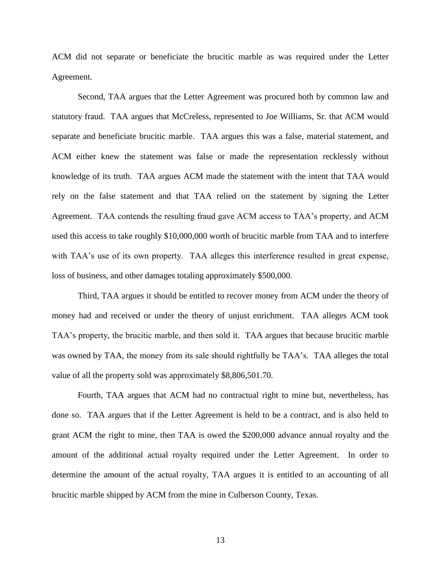ACM did not separate or beneficiate the brucitic marble as was required under the Letter Agreement.

Second, TAA argues that the Letter Agreement was procured both by common law and statutory fraud. TAA argues that McCreless, represented to Joe Williams, Sr. that ACM would separate and beneficiate brucitic marble. TAA argues this was a false, material statement, and ACM either knew the statement was false or made the representation recklessly without knowledge of its truth. TAA argues ACM made the statement with the intent that TAA would rely on the false statement and that TAA relied on the statement by signing the Letter Agreement. TAA contends the resulting fraud gave ACM access to TAA's property, and ACM used this access to take roughly \$10,000,000 worth of brucitic marble from TAA and to interfere with TAA's use of its own property. TAA alleges this interference resulted in great expense, loss of business, and other damages totaling approximately \$500,000.

Third, TAA argues it should be entitled to recover money from ACM under the theory of money had and received or under the theory of unjust enrichment. TAA alleges ACM took TAA's property, the brucitic marble, and then sold it. TAA argues that because brucitic marble was owned by TAA, the money from its sale should rightfully be TAA's. TAA alleges the total value of all the property sold was approximately \$8,806,501.70.

Fourth, TAA argues that ACM had no contractual right to mine but, nevertheless, has done so. TAA argues that if the Letter Agreement is held to be a contract, and is also held to grant ACM the right to mine, then TAA is owed the \$200,000 advance annual royalty and the amount of the additional actual royalty required under the Letter Agreement. In order to determine the amount of the actual royalty, TAA argues it is entitled to an accounting of all brucitic marble shipped by ACM from the mine in Culberson County, Texas.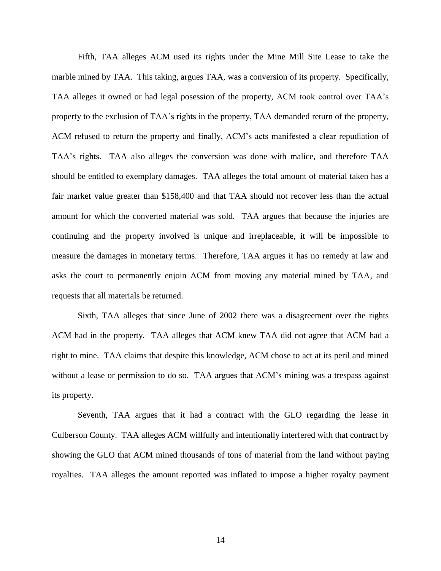Fifth, TAA alleges ACM used its rights under the Mine Mill Site Lease to take the marble mined by TAA. This taking, argues TAA, was a conversion of its property. Specifically, TAA alleges it owned or had legal posession of the property, ACM took control over TAA's property to the exclusion of TAA's rights in the property, TAA demanded return of the property, ACM refused to return the property and finally, ACM's acts manifested a clear repudiation of TAA's rights. TAA also alleges the conversion was done with malice, and therefore TAA should be entitled to exemplary damages. TAA alleges the total amount of material taken has a fair market value greater than \$158,400 and that TAA should not recover less than the actual amount for which the converted material was sold. TAA argues that because the injuries are continuing and the property involved is unique and irreplaceable, it will be impossible to measure the damages in monetary terms. Therefore, TAA argues it has no remedy at law and asks the court to permanently enjoin ACM from moving any material mined by TAA, and requests that all materials be returned.

Sixth, TAA alleges that since June of 2002 there was a disagreement over the rights ACM had in the property. TAA alleges that ACM knew TAA did not agree that ACM had a right to mine. TAA claims that despite this knowledge, ACM chose to act at its peril and mined without a lease or permission to do so. TAA argues that ACM's mining was a trespass against its property.

Seventh, TAA argues that it had a contract with the GLO regarding the lease in Culberson County. TAA alleges ACM willfully and intentionally interfered with that contract by showing the GLO that ACM mined thousands of tons of material from the land without paying royalties. TAA alleges the amount reported was inflated to impose a higher royalty payment

14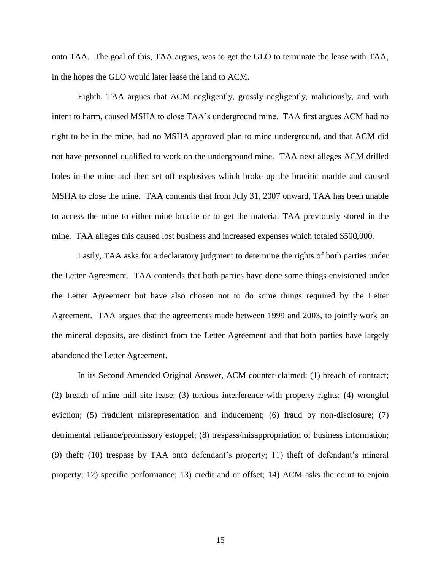onto TAA. The goal of this, TAA argues, was to get the GLO to terminate the lease with TAA, in the hopes the GLO would later lease the land to ACM.

Eighth, TAA argues that ACM negligently, grossly negligently, maliciously, and with intent to harm, caused MSHA to close TAA's underground mine. TAA first argues ACM had no right to be in the mine, had no MSHA approved plan to mine underground, and that ACM did not have personnel qualified to work on the underground mine. TAA next alleges ACM drilled holes in the mine and then set off explosives which broke up the brucitic marble and caused MSHA to close the mine. TAA contends that from July 31, 2007 onward, TAA has been unable to access the mine to either mine brucite or to get the material TAA previously stored in the mine. TAA alleges this caused lost business and increased expenses which totaled \$500,000.

Lastly, TAA asks for a declaratory judgment to determine the rights of both parties under the Letter Agreement. TAA contends that both parties have done some things envisioned under the Letter Agreement but have also chosen not to do some things required by the Letter Agreement. TAA argues that the agreements made between 1999 and 2003, to jointly work on the mineral deposits, are distinct from the Letter Agreement and that both parties have largely abandoned the Letter Agreement.

In its Second Amended Original Answer, ACM counter-claimed: (1) breach of contract; (2) breach of mine mill site lease; (3) tortious interference with property rights; (4) wrongful eviction; (5) fradulent misrepresentation and inducement; (6) fraud by non-disclosure; (7) detrimental reliance/promissory estoppel; (8) trespass/misappropriation of business information; (9) theft; (10) trespass by TAA onto defendant's property; 11) theft of defendant's mineral property; 12) specific performance; 13) credit and or offset; 14) ACM asks the court to enjoin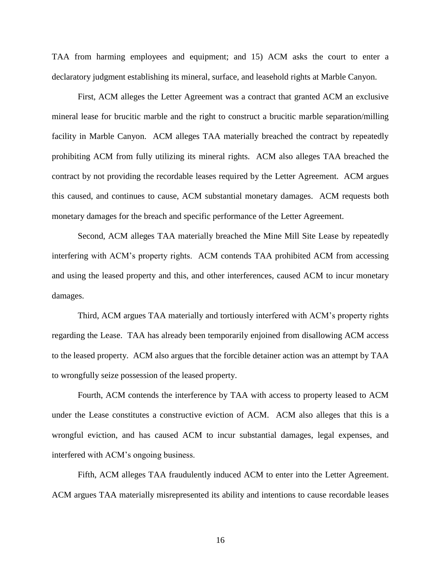TAA from harming employees and equipment; and 15) ACM asks the court to enter a declaratory judgment establishing its mineral, surface, and leasehold rights at Marble Canyon.

First, ACM alleges the Letter Agreement was a contract that granted ACM an exclusive mineral lease for brucitic marble and the right to construct a brucitic marble separation/milling facility in Marble Canyon. ACM alleges TAA materially breached the contract by repeatedly prohibiting ACM from fully utilizing its mineral rights. ACM also alleges TAA breached the contract by not providing the recordable leases required by the Letter Agreement. ACM argues this caused, and continues to cause, ACM substantial monetary damages. ACM requests both monetary damages for the breach and specific performance of the Letter Agreement.

Second, ACM alleges TAA materially breached the Mine Mill Site Lease by repeatedly interfering with ACM's property rights. ACM contends TAA prohibited ACM from accessing and using the leased property and this, and other interferences, caused ACM to incur monetary damages.

Third, ACM argues TAA materially and tortiously interfered with ACM's property rights regarding the Lease. TAA has already been temporarily enjoined from disallowing ACM access to the leased property. ACM also argues that the forcible detainer action was an attempt by TAA to wrongfully seize possession of the leased property.

Fourth, ACM contends the interference by TAA with access to property leased to ACM under the Lease constitutes a constructive eviction of ACM. ACM also alleges that this is a wrongful eviction, and has caused ACM to incur substantial damages, legal expenses, and interfered with ACM's ongoing business.

Fifth, ACM alleges TAA fraudulently induced ACM to enter into the Letter Agreement. ACM argues TAA materially misrepresented its ability and intentions to cause recordable leases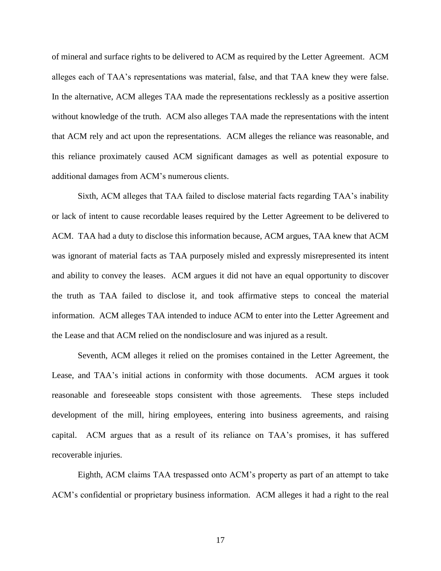of mineral and surface rights to be delivered to ACM as required by the Letter Agreement. ACM alleges each of TAA's representations was material, false, and that TAA knew they were false. In the alternative, ACM alleges TAA made the representations recklessly as a positive assertion without knowledge of the truth. ACM also alleges TAA made the representations with the intent that ACM rely and act upon the representations. ACM alleges the reliance was reasonable, and this reliance proximately caused ACM significant damages as well as potential exposure to additional damages from ACM's numerous clients.

Sixth, ACM alleges that TAA failed to disclose material facts regarding TAA's inability or lack of intent to cause recordable leases required by the Letter Agreement to be delivered to ACM. TAA had a duty to disclose this information because, ACM argues, TAA knew that ACM was ignorant of material facts as TAA purposely misled and expressly misrepresented its intent and ability to convey the leases. ACM argues it did not have an equal opportunity to discover the truth as TAA failed to disclose it, and took affirmative steps to conceal the material information. ACM alleges TAA intended to induce ACM to enter into the Letter Agreement and the Lease and that ACM relied on the nondisclosure and was injured as a result.

Seventh, ACM alleges it relied on the promises contained in the Letter Agreement, the Lease, and TAA's initial actions in conformity with those documents. ACM argues it took reasonable and foreseeable stops consistent with those agreements. These steps included development of the mill, hiring employees, entering into business agreements, and raising capital. ACM argues that as a result of its reliance on TAA's promises, it has suffered recoverable injuries.

Eighth, ACM claims TAA trespassed onto ACM's property as part of an attempt to take ACM's confidential or proprietary business information. ACM alleges it had a right to the real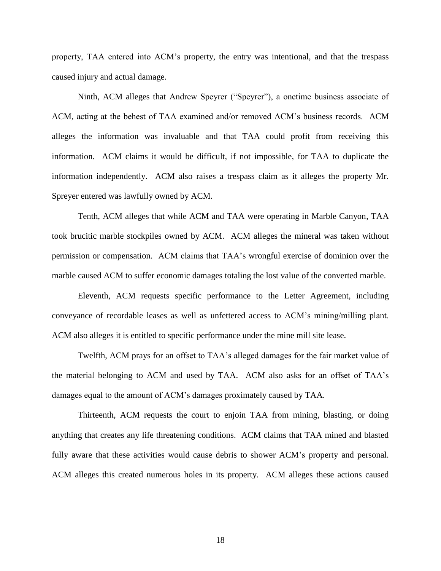property, TAA entered into ACM's property, the entry was intentional, and that the trespass caused injury and actual damage.

Ninth, ACM alleges that Andrew Speyrer ("Speyrer"), a onetime business associate of ACM, acting at the behest of TAA examined and/or removed ACM's business records. ACM alleges the information was invaluable and that TAA could profit from receiving this information. ACM claims it would be difficult, if not impossible, for TAA to duplicate the information independently. ACM also raises a trespass claim as it alleges the property Mr. Spreyer entered was lawfully owned by ACM.

Tenth, ACM alleges that while ACM and TAA were operating in Marble Canyon, TAA took brucitic marble stockpiles owned by ACM. ACM alleges the mineral was taken without permission or compensation. ACM claims that TAA's wrongful exercise of dominion over the marble caused ACM to suffer economic damages totaling the lost value of the converted marble.

Eleventh, ACM requests specific performance to the Letter Agreement, including conveyance of recordable leases as well as unfettered access to ACM's mining/milling plant. ACM also alleges it is entitled to specific performance under the mine mill site lease.

Twelfth, ACM prays for an offset to TAA's alleged damages for the fair market value of the material belonging to ACM and used by TAA. ACM also asks for an offset of TAA's damages equal to the amount of ACM's damages proximately caused by TAA.

Thirteenth, ACM requests the court to enjoin TAA from mining, blasting, or doing anything that creates any life threatening conditions. ACM claims that TAA mined and blasted fully aware that these activities would cause debris to shower ACM's property and personal. ACM alleges this created numerous holes in its property. ACM alleges these actions caused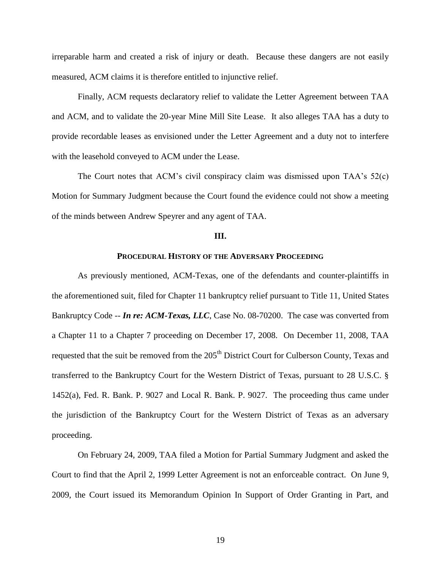irreparable harm and created a risk of injury or death. Because these dangers are not easily measured, ACM claims it is therefore entitled to injunctive relief.

Finally, ACM requests declaratory relief to validate the Letter Agreement between TAA and ACM, and to validate the 20-year Mine Mill Site Lease. It also alleges TAA has a duty to provide recordable leases as envisioned under the Letter Agreement and a duty not to interfere with the leasehold conveyed to ACM under the Lease.

The Court notes that ACM's civil conspiracy claim was dismissed upon TAA's 52(c) Motion for Summary Judgment because the Court found the evidence could not show a meeting of the minds between Andrew Speyrer and any agent of TAA.

# **III.**

# **PROCEDURAL HISTORY OF THE ADVERSARY PROCEEDING**

As previously mentioned, ACM-Texas, one of the defendants and counter-plaintiffs in the aforementioned suit, filed for Chapter 11 bankruptcy relief pursuant to Title 11, United States Bankruptcy Code -- *In re: ACM-Texas, LLC*, Case No. 08-70200. The case was converted from a Chapter 11 to a Chapter 7 proceeding on December 17, 2008. On December 11, 2008, TAA requested that the suit be removed from the 205<sup>th</sup> District Court for Culberson County, Texas and transferred to the Bankruptcy Court for the Western District of Texas, pursuant to 28 U.S.C. § 1452(a), Fed. R. Bank. P. 9027 and Local R. Bank. P. 9027. The proceeding thus came under the jurisdiction of the Bankruptcy Court for the Western District of Texas as an adversary proceeding.

On February 24, 2009, TAA filed a Motion for Partial Summary Judgment and asked the Court to find that the April 2, 1999 Letter Agreement is not an enforceable contract. On June 9, 2009, the Court issued its Memorandum Opinion In Support of Order Granting in Part, and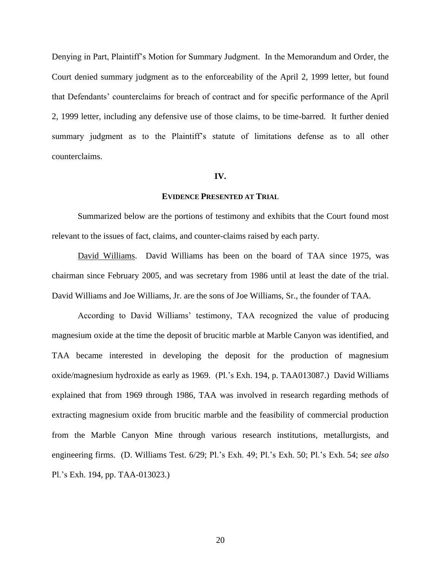Denying in Part, Plaintiff's Motion for Summary Judgment. In the Memorandum and Order, the Court denied summary judgment as to the enforceability of the April 2, 1999 letter, but found that Defendants' counterclaims for breach of contract and for specific performance of the April 2, 1999 letter, including any defensive use of those claims, to be time-barred. It further denied summary judgment as to the Plaintiff's statute of limitations defense as to all other counterclaims.

#### **IV.**

### **EVIDENCE PRESENTED AT TRIAL**

Summarized below are the portions of testimony and exhibits that the Court found most relevant to the issues of fact, claims, and counter-claims raised by each party.

David Williams. David Williams has been on the board of TAA since 1975, was chairman since February 2005, and was secretary from 1986 until at least the date of the trial. David Williams and Joe Williams, Jr. are the sons of Joe Williams, Sr., the founder of TAA.

According to David Williams' testimony, TAA recognized the value of producing magnesium oxide at the time the deposit of brucitic marble at Marble Canyon was identified, and TAA became interested in developing the deposit for the production of magnesium oxide/magnesium hydroxide as early as 1969. (Pl.'s Exh. 194, p. TAA013087.) David Williams explained that from 1969 through 1986, TAA was involved in research regarding methods of extracting magnesium oxide from brucitic marble and the feasibility of commercial production from the Marble Canyon Mine through various research institutions, metallurgists, and engineering firms. (D. Williams Test. 6/29; Pl.'s Exh. 49; Pl.'s Exh. 50; Pl.'s Exh. 54; *see also*  Pl.'s Exh. 194, pp. TAA-013023.)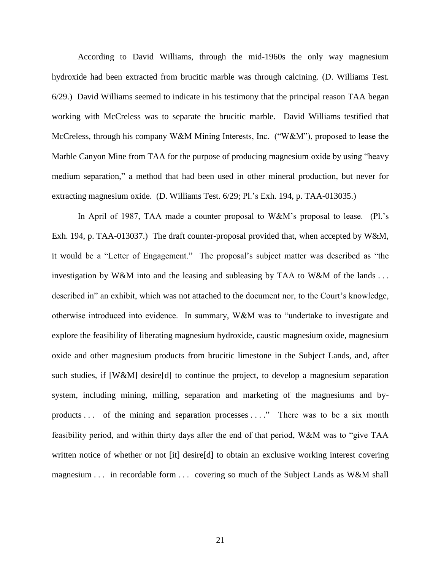According to David Williams, through the mid-1960s the only way magnesium hydroxide had been extracted from brucitic marble was through calcining. (D. Williams Test. 6/29.) David Williams seemed to indicate in his testimony that the principal reason TAA began working with McCreless was to separate the brucitic marble. David Williams testified that McCreless, through his company W&M Mining Interests, Inc. ("W&M"), proposed to lease the Marble Canyon Mine from TAA for the purpose of producing magnesium oxide by using "heavy medium separation," a method that had been used in other mineral production, but never for extracting magnesium oxide. (D. Williams Test. 6/29; Pl.'s Exh. 194, p. TAA-013035.)

In April of 1987, TAA made a counter proposal to W&M's proposal to lease. (Pl.'s Exh. 194, p. TAA-013037.) The draft counter-proposal provided that, when accepted by W&M, it would be a "Letter of Engagement." The proposal's subject matter was described as "the investigation by W&M into and the leasing and subleasing by TAA to W&M of the lands . . . described in" an exhibit, which was not attached to the document nor, to the Court's knowledge, otherwise introduced into evidence. In summary, W&M was to "undertake to investigate and explore the feasibility of liberating magnesium hydroxide, caustic magnesium oxide, magnesium oxide and other magnesium products from brucitic limestone in the Subject Lands, and, after such studies, if [W&M] desire[d] to continue the project, to develop a magnesium separation system, including mining, milling, separation and marketing of the magnesiums and byproducts ... of the mining and separation processes ...." There was to be a six month feasibility period, and within thirty days after the end of that period, W&M was to "give TAA" written notice of whether or not [it] desire[d] to obtain an exclusive working interest covering magnesium . . . in recordable form . . . covering so much of the Subject Lands as W&M shall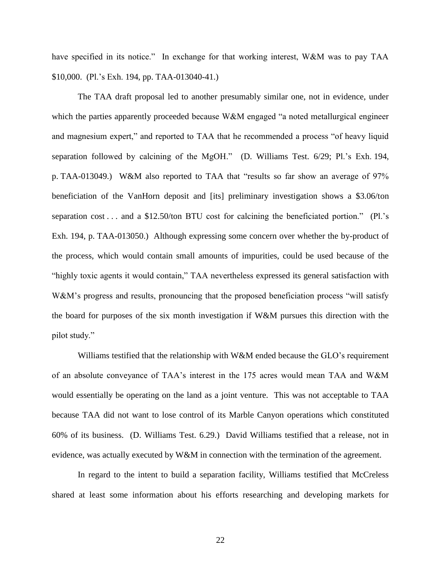have specified in its notice." In exchange for that working interest, W&M was to pay TAA \$10,000. (Pl.'s Exh. 194, pp. TAA-013040-41.)

The TAA draft proposal led to another presumably similar one, not in evidence, under which the parties apparently proceeded because W&M engaged  $a$  noted metallurgical engineer and magnesium expert," and reported to TAA that he recommended a process "of heavy liquid separation followed by calcining of the MgOH." (D. Williams Test. 6/29; Pl.'s Exh. 194, p. TAA-013049.) W&M also reported to TAA that "results so far show an average of 97% beneficiation of the VanHorn deposit and [its] preliminary investigation shows a \$3.06/ton separation cost . . . and a  $$12.50$ /ton BTU cost for calcining the beneficiated portion." (Pl.'s Exh. 194, p. TAA-013050.) Although expressing some concern over whether the by-product of the process, which would contain small amounts of impurities, could be used because of the "highly toxic agents it would contain," TAA nevertheless expressed its general satisfaction with W&M's progress and results, pronouncing that the proposed beneficiation process "will satisfy" the board for purposes of the six month investigation if W&M pursues this direction with the pilot study."

Williams testified that the relationship with W&M ended because the GLO's requirement of an absolute conveyance of TAA's interest in the 175 acres would mean TAA and W&M would essentially be operating on the land as a joint venture. This was not acceptable to TAA because TAA did not want to lose control of its Marble Canyon operations which constituted 60% of its business. (D. Williams Test. 6.29.)David Williams testified that a release, not in evidence, was actually executed by W&M in connection with the termination of the agreement.

In regard to the intent to build a separation facility, Williams testified that McCreless shared at least some information about his efforts researching and developing markets for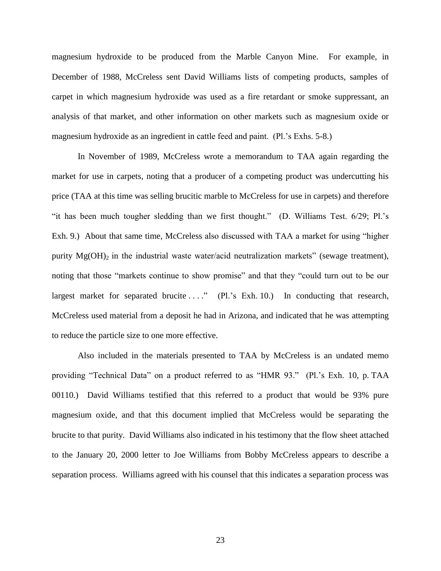magnesium hydroxide to be produced from the Marble Canyon Mine. For example, in December of 1988, McCreless sent David Williams lists of competing products, samples of carpet in which magnesium hydroxide was used as a fire retardant or smoke suppressant, an analysis of that market, and other information on other markets such as magnesium oxide or magnesium hydroxide as an ingredient in cattle feed and paint. (Pl.'s Exhs. 5-8.)

In November of 1989, McCreless wrote a memorandum to TAA again regarding the market for use in carpets, noting that a producer of a competing product was undercutting his price (TAA at this time was selling brucitic marble to McCreless for use in carpets) and therefore "it has been much tougher sledding than we first thought." (D. Williams Test. 6/29; Pl.'s Exh. 9.) About that same time, McCreless also discussed with TAA a market for using "higher" purity  $Mg(OH)_2$  in the industrial waste water/acid neutralization markets" (sewage treatment), noting that those "markets continue to show promise" and that they "could turn out to be our largest market for separated brucite  $\dots$ ." (Pl.'s Exh. 10.) In conducting that research, McCreless used material from a deposit he had in Arizona, and indicated that he was attempting to reduce the particle size to one more effective.

Also included in the materials presented to TAA by McCreless is an undated memo providing "Technical Data" on a product referred to as "HMR 93." (Pl.'s Exh. 10, p. TAA 00110.) David Williams testified that this referred to a product that would be 93% pure magnesium oxide, and that this document implied that McCreless would be separating the brucite to that purity. David Williams also indicated in his testimony that the flow sheet attached to the January 20, 2000 letter to Joe Williams from Bobby McCreless appears to describe a separation process. Williams agreed with his counsel that this indicates a separation process was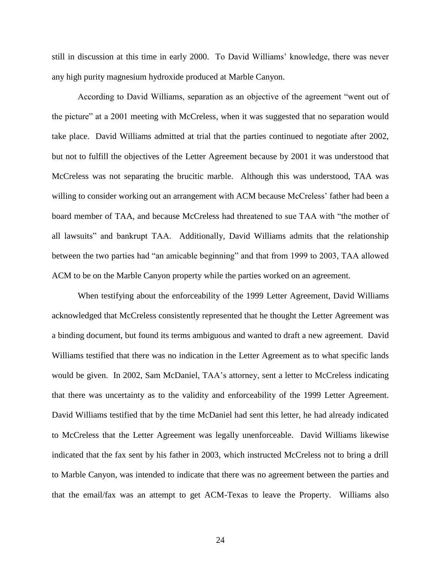still in discussion at this time in early 2000. To David Williams' knowledge, there was never any high purity magnesium hydroxide produced at Marble Canyon.

According to David Williams, separation as an objective of the agreement "went out of the picture" at a 2001 meeting with McCreless, when it was suggested that no separation would take place. David Williams admitted at trial that the parties continued to negotiate after 2002, but not to fulfill the objectives of the Letter Agreement because by 2001 it was understood that McCreless was not separating the brucitic marble. Although this was understood, TAA was willing to consider working out an arrangement with ACM because McCreless' father had been a board member of TAA, and because McCreless had threatened to sue TAA with "the mother of all lawsuits" and bankrupt TAA. Additionally, David Williams admits that the relationship between the two parties had "an amicable beginning" and that from 1999 to 2003, TAA allowed ACM to be on the Marble Canyon property while the parties worked on an agreement.

When testifying about the enforceability of the 1999 Letter Agreement, David Williams acknowledged that McCreless consistently represented that he thought the Letter Agreement was a binding document, but found its terms ambiguous and wanted to draft a new agreement.David Williams testified that there was no indication in the Letter Agreement as to what specific lands would be given. In 2002, Sam McDaniel, TAA's attorney, sent a letter to McCreless indicating that there was uncertainty as to the validity and enforceability of the 1999 Letter Agreement. David Williams testified that by the time McDaniel had sent this letter, he had already indicated to McCreless that the Letter Agreement was legally unenforceable. David Williams likewise indicated that the fax sent by his father in 2003, which instructed McCreless not to bring a drill to Marble Canyon, was intended to indicate that there was no agreement between the parties and that the email/fax was an attempt to get ACM-Texas to leave the Property.Williams also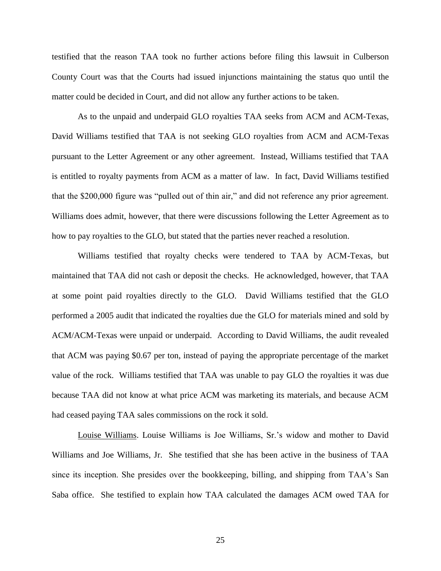testified that the reason TAA took no further actions before filing this lawsuit in Culberson County Court was that the Courts had issued injunctions maintaining the status quo until the matter could be decided in Court, and did not allow any further actions to be taken.

As to the unpaid and underpaid GLO royalties TAA seeks from ACM and ACM-Texas, David Williams testified that TAA is not seeking GLO royalties from ACM and ACM-Texas pursuant to the Letter Agreement or any other agreement. Instead, Williams testified that TAA is entitled to royalty payments from ACM as a matter of law. In fact, David Williams testified that the \$200,000 figure was "pulled out of thin air," and did not reference any prior agreement. Williams does admit, however, that there were discussions following the Letter Agreement as to how to pay royalties to the GLO, but stated that the parties never reached a resolution.

Williams testified that royalty checks were tendered to TAA by ACM-Texas, but maintained that TAA did not cash or deposit the checks. He acknowledged, however, that TAA at some point paid royalties directly to the GLO. David Williams testified that the GLO performed a 2005 audit that indicated the royalties due the GLO for materials mined and sold by ACM/ACM-Texas were unpaid or underpaid. According to David Williams, the audit revealed that ACM was paying \$0.67 per ton, instead of paying the appropriate percentage of the market value of the rock. Williams testified that TAA was unable to pay GLO the royalties it was due because TAA did not know at what price ACM was marketing its materials, and because ACM had ceased paying TAA sales commissions on the rock it sold.

Louise Williams. Louise Williams is Joe Williams, Sr.'s widow and mother to David Williams and Joe Williams, Jr. She testified that she has been active in the business of TAA since its inception. She presides over the bookkeeping, billing, and shipping from TAA's San Saba office. She testified to explain how TAA calculated the damages ACM owed TAA for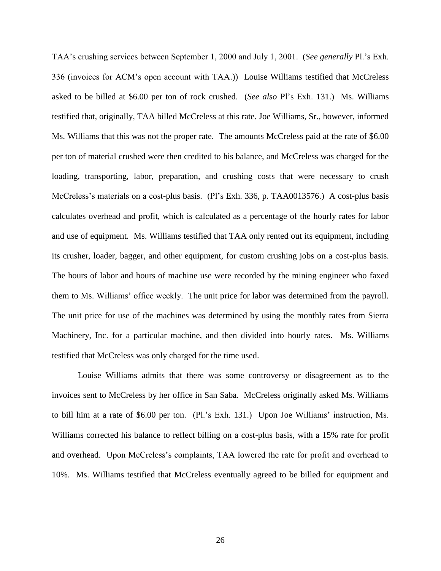TAA's crushing services between September 1, 2000 and July 1, 2001. (*See generally* Pl.'s Exh. 336 (invoices for ACM's open account with TAA.)) Louise Williams testified that McCreless asked to be billed at \$6.00 per ton of rock crushed. (*See also* Pl's Exh. 131.) Ms. Williams testified that, originally, TAA billed McCreless at this rate. Joe Williams, Sr., however, informed Ms. Williams that this was not the proper rate. The amounts McCreless paid at the rate of \$6.00 per ton of material crushed were then credited to his balance, and McCreless was charged for the loading, transporting, labor, preparation, and crushing costs that were necessary to crush McCreless's materials on a cost-plus basis. (Pl's Exh. 336, p. TAA0013576.) A cost-plus basis calculates overhead and profit, which is calculated as a percentage of the hourly rates for labor and use of equipment. Ms. Williams testified that TAA only rented out its equipment, including its crusher, loader, bagger, and other equipment, for custom crushing jobs on a cost-plus basis. The hours of labor and hours of machine use were recorded by the mining engineer who faxed them to Ms. Williams' office weekly. The unit price for labor was determined from the payroll. The unit price for use of the machines was determined by using the monthly rates from Sierra Machinery, Inc. for a particular machine, and then divided into hourly rates. Ms. Williams testified that McCreless was only charged for the time used.

Louise Williams admits that there was some controversy or disagreement as to the invoices sent to McCreless by her office in San Saba. McCreless originally asked Ms. Williams to bill him at a rate of \$6.00 per ton. (Pl.'s Exh. 131.) Upon Joe Williams' instruction, Ms. Williams corrected his balance to reflect billing on a cost-plus basis, with a 15% rate for profit and overhead. Upon McCreless's complaints, TAA lowered the rate for profit and overhead to 10%. Ms. Williams testified that McCreless eventually agreed to be billed for equipment and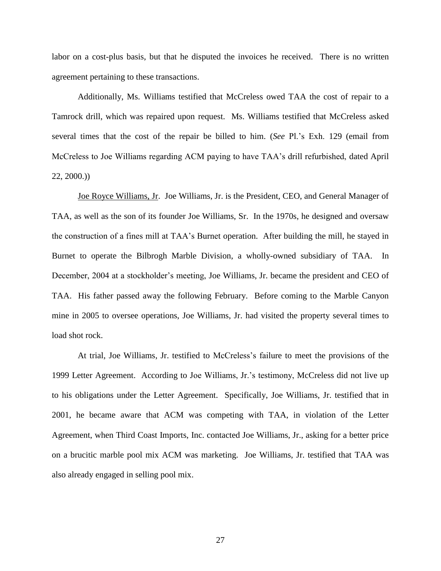labor on a cost-plus basis, but that he disputed the invoices he received. There is no written agreement pertaining to these transactions.

Additionally, Ms. Williams testified that McCreless owed TAA the cost of repair to a Tamrock drill, which was repaired upon request. Ms. Williams testified that McCreless asked several times that the cost of the repair be billed to him. (*See* Pl.'s Exh. 129 (email from McCreless to Joe Williams regarding ACM paying to have TAA's drill refurbished, dated April 22, 2000.))

Joe Royce Williams, Jr. Joe Williams, Jr. is the President, CEO, and General Manager of TAA, as well as the son of its founder Joe Williams, Sr. In the 1970s, he designed and oversaw the construction of a fines mill at TAA's Burnet operation. After building the mill, he stayed in Burnet to operate the Bilbrogh Marble Division, a wholly-owned subsidiary of TAA. In December, 2004 at a stockholder's meeting, Joe Williams, Jr. became the president and CEO of TAA. His father passed away the following February. Before coming to the Marble Canyon mine in 2005 to oversee operations, Joe Williams, Jr. had visited the property several times to load shot rock.

At trial, Joe Williams, Jr. testified to McCreless's failure to meet the provisions of the 1999 Letter Agreement. According to Joe Williams, Jr.'s testimony, McCreless did not live up to his obligations under the Letter Agreement. Specifically, Joe Williams, Jr. testified that in 2001, he became aware that ACM was competing with TAA, in violation of the Letter Agreement, when Third Coast Imports, Inc. contacted Joe Williams, Jr., asking for a better price on a brucitic marble pool mix ACM was marketing. Joe Williams, Jr. testified that TAA was also already engaged in selling pool mix.

27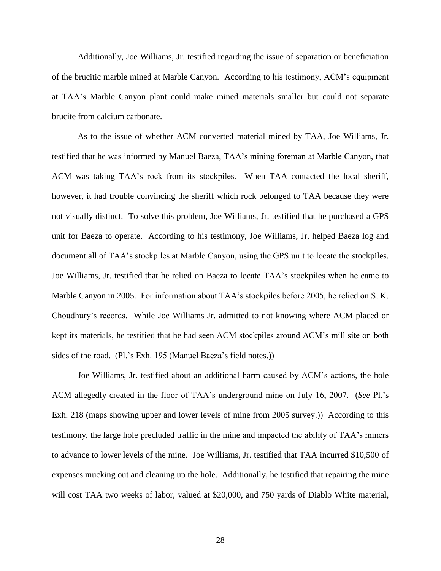Additionally, Joe Williams, Jr. testified regarding the issue of separation or beneficiation of the brucitic marble mined at Marble Canyon. According to his testimony, ACM's equipment at TAA's Marble Canyon plant could make mined materials smaller but could not separate brucite from calcium carbonate.

As to the issue of whether ACM converted material mined by TAA, Joe Williams, Jr. testified that he was informed by Manuel Baeza, TAA's mining foreman at Marble Canyon, that ACM was taking TAA's rock from its stockpiles. When TAA contacted the local sheriff, however, it had trouble convincing the sheriff which rock belonged to TAA because they were not visually distinct. To solve this problem, Joe Williams, Jr. testified that he purchased a GPS unit for Baeza to operate. According to his testimony, Joe Williams, Jr. helped Baeza log and document all of TAA's stockpiles at Marble Canyon, using the GPS unit to locate the stockpiles. Joe Williams, Jr. testified that he relied on Baeza to locate TAA's stockpiles when he came to Marble Canyon in 2005. For information about TAA's stockpiles before 2005, he relied on S. K. Choudhury's records. While Joe Williams Jr. admitted to not knowing where ACM placed or kept its materials, he testified that he had seen ACM stockpiles around ACM's mill site on both sides of the road. (Pl.'s Exh. 195 (Manuel Baeza's field notes.))

Joe Williams, Jr. testified about an additional harm caused by ACM's actions, the hole ACM allegedly created in the floor of TAA's underground mine on July 16, 2007. (*See* Pl.'s Exh. 218 (maps showing upper and lower levels of mine from 2005 survey.)) According to this testimony, the large hole precluded traffic in the mine and impacted the ability of TAA's miners to advance to lower levels of the mine. Joe Williams, Jr. testified that TAA incurred \$10,500 of expenses mucking out and cleaning up the hole. Additionally, he testified that repairing the mine will cost TAA two weeks of labor, valued at \$20,000, and 750 yards of Diablo White material,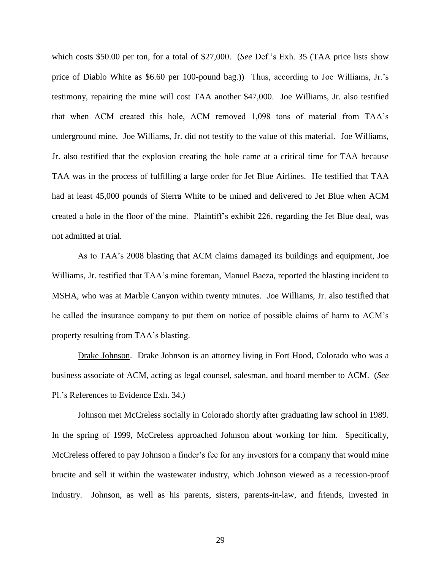which costs \$50.00 per ton, for a total of \$27,000. (*See* Def.'s Exh. 35 (TAA price lists show price of Diablo White as \$6.60 per 100-pound bag.)) Thus, according to Joe Williams, Jr.'s testimony, repairing the mine will cost TAA another \$47,000. Joe Williams, Jr. also testified that when ACM created this hole, ACM removed 1,098 tons of material from TAA's underground mine. Joe Williams, Jr. did not testify to the value of this material. Joe Williams, Jr. also testified that the explosion creating the hole came at a critical time for TAA because TAA was in the process of fulfilling a large order for Jet Blue Airlines. He testified that TAA had at least 45,000 pounds of Sierra White to be mined and delivered to Jet Blue when ACM created a hole in the floor of the mine. Plaintiff's exhibit 226, regarding the Jet Blue deal, was not admitted at trial.

As to TAA's 2008 blasting that ACM claims damaged its buildings and equipment, Joe Williams, Jr. testified that TAA's mine foreman, Manuel Baeza, reported the blasting incident to MSHA, who was at Marble Canyon within twenty minutes. Joe Williams, Jr. also testified that he called the insurance company to put them on notice of possible claims of harm to ACM's property resulting from TAA's blasting.

Drake Johnson. Drake Johnson is an attorney living in Fort Hood, Colorado who was a business associate of ACM, acting as legal counsel, salesman, and board member to ACM. (*See* Pl.'s References to Evidence Exh. 34.)

Johnson met McCreless socially in Colorado shortly after graduating law school in 1989. In the spring of 1999, McCreless approached Johnson about working for him. Specifically, McCreless offered to pay Johnson a finder's fee for any investors for a company that would mine brucite and sell it within the wastewater industry, which Johnson viewed as a recession-proof industry. Johnson, as well as his parents, sisters, parents-in-law, and friends, invested in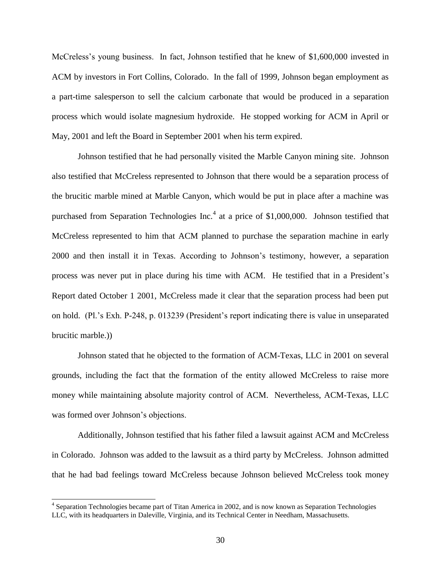McCreless's young business. In fact, Johnson testified that he knew of \$1,600,000 invested in ACM by investors in Fort Collins, Colorado. In the fall of 1999, Johnson began employment as a part-time salesperson to sell the calcium carbonate that would be produced in a separation process which would isolate magnesium hydroxide. He stopped working for ACM in April or May, 2001 and left the Board in September 2001 when his term expired.

Johnson testified that he had personally visited the Marble Canyon mining site. Johnson also testified that McCreless represented to Johnson that there would be a separation process of the brucitic marble mined at Marble Canyon, which would be put in place after a machine was purchased from Separation Technologies Inc.<sup>4</sup> at a price of \$1,000,000. Johnson testified that McCreless represented to him that ACM planned to purchase the separation machine in early 2000 and then install it in Texas. According to Johnson's testimony, however, a separation process was never put in place during his time with ACM. He testified that in a President's Report dated October 1 2001, McCreless made it clear that the separation process had been put on hold. (Pl.'s Exh. P-248, p. 013239 (President's report indicating there is value in unseparated brucitic marble.))

Johnson stated that he objected to the formation of ACM-Texas, LLC in 2001 on several grounds, including the fact that the formation of the entity allowed McCreless to raise more money while maintaining absolute majority control of ACM. Nevertheless, ACM-Texas, LLC was formed over Johnson's objections.

Additionally, Johnson testified that his father filed a lawsuit against ACM and McCreless in Colorado. Johnson was added to the lawsuit as a third party by McCreless. Johnson admitted that he had bad feelings toward McCreless because Johnson believed McCreless took money

 4 Separation Technologies became part of Titan America in 2002, and is now known as Separation Technologies LLC, with its headquarters in Daleville, Virginia, and its Technical Center in Needham, Massachusetts.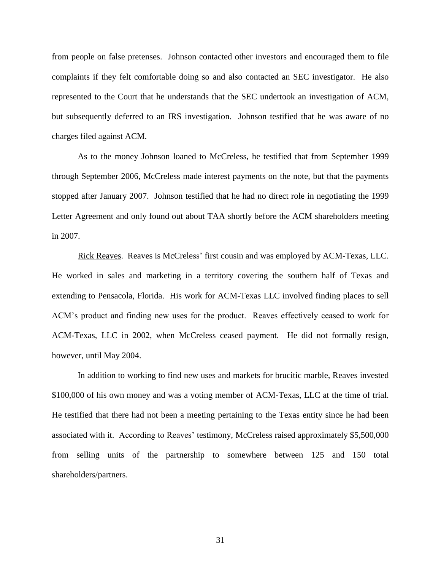from people on false pretenses. Johnson contacted other investors and encouraged them to file complaints if they felt comfortable doing so and also contacted an SEC investigator. He also represented to the Court that he understands that the SEC undertook an investigation of ACM, but subsequently deferred to an IRS investigation. Johnson testified that he was aware of no charges filed against ACM.

As to the money Johnson loaned to McCreless, he testified that from September 1999 through September 2006, McCreless made interest payments on the note, but that the payments stopped after January 2007. Johnson testified that he had no direct role in negotiating the 1999 Letter Agreement and only found out about TAA shortly before the ACM shareholders meeting in 2007.

Rick Reaves. Reaves is McCreless' first cousin and was employed by ACM-Texas, LLC. He worked in sales and marketing in a territory covering the southern half of Texas and extending to Pensacola, Florida. His work for ACM-Texas LLC involved finding places to sell ACM's product and finding new uses for the product. Reaves effectively ceased to work for ACM-Texas, LLC in 2002, when McCreless ceased payment. He did not formally resign, however, until May 2004.

In addition to working to find new uses and markets for brucitic marble, Reaves invested \$100,000 of his own money and was a voting member of ACM-Texas, LLC at the time of trial. He testified that there had not been a meeting pertaining to the Texas entity since he had been associated with it. According to Reaves' testimony, McCreless raised approximately \$5,500,000 from selling units of the partnership to somewhere between 125 and 150 total shareholders/partners.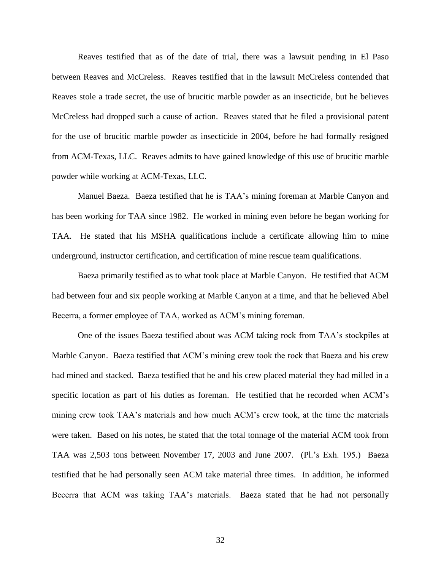Reaves testified that as of the date of trial, there was a lawsuit pending in El Paso between Reaves and McCreless. Reaves testified that in the lawsuit McCreless contended that Reaves stole a trade secret, the use of brucitic marble powder as an insecticide, but he believes McCreless had dropped such a cause of action. Reaves stated that he filed a provisional patent for the use of brucitic marble powder as insecticide in 2004, before he had formally resigned from ACM-Texas, LLC. Reaves admits to have gained knowledge of this use of brucitic marble powder while working at ACM-Texas, LLC.

Manuel Baeza. Baeza testified that he is TAA's mining foreman at Marble Canyon and has been working for TAA since 1982. He worked in mining even before he began working for TAA. He stated that his MSHA qualifications include a certificate allowing him to mine underground, instructor certification, and certification of mine rescue team qualifications.

Baeza primarily testified as to what took place at Marble Canyon. He testified that ACM had between four and six people working at Marble Canyon at a time, and that he believed Abel Becerra, a former employee of TAA, worked as ACM's mining foreman.

One of the issues Baeza testified about was ACM taking rock from TAA's stockpiles at Marble Canyon. Baeza testified that ACM's mining crew took the rock that Baeza and his crew had mined and stacked. Baeza testified that he and his crew placed material they had milled in a specific location as part of his duties as foreman. He testified that he recorded when ACM's mining crew took TAA's materials and how much ACM's crew took, at the time the materials were taken. Based on his notes, he stated that the total tonnage of the material ACM took from TAA was 2,503 tons between November 17, 2003 and June 2007. (Pl.'s Exh. 195.) Baeza testified that he had personally seen ACM take material three times. In addition, he informed Becerra that ACM was taking TAA's materials. Baeza stated that he had not personally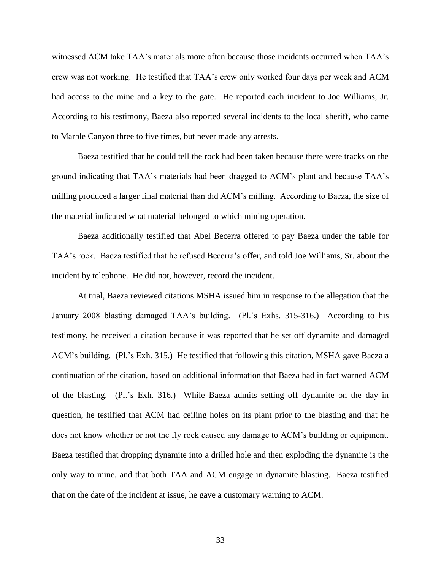witnessed ACM take TAA's materials more often because those incidents occurred when TAA's crew was not working. He testified that TAA's crew only worked four days per week and ACM had access to the mine and a key to the gate. He reported each incident to Joe Williams, Jr. According to his testimony, Baeza also reported several incidents to the local sheriff, who came to Marble Canyon three to five times, but never made any arrests.

Baeza testified that he could tell the rock had been taken because there were tracks on the ground indicating that TAA's materials had been dragged to ACM's plant and because TAA's milling produced a larger final material than did ACM's milling. According to Baeza, the size of the material indicated what material belonged to which mining operation.

Baeza additionally testified that Abel Becerra offered to pay Baeza under the table for TAA's rock. Baeza testified that he refused Becerra's offer, and told Joe Williams, Sr. about the incident by telephone. He did not, however, record the incident.

At trial, Baeza reviewed citations MSHA issued him in response to the allegation that the January 2008 blasting damaged TAA's building. (Pl.'s Exhs. 315-316.) According to his testimony, he received a citation because it was reported that he set off dynamite and damaged ACM's building. (Pl.'s Exh. 315.) He testified that following this citation, MSHA gave Baeza a continuation of the citation, based on additional information that Baeza had in fact warned ACM of the blasting. (Pl.'s Exh. 316.) While Baeza admits setting off dynamite on the day in question, he testified that ACM had ceiling holes on its plant prior to the blasting and that he does not know whether or not the fly rock caused any damage to ACM's building or equipment. Baeza testified that dropping dynamite into a drilled hole and then exploding the dynamite is the only way to mine, and that both TAA and ACM engage in dynamite blasting. Baeza testified that on the date of the incident at issue, he gave a customary warning to ACM.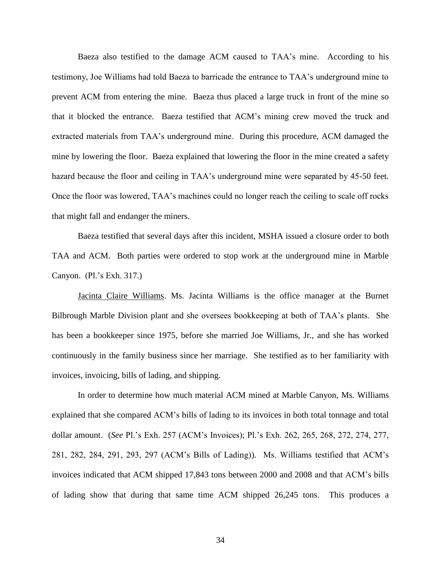Baeza also testified to the damage ACM caused to TAA's mine. According to his testimony, Joe Williams had told Baeza to barricade the entrance to TAA's underground mine to prevent ACM from entering the mine. Baeza thus placed a large truck in front of the mine so that it blocked the entrance. Baeza testified that ACM's mining crew moved the truck and extracted materials from TAA's underground mine. During this procedure, ACM damaged the mine by lowering the floor. Baeza explained that lowering the floor in the mine created a safety hazard because the floor and ceiling in TAA's underground mine were separated by 45-50 feet. Once the floor was lowered, TAA's machines could no longer reach the ceiling to scale off rocks that might fall and endanger the miners.

Baeza testified that several days after this incident, MSHA issued a closure order to both TAA and ACM. Both parties were ordered to stop work at the underground mine in Marble Canyon. (Pl.'s Exh. 317.)

Jacinta Claire Williams. Ms. Jacinta Williams is the office manager at the Burnet Bilbrough Marble Division plant and she oversees bookkeeping at both of TAA's plants. She has been a bookkeeper since 1975, before she married Joe Williams, Jr., and she has worked continuously in the family business since her marriage. She testified as to her familiarity with invoices, invoicing, bills of lading, and shipping.

In order to determine how much material ACM mined at Marble Canyon, Ms. Williams explained that she compared ACM's bills of lading to its invoices in both total tonnage and total dollar amount. (*See* Pl.'s Exh. 257 (ACM's Invoices); Pl.'s Exh. 262, 265, 268, 272, 274, 277, 281, 282, 284, 291, 293, 297 (ACM's Bills of Lading)). Ms. Williams testified that ACM's invoices indicated that ACM shipped 17,843 tons between 2000 and 2008 and that ACM's bills of lading show that during that same time ACM shipped 26,245 tons. This produces a

34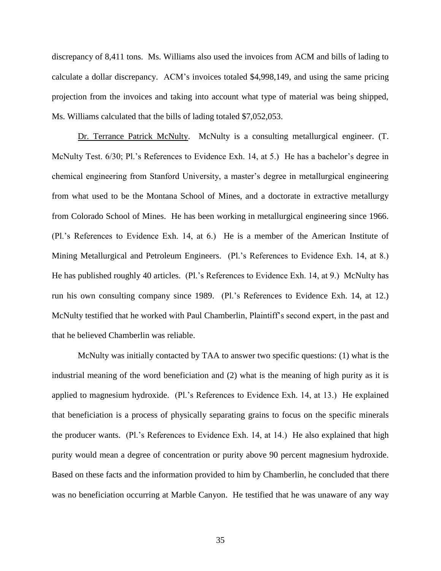discrepancy of 8,411 tons. Ms. Williams also used the invoices from ACM and bills of lading to calculate a dollar discrepancy. ACM's invoices totaled \$4,998,149, and using the same pricing projection from the invoices and taking into account what type of material was being shipped, Ms. Williams calculated that the bills of lading totaled \$7,052,053.

Dr. Terrance Patrick McNulty. McNulty is a consulting metallurgical engineer. (T. McNulty Test. 6/30; Pl.'s References to Evidence Exh. 14, at 5.) He has a bachelor's degree in chemical engineering from Stanford University, a master's degree in metallurgical engineering from what used to be the Montana School of Mines, and a doctorate in extractive metallurgy from Colorado School of Mines. He has been working in metallurgical engineering since 1966. (Pl.'s References to Evidence Exh. 14, at 6.) He is a member of the American Institute of Mining Metallurgical and Petroleum Engineers. (Pl.'s References to Evidence Exh. 14, at 8.) He has published roughly 40 articles. (Pl.'s References to Evidence Exh. 14, at 9.) McNulty has run his own consulting company since 1989. (Pl.'s References to Evidence Exh. 14, at 12.) McNulty testified that he worked with Paul Chamberlin, Plaintiff's second expert, in the past and that he believed Chamberlin was reliable.

McNulty was initially contacted by TAA to answer two specific questions: (1) what is the industrial meaning of the word beneficiation and (2) what is the meaning of high purity as it is applied to magnesium hydroxide. (Pl.'s References to Evidence Exh. 14, at 13.) He explained that beneficiation is a process of physically separating grains to focus on the specific minerals the producer wants. (Pl.'s References to Evidence Exh. 14, at 14.) He also explained that high purity would mean a degree of concentration or purity above 90 percent magnesium hydroxide. Based on these facts and the information provided to him by Chamberlin, he concluded that there was no beneficiation occurring at Marble Canyon. He testified that he was unaware of any way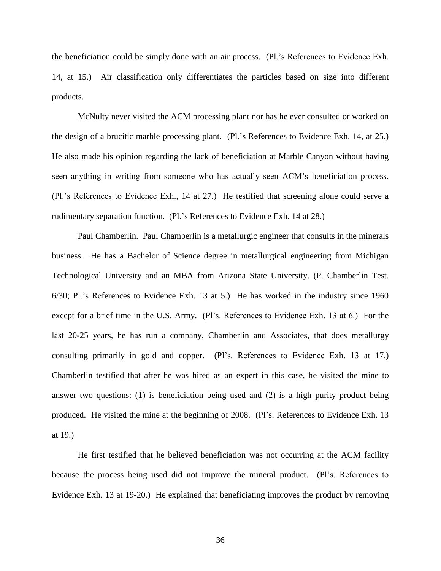the beneficiation could be simply done with an air process. (Pl.'s References to Evidence Exh. 14, at 15.) Air classification only differentiates the particles based on size into different products.

McNulty never visited the ACM processing plant nor has he ever consulted or worked on the design of a brucitic marble processing plant. (Pl.'s References to Evidence Exh. 14, at 25.) He also made his opinion regarding the lack of beneficiation at Marble Canyon without having seen anything in writing from someone who has actually seen ACM's beneficiation process. (Pl.'s References to Evidence Exh., 14 at 27.) He testified that screening alone could serve a rudimentary separation function. (Pl.'s References to Evidence Exh. 14 at 28.)

Paul Chamberlin. Paul Chamberlin is a metallurgic engineer that consults in the minerals business. He has a Bachelor of Science degree in metallurgical engineering from Michigan Technological University and an MBA from Arizona State University. (P. Chamberlin Test. 6/30; Pl.'s References to Evidence Exh. 13 at 5.) He has worked in the industry since 1960 except for a brief time in the U.S. Army. (Pl's. References to Evidence Exh. 13 at 6.) For the last 20-25 years, he has run a company, Chamberlin and Associates, that does metallurgy consulting primarily in gold and copper. (Pl's. References to Evidence Exh. 13 at 17.) Chamberlin testified that after he was hired as an expert in this case, he visited the mine to answer two questions: (1) is beneficiation being used and (2) is a high purity product being produced. He visited the mine at the beginning of 2008. (Pl's. References to Evidence Exh. 13 at 19.)

He first testified that he believed beneficiation was not occurring at the ACM facility because the process being used did not improve the mineral product. (Pl's. References to Evidence Exh. 13 at 19-20.) He explained that beneficiating improves the product by removing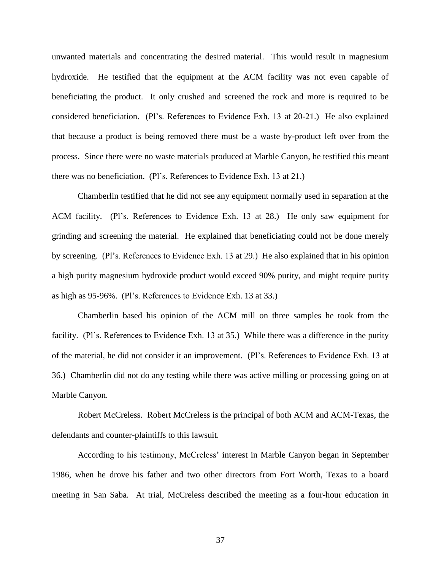unwanted materials and concentrating the desired material. This would result in magnesium hydroxide. He testified that the equipment at the ACM facility was not even capable of beneficiating the product. It only crushed and screened the rock and more is required to be considered beneficiation. (Pl's. References to Evidence Exh. 13 at 20-21.) He also explained that because a product is being removed there must be a waste by-product left over from the process. Since there were no waste materials produced at Marble Canyon, he testified this meant there was no beneficiation. (Pl's. References to Evidence Exh. 13 at 21.)

Chamberlin testified that he did not see any equipment normally used in separation at the ACM facility. (Pl's. References to Evidence Exh. 13 at 28.) He only saw equipment for grinding and screening the material. He explained that beneficiating could not be done merely by screening. (Pl's. References to Evidence Exh. 13 at 29.) He also explained that in his opinion a high purity magnesium hydroxide product would exceed 90% purity, and might require purity as high as 95-96%. (Pl's. References to Evidence Exh. 13 at 33.)

Chamberlin based his opinion of the ACM mill on three samples he took from the facility. (Pl's. References to Evidence Exh. 13 at 35.) While there was a difference in the purity of the material, he did not consider it an improvement. (Pl's. References to Evidence Exh. 13 at 36.) Chamberlin did not do any testing while there was active milling or processing going on at Marble Canyon.

Robert McCreless. Robert McCreless is the principal of both ACM and ACM-Texas, the defendants and counter-plaintiffs to this lawsuit.

According to his testimony, McCreless' interest in Marble Canyon began in September 1986, when he drove his father and two other directors from Fort Worth, Texas to a board meeting in San Saba. At trial, McCreless described the meeting as a four-hour education in

37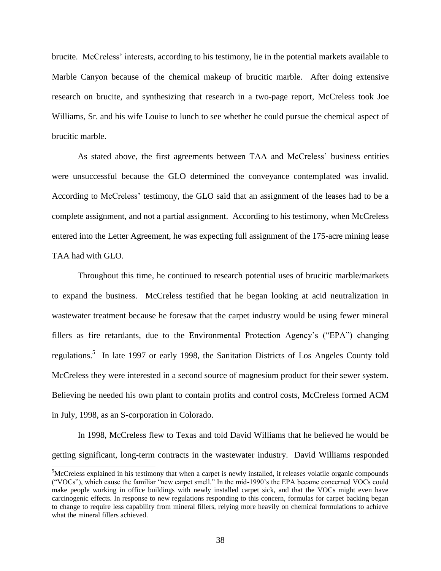brucite. McCreless' interests, according to his testimony, lie in the potential markets available to Marble Canyon because of the chemical makeup of brucitic marble. After doing extensive research on brucite, and synthesizing that research in a two-page report, McCreless took Joe Williams, Sr. and his wife Louise to lunch to see whether he could pursue the chemical aspect of brucitic marble.

As stated above, the first agreements between TAA and McCreless' business entities were unsuccessful because the GLO determined the conveyance contemplated was invalid. According to McCreless' testimony, the GLO said that an assignment of the leases had to be a complete assignment, and not a partial assignment. According to his testimony, when McCreless entered into the Letter Agreement, he was expecting full assignment of the 175-acre mining lease TAA had with GLO.

Throughout this time, he continued to research potential uses of brucitic marble/markets to expand the business. McCreless testified that he began looking at acid neutralization in wastewater treatment because he foresaw that the carpet industry would be using fewer mineral fillers as fire retardants, due to the Environmental Protection Agency's ("EPA") changing regulations.<sup>5</sup> In late 1997 or early 1998, the Sanitation Districts of Los Angeles County told McCreless they were interested in a second source of magnesium product for their sewer system. Believing he needed his own plant to contain profits and control costs, McCreless formed ACM in July, 1998, as an S-corporation in Colorado.

In 1998, McCreless flew to Texas and told David Williams that he believed he would be getting significant, long-term contracts in the wastewater industry. David Williams responded

 $\overline{a}$ 

<sup>5</sup>McCreless explained in his testimony that when a carpet is newly installed, it releases volatile organic compounds (―VOCs‖), which cause the familiar ―new carpet smell.‖ In the mid-1990's the EPA became concerned VOCs could make people working in office buildings with newly installed carpet sick, and that the VOCs might even have carcinogenic effects. In response to new regulations responding to this concern, formulas for carpet backing began to change to require less capability from mineral fillers, relying more heavily on chemical formulations to achieve what the mineral fillers achieved.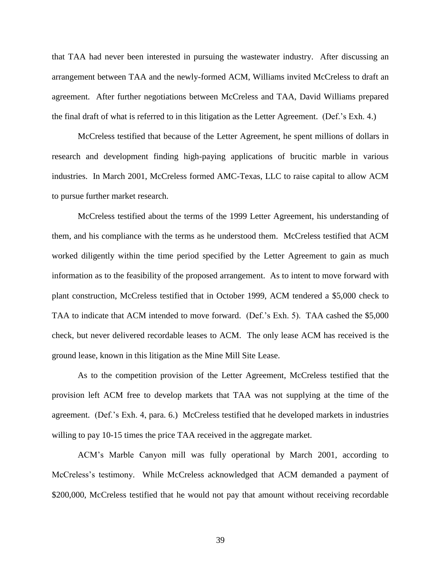that TAA had never been interested in pursuing the wastewater industry. After discussing an arrangement between TAA and the newly-formed ACM, Williams invited McCreless to draft an agreement. After further negotiations between McCreless and TAA, David Williams prepared the final draft of what is referred to in this litigation as the Letter Agreement. (Def.'s Exh. 4.)

McCreless testified that because of the Letter Agreement, he spent millions of dollars in research and development finding high-paying applications of brucitic marble in various industries. In March 2001, McCreless formed AMC-Texas, LLC to raise capital to allow ACM to pursue further market research.

McCreless testified about the terms of the 1999 Letter Agreement, his understanding of them, and his compliance with the terms as he understood them. McCreless testified that ACM worked diligently within the time period specified by the Letter Agreement to gain as much information as to the feasibility of the proposed arrangement. As to intent to move forward with plant construction, McCreless testified that in October 1999, ACM tendered a \$5,000 check to TAA to indicate that ACM intended to move forward. (Def.'s Exh. 5). TAA cashed the \$5,000 check, but never delivered recordable leases to ACM. The only lease ACM has received is the ground lease, known in this litigation as the Mine Mill Site Lease.

As to the competition provision of the Letter Agreement, McCreless testified that the provision left ACM free to develop markets that TAA was not supplying at the time of the agreement. (Def.'s Exh. 4, para. 6.) McCreless testified that he developed markets in industries willing to pay 10-15 times the price TAA received in the aggregate market.

ACM's Marble Canyon mill was fully operational by March 2001, according to McCreless's testimony. While McCreless acknowledged that ACM demanded a payment of \$200,000, McCreless testified that he would not pay that amount without receiving recordable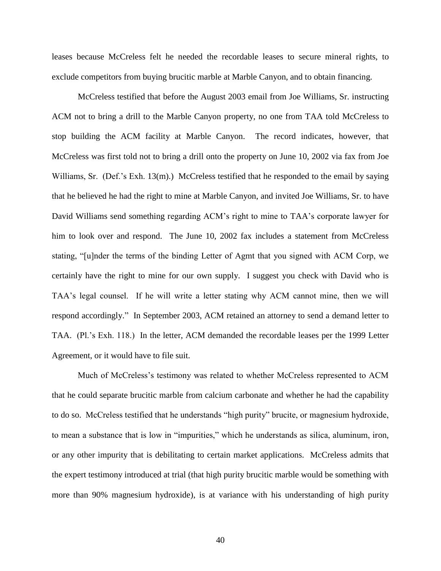leases because McCreless felt he needed the recordable leases to secure mineral rights, to exclude competitors from buying brucitic marble at Marble Canyon, and to obtain financing.

McCreless testified that before the August 2003 email from Joe Williams, Sr. instructing ACM not to bring a drill to the Marble Canyon property, no one from TAA told McCreless to stop building the ACM facility at Marble Canyon. The record indicates, however, that McCreless was first told not to bring a drill onto the property on June 10, 2002 via fax from Joe Williams, Sr. (Def.'s Exh. 13(m).) McCreless testified that he responded to the email by saying that he believed he had the right to mine at Marble Canyon, and invited Joe Williams, Sr. to have David Williams send something regarding ACM's right to mine to TAA's corporate lawyer for him to look over and respond. The June 10, 2002 fax includes a statement from McCreless stating, "[u]nder the terms of the binding Letter of Agmt that you signed with ACM Corp, we certainly have the right to mine for our own supply. I suggest you check with David who is TAA's legal counsel. If he will write a letter stating why ACM cannot mine, then we will respond accordingly." In September 2003, ACM retained an attorney to send a demand letter to TAA. (Pl.'s Exh. 118.) In the letter, ACM demanded the recordable leases per the 1999 Letter Agreement, or it would have to file suit.

Much of McCreless's testimony was related to whether McCreless represented to ACM that he could separate brucitic marble from calcium carbonate and whether he had the capability to do so. McCreless testified that he understands "high purity" brucite, or magnesium hydroxide, to mean a substance that is low in "impurities," which he understands as silica, aluminum, iron, or any other impurity that is debilitating to certain market applications. McCreless admits that the expert testimony introduced at trial (that high purity brucitic marble would be something with more than 90% magnesium hydroxide), is at variance with his understanding of high purity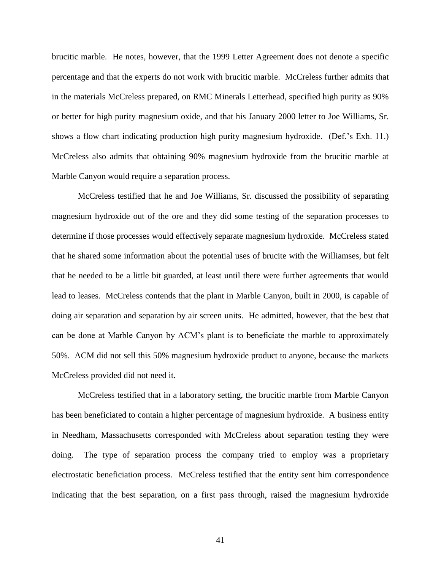brucitic marble. He notes, however, that the 1999 Letter Agreement does not denote a specific percentage and that the experts do not work with brucitic marble. McCreless further admits that in the materials McCreless prepared, on RMC Minerals Letterhead, specified high purity as 90% or better for high purity magnesium oxide, and that his January 2000 letter to Joe Williams, Sr. shows a flow chart indicating production high purity magnesium hydroxide. (Def.'s Exh. 11.) McCreless also admits that obtaining 90% magnesium hydroxide from the brucitic marble at Marble Canyon would require a separation process.

McCreless testified that he and Joe Williams, Sr. discussed the possibility of separating magnesium hydroxide out of the ore and they did some testing of the separation processes to determine if those processes would effectively separate magnesium hydroxide. McCreless stated that he shared some information about the potential uses of brucite with the Williamses, but felt that he needed to be a little bit guarded, at least until there were further agreements that would lead to leases. McCreless contends that the plant in Marble Canyon, built in 2000, is capable of doing air separation and separation by air screen units. He admitted, however, that the best that can be done at Marble Canyon by ACM's plant is to beneficiate the marble to approximately 50%. ACM did not sell this 50% magnesium hydroxide product to anyone, because the markets McCreless provided did not need it.

McCreless testified that in a laboratory setting, the brucitic marble from Marble Canyon has been beneficiated to contain a higher percentage of magnesium hydroxide. A business entity in Needham, Massachusetts corresponded with McCreless about separation testing they were doing. The type of separation process the company tried to employ was a proprietary electrostatic beneficiation process. McCreless testified that the entity sent him correspondence indicating that the best separation, on a first pass through, raised the magnesium hydroxide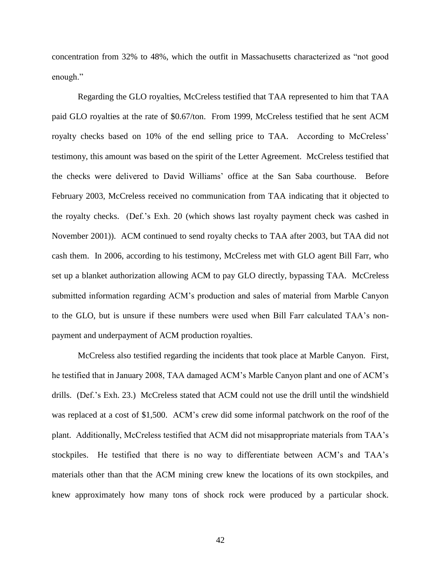concentration from 32% to 48%, which the outfit in Massachusetts characterized as "not good enough."

Regarding the GLO royalties, McCreless testified that TAA represented to him that TAA paid GLO royalties at the rate of \$0.67/ton. From 1999, McCreless testified that he sent ACM royalty checks based on 10% of the end selling price to TAA. According to McCreless' testimony, this amount was based on the spirit of the Letter Agreement. McCreless testified that the checks were delivered to David Williams' office at the San Saba courthouse. Before February 2003, McCreless received no communication from TAA indicating that it objected to the royalty checks. (Def.'s Exh. 20 (which shows last royalty payment check was cashed in November 2001)). ACM continued to send royalty checks to TAA after 2003, but TAA did not cash them. In 2006, according to his testimony, McCreless met with GLO agent Bill Farr, who set up a blanket authorization allowing ACM to pay GLO directly, bypassing TAA. McCreless submitted information regarding ACM's production and sales of material from Marble Canyon to the GLO, but is unsure if these numbers were used when Bill Farr calculated TAA's nonpayment and underpayment of ACM production royalties.

McCreless also testified regarding the incidents that took place at Marble Canyon. First, he testified that in January 2008, TAA damaged ACM's Marble Canyon plant and one of ACM's drills. (Def.'s Exh. 23.) McCreless stated that ACM could not use the drill until the windshield was replaced at a cost of \$1,500. ACM's crew did some informal patchwork on the roof of the plant. Additionally, McCreless testified that ACM did not misappropriate materials from TAA's stockpiles. He testified that there is no way to differentiate between ACM's and TAA's materials other than that the ACM mining crew knew the locations of its own stockpiles, and knew approximately how many tons of shock rock were produced by a particular shock.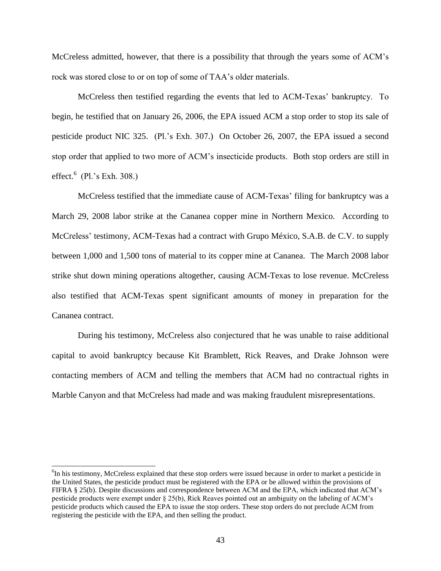McCreless admitted, however, that there is a possibility that through the years some of ACM's rock was stored close to or on top of some of TAA's older materials.

McCreless then testified regarding the events that led to ACM-Texas' bankruptcy. To begin, he testified that on January 26, 2006, the EPA issued ACM a stop order to stop its sale of pesticide product NIC 325. (Pl.'s Exh. 307.) On October 26, 2007, the EPA issued a second stop order that applied to two more of ACM's insecticide products. Both stop orders are still in effect.<sup>6</sup> (Pl.'s Exh. 308.)

McCreless testified that the immediate cause of ACM-Texas' filing for bankruptcy was a March 29, 2008 labor strike at the Cananea copper mine in Northern Mexico. According to McCreless' testimony, ACM-Texas had a contract with Grupo México, S.A.B. de C.V. to supply between 1,000 and 1,500 tons of material to its copper mine at Cananea. The March 2008 labor strike shut down mining operations altogether, causing ACM-Texas to lose revenue. McCreless also testified that ACM-Texas spent significant amounts of money in preparation for the Cananea contract.

During his testimony, McCreless also conjectured that he was unable to raise additional capital to avoid bankruptcy because Kit Bramblett, Rick Reaves, and Drake Johnson were contacting members of ACM and telling the members that ACM had no contractual rights in Marble Canyon and that McCreless had made and was making fraudulent misrepresentations.

 $\overline{a}$ 

<sup>&</sup>lt;sup>6</sup>In his testimony, McCreless explained that these stop orders were issued because in order to market a pesticide in the United States, the pesticide product must be registered with the EPA or be allowed within the provisions of FIFRA § 25(b). Despite discussions and correspondence between ACM and the EPA, which indicated that ACM's pesticide products were exempt under § 25(b), Rick Reaves pointed out an ambiguity on the labeling of ACM's pesticide products which caused the EPA to issue the stop orders. These stop orders do not preclude ACM from registering the pesticide with the EPA, and then selling the product.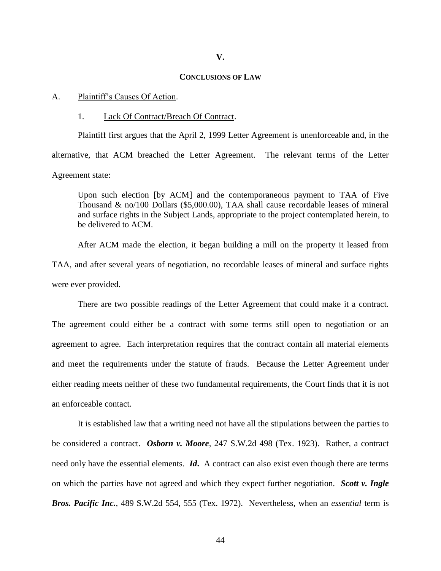#### **V.**

### **CONCLUSIONS OF LAW**

## A. Plaintiff's Causes Of Action.

#### 1. Lack Of Contract/Breach Of Contract.

Plaintiff first argues that the April 2, 1999 Letter Agreement is unenforceable and, in the alternative, that ACM breached the Letter Agreement. The relevant terms of the Letter Agreement state:

Upon such election [by ACM] and the contemporaneous payment to TAA of Five Thousand & no/100 Dollars (\$5,000.00), TAA shall cause recordable leases of mineral and surface rights in the Subject Lands, appropriate to the project contemplated herein, to be delivered to ACM.

After ACM made the election, it began building a mill on the property it leased from TAA, and after several years of negotiation, no recordable leases of mineral and surface rights were ever provided.

There are two possible readings of the Letter Agreement that could make it a contract. The agreement could either be a contract with some terms still open to negotiation or an agreement to agree. Each interpretation requires that the contract contain all material elements and meet the requirements under the statute of frauds. Because the Letter Agreement under either reading meets neither of these two fundamental requirements, the Court finds that it is not an enforceable contact.

It is established law that a writing need not have all the stipulations between the parties to be considered a contract. *Osborn v. Moore,* 247 S.W.2d 498 (Tex. 1923). Rather, a contract need only have the essential elements. *Id***.** A contract can also exist even though there are terms on which the parties have not agreed and which they expect further negotiation. *Scott v. Ingle Bros. Pacific Inc.,* 489 S.W.2d 554, 555 (Tex. 1972). Nevertheless, when an *essential* term is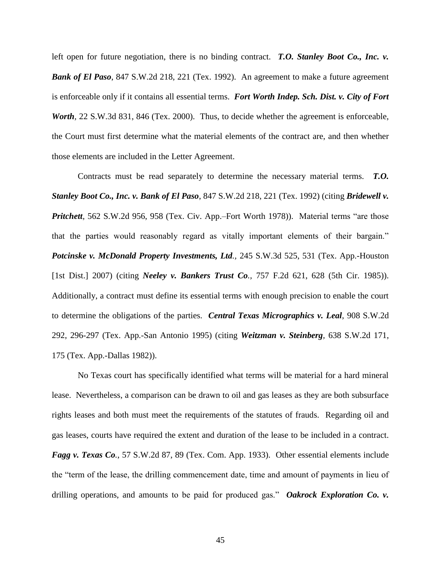left open for future negotiation, there is no binding contract. *T.O. Stanley Boot Co., Inc. v. Bank of El Paso*, 847 S.W.2d 218, 221 (Tex. 1992). An agreement to make a future agreement is enforceable only if it contains all essential terms. *Fort Worth Indep. Sch. Dist. v. City of Fort Worth*, 22 S.W.3d 831, 846 (Tex. 2000). Thus, to decide whether the agreement is enforceable, the Court must first determine what the material elements of the contract are, and then whether those elements are included in the Letter Agreement.

Contracts must be read separately to determine the necessary material terms. *T.O. Stanley Boot Co., Inc. v. Bank of El Paso*, 847 S.W.2d 218, 221 (Tex. 1992) (citing *Bridewell v. Pritchett*, 562 S.W.2d 956, 958 (Tex. Civ. App.–Fort Worth 1978)). Material terms "are those that the parties would reasonably regard as vitally important elements of their bargain." *Potcinske v. McDonald Property Investments, Ltd.,* 245 S.W.3d 525, 531 (Tex. App.-Houston [1st Dist.] 2007) (citing *Neeley v. Bankers Trust Co.,* 757 F.2d 621, 628 (5th Cir. 1985)). Additionally, a contract must define its essential terms with enough precision to enable the court to determine the obligations of the parties. *Central Texas Micrographics v. Leal*, 908 S.W.2d 292, 296-297 (Tex. App.-San Antonio 1995) (citing *Weitzman v. Steinberg,* 638 S.W.2d 171, 175 (Tex. App.-Dallas 1982)).

No Texas court has specifically identified what terms will be material for a hard mineral lease. Nevertheless, a comparison can be drawn to oil and gas leases as they are both subsurface rights leases and both must meet the requirements of the statutes of frauds. Regarding oil and gas leases, courts have required the extent and duration of the lease to be included in a contract. *Fagg v. Texas Co.*, 57 S.W.2d 87, 89 (Tex. Com. App. 1933). Other essential elements include the "term of the lease, the drilling commencement date, time and amount of payments in lieu of drilling operations, and amounts to be paid for produced gas." Oakrock Exploration Co. v.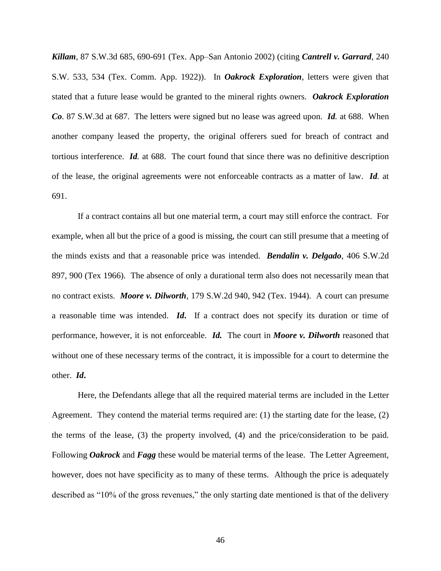*Killam*, 87 S.W.3d 685, 690-691 (Tex. App–San Antonio 2002) (citing *Cantrell v. Garrard*, 240 S.W. 533, 534 (Tex. Comm. App. 1922)). In *Oakrock Exploration*, letters were given that stated that a future lease would be granted to the mineral rights owners. *Oakrock Exploration Co.* 87 S.W.3d at 687. The letters were signed but no lease was agreed upon. *Id.* at 688. When another company leased the property, the original offerers sued for breach of contract and tortious interference. *Id.* at 688. The court found that since there was no definitive description of the lease, the original agreements were not enforceable contracts as a matter of law. *Id.* at 691.

If a contract contains all but one material term, a court may still enforce the contract. For example, when all but the price of a good is missing, the court can still presume that a meeting of the minds exists and that a reasonable price was intended. *Bendalin v. Delgado*, 406 S.W.2d 897, 900 (Tex 1966). The absence of only a durational term also does not necessarily mean that no contract exists. *Moore v. Dilworth,* 179 S.W.2d 940, 942 (Tex. 1944). A court can presume a reasonable time was intended. *Id***.** If a contract does not specify its duration or time of performance, however, it is not enforceable. *Id.* The court in *Moore v. Dilworth* reasoned that without one of these necessary terms of the contract, it is impossible for a court to determine the other. *Id***.**

Here, the Defendants allege that all the required material terms are included in the Letter Agreement. They contend the material terms required are: (1) the starting date for the lease, (2) the terms of the lease, (3) the property involved, (4) and the price/consideration to be paid. Following *Oakrock* and *Fagg* these would be material terms of the lease. The Letter Agreement, however, does not have specificity as to many of these terms. Although the price is adequately described as "10% of the gross revenues," the only starting date mentioned is that of the delivery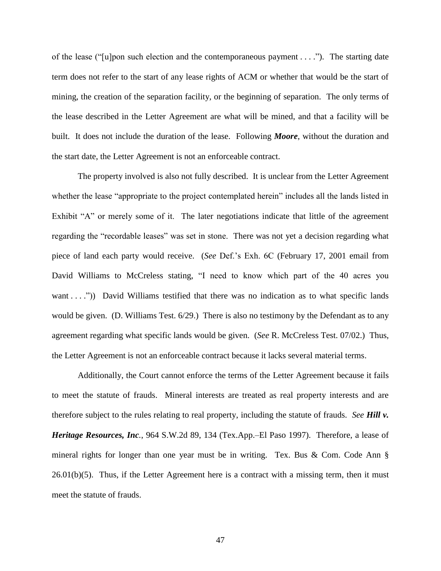of the lease ("[u]pon such election and the contemporaneous payment  $\dots$ ."). The starting date term does not refer to the start of any lease rights of ACM or whether that would be the start of mining, the creation of the separation facility, or the beginning of separation. The only terms of the lease described in the Letter Agreement are what will be mined, and that a facility will be built. It does not include the duration of the lease. Following *Moore*, without the duration and the start date, the Letter Agreement is not an enforceable contract.

The property involved is also not fully described. It is unclear from the Letter Agreement whether the lease "appropriate to the project contemplated herein" includes all the lands listed in Exhibit "A" or merely some of it. The later negotiations indicate that little of the agreement regarding the "recordable leases" was set in stone. There was not yet a decision regarding what piece of land each party would receive. (*See* Def.'s Exh. 6C (February 17, 2001 email from David Williams to McCreless stating, "I need to know which part of the 40 acres you want . . . .")) David Williams testified that there was no indication as to what specific lands would be given. (D. Williams Test. 6/29.) There is also no testimony by the Defendant as to any agreement regarding what specific lands would be given. (*See* R. McCreless Test. 07/02.) Thus, the Letter Agreement is not an enforceable contract because it lacks several material terms.

Additionally, the Court cannot enforce the terms of the Letter Agreement because it fails to meet the statute of frauds. Mineral interests are treated as real property interests and are therefore subject to the rules relating to real property, including the statute of frauds. *See Hill v. Heritage Resources, Inc.*, 964 S.W.2d 89, 134 (Tex.App.–El Paso 1997). Therefore, a lease of mineral rights for longer than one year must be in writing. Tex. Bus & Com. Code Ann §  $26.01(b)(5)$ . Thus, if the Letter Agreement here is a contract with a missing term, then it must meet the statute of frauds.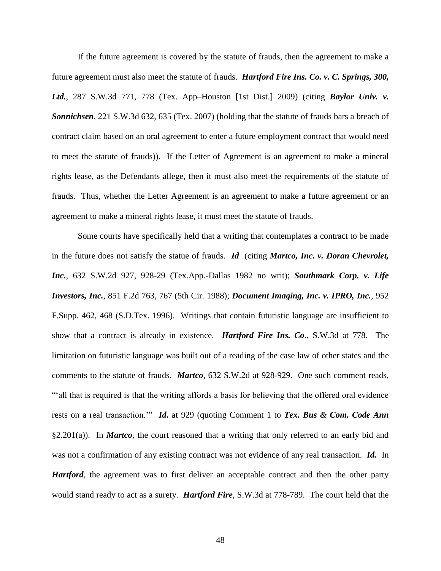If the future agreement is covered by the statute of frauds, then the agreement to make a future agreement must also meet the statute of frauds. *Hartford Fire Ins. Co. v. C. Springs, 300, Ltd.*, 287 S.W.3d 771, 778 (Tex. App–Houston [1st Dist.] 2009) (citing *Baylor Univ. v. Sonnichsen,* 221 S.W.3d 632, 635 (Tex. 2007) (holding that the statute of frauds bars a breach of contract claim based on an oral agreement to enter a future employment contract that would need to meet the statute of frauds)). If the Letter of Agreement is an agreement to make a mineral rights lease, as the Defendants allege, then it must also meet the requirements of the statute of frauds. Thus, whether the Letter Agreement is an agreement to make a future agreement or an agreement to make a mineral rights lease, it must meet the statute of frauds.

Some courts have specifically held that a writing that contemplates a contract to be made in the future does not satisfy the statue of frauds. *Id* (citing *Martco, Inc. v. Doran Chevrolet, Inc.,* 632 S.W.2d 927, 928-29 (Tex.App.-Dallas 1982 no writ); *Southmark Corp. v. Life Investors, Inc.,* 851 F.2d 763, 767 (5th Cir. 1988); *Document Imaging, Inc. v. IPRO, Inc.,* 952 F.Supp. 462, 468 (S.D.Tex. 1996). Writings that contain futuristic language are insufficient to show that a contract is already in existence. *Hartford Fire Ins. Co.*, S.W.3d at 778. The limitation on futuristic language was built out of a reading of the case law of other states and the comments to the statute of frauds. *Martco,* 632 S.W.2d at 928-929. One such comment reads, ―‗all that is required is that the writing affords a basis for believing that the offered oral evidence rests on a real transaction." *Id***.** at 929 (quoting Comment 1 to *Tex. Bus & Com. Code Ann* §2.201(a)). In *Martco*, the court reasoned that a writing that only referred to an early bid and was not a confirmation of any existing contract was not evidence of any real transaction. *Id.* In *Hartford*, the agreement was to first deliver an acceptable contract and then the other party would stand ready to act as a surety. *Hartford Fire*, S.W.3d at 778-789. The court held that the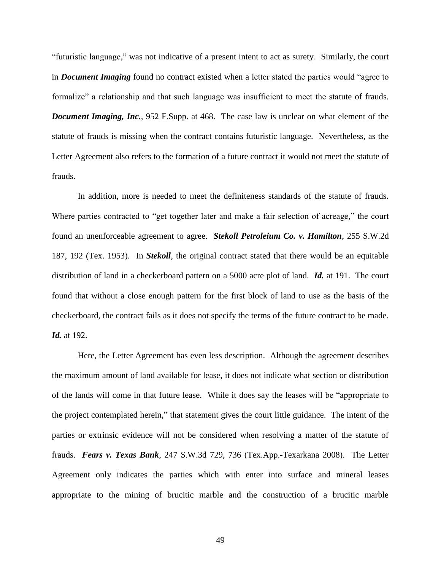―futuristic language,‖ was not indicative of a present intent to act as surety. Similarly, the court in *Document Imaging* found no contract existed when a letter stated the parties would "agree to formalize" a relationship and that such language was insufficient to meet the statute of frauds. *Document Imaging, Inc.*, 952 F.Supp. at 468. The case law is unclear on what element of the statute of frauds is missing when the contract contains futuristic language. Nevertheless, as the Letter Agreement also refers to the formation of a future contract it would not meet the statute of frauds.

In addition, more is needed to meet the definiteness standards of the statute of frauds. Where parties contracted to "get together later and make a fair selection of acreage," the court found an unenforceable agreement to agree. *Stekoll Petroleium Co. v. Hamilton*, 255 S.W.2d 187, 192 (Tex. 1953). In *Stekoll*, the original contract stated that there would be an equitable distribution of land in a checkerboard pattern on a 5000 acre plot of land. *Id.* at 191. The court found that without a close enough pattern for the first block of land to use as the basis of the checkerboard, the contract fails as it does not specify the terms of the future contract to be made. *Id.* at 192.

Here, the Letter Agreement has even less description. Although the agreement describes the maximum amount of land available for lease, it does not indicate what section or distribution of the lands will come in that future lease. While it does say the leases will be "appropriate to the project contemplated herein," that statement gives the court little guidance. The intent of the parties or extrinsic evidence will not be considered when resolving a matter of the statute of frauds. *Fears v. Texas Bank*, 247 S.W.3d 729, 736 (Tex.App.-Texarkana 2008). The Letter Agreement only indicates the parties which with enter into surface and mineral leases appropriate to the mining of brucitic marble and the construction of a brucitic marble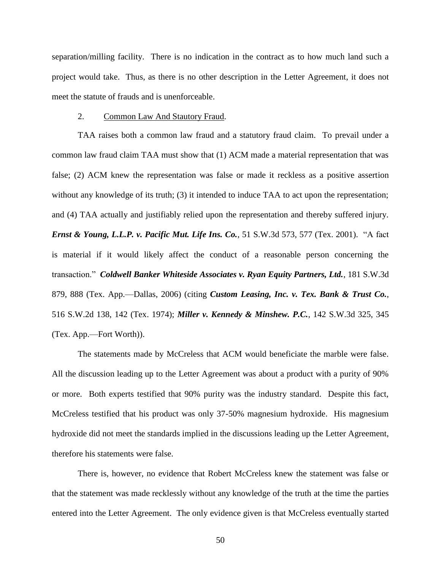separation/milling facility. There is no indication in the contract as to how much land such a project would take. Thus, as there is no other description in the Letter Agreement, it does not meet the statute of frauds and is unenforceable.

## 2. Common Law And Stautory Fraud.

TAA raises both a common law fraud and a statutory fraud claim. To prevail under a common law fraud claim TAA must show that (1) ACM made a material representation that was false; (2) ACM knew the representation was false or made it reckless as a positive assertion without any knowledge of its truth; (3) it intended to induce TAA to act upon the representation; and (4) TAA actually and justifiably relied upon the representation and thereby suffered injury. *Ernst & Young, L.L.P. v. Pacific Mut. Life Ins. Co., 51 S.W.3d 573, 577 (Tex. 2001).* **"A fact** is material if it would likely affect the conduct of a reasonable person concerning the transaction.‖ *Coldwell Banker Whiteside Associates v. Ryan Equity Partners, Ltd.*, 181 S.W.3d 879, 888 (Tex. App.—Dallas, 2006) (citing *Custom Leasing, Inc. v. Tex. Bank & Trust Co.*, 516 S.W.2d 138, 142 (Tex. 1974); *Miller v. Kennedy & Minshew. P.C.*, 142 S.W.3d 325, 345 (Tex. App.—Fort Worth)).

The statements made by McCreless that ACM would beneficiate the marble were false. All the discussion leading up to the Letter Agreement was about a product with a purity of 90% or more. Both experts testified that 90% purity was the industry standard. Despite this fact, McCreless testified that his product was only 37-50% magnesium hydroxide. His magnesium hydroxide did not meet the standards implied in the discussions leading up the Letter Agreement, therefore his statements were false.

There is, however, no evidence that Robert McCreless knew the statement was false or that the statement was made recklessly without any knowledge of the truth at the time the parties entered into the Letter Agreement. The only evidence given is that McCreless eventually started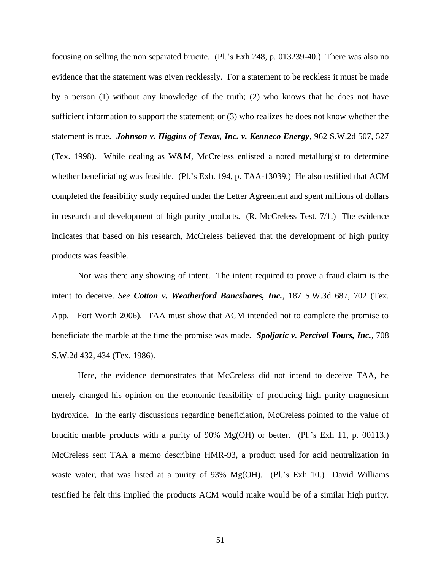focusing on selling the non separated brucite. (Pl.'s Exh 248, p. 013239-40.) There was also no evidence that the statement was given recklessly. For a statement to be reckless it must be made by a person (1) without any knowledge of the truth; (2) who knows that he does not have sufficient information to support the statement; or (3) who realizes he does not know whether the statement is true. *Johnson v. Higgins of Texas, Inc. v. Kenneco Energy*, 962 S.W.2d 507, 527 (Tex. 1998). While dealing as W&M, McCreless enlisted a noted metallurgist to determine whether beneficiating was feasible. (Pl.'s Exh. 194, p. TAA-13039.) He also testified that ACM completed the feasibility study required under the Letter Agreement and spent millions of dollars in research and development of high purity products. (R. McCreless Test. 7/1.) The evidence indicates that based on his research, McCreless believed that the development of high purity products was feasible.

Nor was there any showing of intent. The intent required to prove a fraud claim is the intent to deceive. *See Cotton v. Weatherford Bancshares, Inc.*, 187 S.W.3d 687, 702 (Tex. App.—Fort Worth 2006). TAA must show that ACM intended not to complete the promise to beneficiate the marble at the time the promise was made. *Spoljaric v. Percival Tours, Inc.*, 708 S.W.2d 432, 434 (Tex. 1986).

Here, the evidence demonstrates that McCreless did not intend to deceive TAA, he merely changed his opinion on the economic feasibility of producing high purity magnesium hydroxide. In the early discussions regarding beneficiation, McCreless pointed to the value of brucitic marble products with a purity of 90% Mg(OH) or better. (Pl.'s Exh 11, p. 00113.) McCreless sent TAA a memo describing HMR-93, a product used for acid neutralization in waste water, that was listed at a purity of 93% Mg(OH). (Pl.'s Exh 10.) David Williams testified he felt this implied the products ACM would make would be of a similar high purity.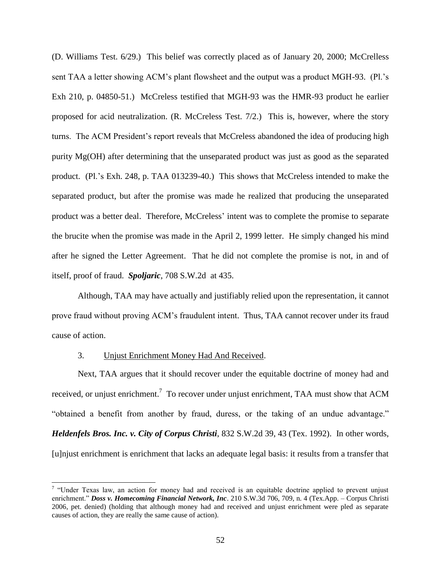(D. Williams Test. 6/29.) This belief was correctly placed as of January 20, 2000; McCrelless sent TAA a letter showing ACM's plant flowsheet and the output was a product MGH-93. (Pl.'s Exh 210, p. 04850-51.) McCreless testified that MGH-93 was the HMR-93 product he earlier proposed for acid neutralization. (R. McCreless Test. 7/2.) This is, however, where the story turns. The ACM President's report reveals that McCreless abandoned the idea of producing high purity Mg(OH) after determining that the unseparated product was just as good as the separated product. (Pl.'s Exh. 248, p. TAA 013239-40.) This shows that McCreless intended to make the separated product, but after the promise was made he realized that producing the unseparated product was a better deal. Therefore, McCreless' intent was to complete the promise to separate the brucite when the promise was made in the April 2, 1999 letter. He simply changed his mind after he signed the Letter Agreement. That he did not complete the promise is not, in and of itself, proof of fraud. *Spoljaric*, 708 S.W.2d at 435.

Although, TAA may have actually and justifiably relied upon the representation, it cannot prove fraud without proving ACM's fraudulent intent. Thus, TAA cannot recover under its fraud cause of action.

# 3. Unjust Enrichment Money Had And Received.

 $\overline{a}$ 

Next, TAA argues that it should recover under the equitable doctrine of money had and received, or unjust enrichment.<sup>7</sup> To recover under unjust enrichment, TAA must show that ACM "obtained a benefit from another by fraud, duress, or the taking of an undue advantage." *Heldenfels Bros. Inc. v. City of Corpus Christi*, 832 S.W.2d 39, 43 (Tex. 1992). In other words, [u]njust enrichment is enrichment that lacks an adequate legal basis: it results from a transfer that

<sup>&</sup>lt;sup>7</sup> "Under Texas law, an action for money had and received is an equitable doctrine applied to prevent unjust enrichment." *Doss v. Homecoming Financial Network, Inc.* 210 S.W.3d 706, 709, n. 4 (Tex.App. – Corpus Christi 2006, pet. denied) (holding that although money had and received and unjust enrichment were pled as separate causes of action, they are really the same cause of action).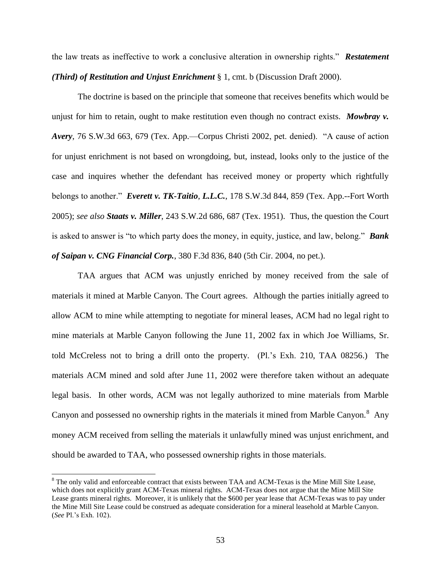the law treats as ineffective to work a conclusive alteration in ownership rights.‖ *Restatement (Third) of Restitution and Unjust Enrichment* § 1, cmt. b (Discussion Draft 2000).

The doctrine is based on the principle that someone that receives benefits which would be unjust for him to retain, ought to make restitution even though no contract exists. *Mowbray v. Avery*, 76 S.W.3d 663, 679 (Tex. App.—Corpus Christi 2002, pet. denied). "A cause of action for unjust enrichment is not based on wrongdoing, but, instead, looks only to the justice of the case and inquires whether the defendant has received money or property which rightfully belongs to another." *Everett v. TK-Taitio, L.L.C.*, 178 S.W.3d 844, 859 (Tex. App.--Fort Worth 2005); *see also Staats v. Miller*, 243 S.W.2d 686, 687 (Tex. 1951). Thus, the question the Court is asked to answer is "to which party does the money, in equity, justice, and law, belong." **Bank** *of Saipan v. CNG Financial Corp.*, 380 F.3d 836, 840 (5th Cir. 2004, no pet.).

TAA argues that ACM was unjustly enriched by money received from the sale of materials it mined at Marble Canyon. The Court agrees. Although the parties initially agreed to allow ACM to mine while attempting to negotiate for mineral leases, ACM had no legal right to mine materials at Marble Canyon following the June 11, 2002 fax in which Joe Williams, Sr. told McCreless not to bring a drill onto the property. (Pl.'s Exh. 210, TAA 08256.) The materials ACM mined and sold after June 11, 2002 were therefore taken without an adequate legal basis. In other words, ACM was not legally authorized to mine materials from Marble Canyon and possessed no ownership rights in the materials it mined from Marble Canyon.<sup>8</sup> Any money ACM received from selling the materials it unlawfully mined was unjust enrichment, and should be awarded to TAA, who possessed ownership rights in those materials.

 $\overline{a}$ 

<sup>&</sup>lt;sup>8</sup> The only valid and enforceable contract that exists between TAA and ACM-Texas is the Mine Mill Site Lease, which does not explicitly grant ACM-Texas mineral rights. ACM-Texas does not argue that the Mine Mill Site Lease grants mineral rights. Moreover, it is unlikely that the \$600 per year lease that ACM-Texas was to pay under the Mine Mill Site Lease could be construed as adequate consideration for a mineral leasehold at Marble Canyon. (*See* Pl.'s Exh. 102).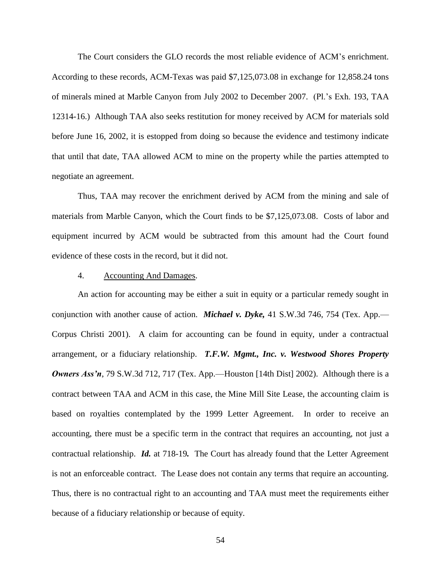The Court considers the GLO records the most reliable evidence of ACM's enrichment. According to these records, ACM-Texas was paid \$7,125,073.08 in exchange for 12,858.24 tons of minerals mined at Marble Canyon from July 2002 to December 2007. (Pl.'s Exh. 193, TAA 12314-16.) Although TAA also seeks restitution for money received by ACM for materials sold before June 16, 2002, it is estopped from doing so because the evidence and testimony indicate that until that date, TAA allowed ACM to mine on the property while the parties attempted to negotiate an agreement.

Thus, TAA may recover the enrichment derived by ACM from the mining and sale of materials from Marble Canyon, which the Court finds to be \$7,125,073.08. Costs of labor and equipment incurred by ACM would be subtracted from this amount had the Court found evidence of these costs in the record, but it did not.

# 4. Accounting And Damages.

An action for accounting may be either a suit in equity or a particular remedy sought in conjunction with another cause of action. *Michael v. Dyke,* 41 S.W.3d 746, 754 (Tex. App.— Corpus Christi 2001). A claim for accounting can be found in equity, under a contractual arrangement, or a fiduciary relationship. *T.F.W. Mgmt., Inc. v. Westwood Shores Property Owners Ass'n*, 79 S.W.3d 712, 717 (Tex. App.—Houston [14th Dist] 2002). Although there is a contract between TAA and ACM in this case, the Mine Mill Site Lease, the accounting claim is based on royalties contemplated by the 1999 Letter Agreement. In order to receive an accounting, there must be a specific term in the contract that requires an accounting, not just a contractual relationship. *Id.* at 718-19*.* The Court has already found that the Letter Agreement is not an enforceable contract. The Lease does not contain any terms that require an accounting. Thus, there is no contractual right to an accounting and TAA must meet the requirements either because of a fiduciary relationship or because of equity.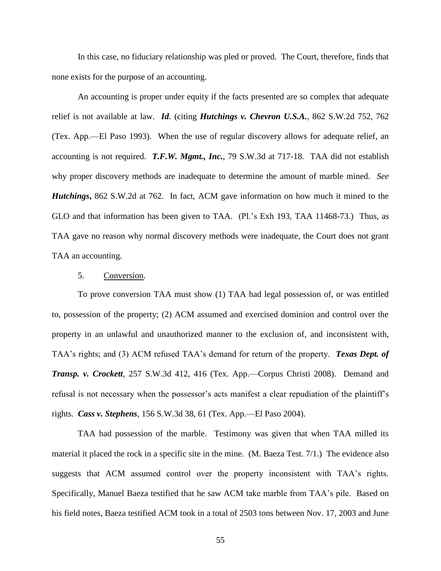In this case, no fiduciary relationship was pled or proved. The Court, therefore, finds that none exists for the purpose of an accounting.

An accounting is proper under equity if the facts presented are so complex that adequate relief is not available at law. *Id.* (citing *Hutchings v. Chevron U.S.A.*, 862 S.W.2d 752, 762 (Tex. App.—El Paso 1993). When the use of regular discovery allows for adequate relief, an accounting is not required. *T.F.W. Mgmt., Inc.*, 79 S.W.3d at 717-18*.* TAA did not establish why proper discovery methods are inadequate to determine the amount of marble mined. *See Hutchings***,** 862 S.W.2d at 762. In fact, ACM gave information on how much it mined to the GLO and that information has been given to TAA. (Pl.'s Exh 193, TAA 11468-73.) Thus, as TAA gave no reason why normal discovery methods were inadequate, the Court does not grant TAA an accounting.

# 5. Conversion.

To prove conversion TAA must show (1) TAA had legal possession of, or was entitled to, possession of the property; (2) ACM assumed and exercised dominion and control over the property in an unlawful and unauthorized manner to the exclusion of, and inconsistent with, TAA's rights; and (3) ACM refused TAA's demand for return of the property. *Texas Dept. of Transp. v. Crockett*, 257 S.W.3d 412, 416 (Tex. App.—Corpus Christi 2008). Demand and refusal is not necessary when the possessor's acts manifest a clear repudiation of the plaintiff's rights. *Cass v. Stephens*, 156 S.W.3d 38, 61 (Tex. App.—El Paso 2004).

TAA had possession of the marble. Testimony was given that when TAA milled its material it placed the rock in a specific site in the mine. (M. Baeza Test. 7/1.) The evidence also suggests that ACM assumed control over the property inconsistent with TAA's rights. Specifically, Manuel Baeza testified that he saw ACM take marble from TAA's pile. Based on his field notes, Baeza testified ACM took in a total of 2503 tons between Nov. 17, 2003 and June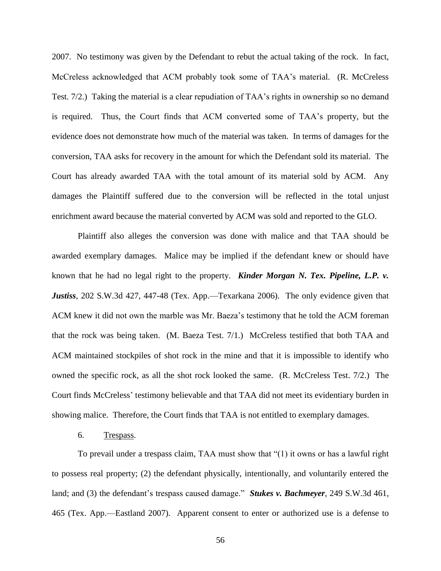2007. No testimony was given by the Defendant to rebut the actual taking of the rock. In fact, McCreless acknowledged that ACM probably took some of TAA's material. (R. McCreless Test. 7/2.) Taking the material is a clear repudiation of TAA's rights in ownership so no demand is required. Thus, the Court finds that ACM converted some of TAA's property, but the evidence does not demonstrate how much of the material was taken. In terms of damages for the conversion, TAA asks for recovery in the amount for which the Defendant sold its material. The Court has already awarded TAA with the total amount of its material sold by ACM. Any damages the Plaintiff suffered due to the conversion will be reflected in the total unjust enrichment award because the material converted by ACM was sold and reported to the GLO.

Plaintiff also alleges the conversion was done with malice and that TAA should be awarded exemplary damages. Malice may be implied if the defendant knew or should have known that he had no legal right to the property. *Kinder Morgan N. Tex. Pipeline, L.P. v. Justiss*, 202 S.W.3d 427, 447-48 (Tex. App.—Texarkana 2006). The only evidence given that ACM knew it did not own the marble was Mr. Baeza's testimony that he told the ACM foreman that the rock was being taken. (M. Baeza Test. 7/1.) McCreless testified that both TAA and ACM maintained stockpiles of shot rock in the mine and that it is impossible to identify who owned the specific rock, as all the shot rock looked the same. (R. McCreless Test. 7/2.) The Court finds McCreless' testimony believable and that TAA did not meet its evidentiary burden in showing malice. Therefore, the Court finds that TAA is not entitled to exemplary damages.

# 6. Trespass.

To prevail under a trespass claim, TAA must show that  $\degree(1)$  it owns or has a lawful right to possess real property; (2) the defendant physically, intentionally, and voluntarily entered the land; and (3) the defendant's trespass caused damage." *Stukes v. Bachmeyer*, 249 S.W.3d 461, 465 (Tex. App.—Eastland 2007). Apparent consent to enter or authorized use is a defense to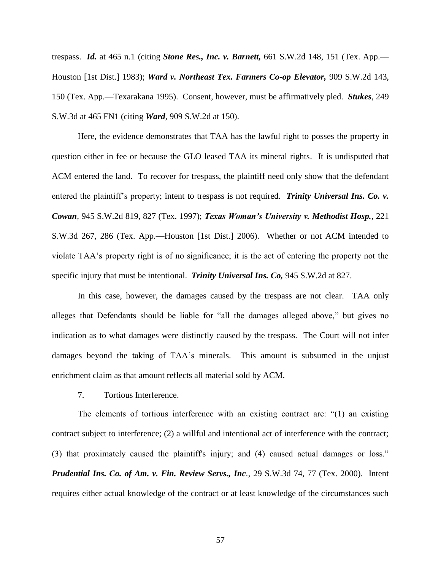trespass. *Id.* at 465 n.1 (citing *Stone Res., Inc. v. Barnett,* 661 S.W.2d 148, 151 (Tex. App.— Houston [1st Dist.] 1983); *Ward v. Northeast Tex. Farmers Co-op Elevator,* 909 S.W.2d 143, 150 (Tex. App.—Texarakana 1995). Consent, however, must be affirmatively pled. *Stukes*, 249 S.W.3d at 465 FN1 (citing *Ward*, 909 S.W.2d at 150).

Here, the evidence demonstrates that TAA has the lawful right to posses the property in question either in fee or because the GLO leased TAA its mineral rights. It is undisputed that ACM entered the land. To recover for trespass, the plaintiff need only show that the defendant entered the plaintiff's property; intent to trespass is not required. *Trinity Universal Ins. Co. v. Cowan,* 945 S.W.2d 819, 827 (Tex. 1997); *Texas Woman's University v. Methodist Hosp.*, 221 S.W.3d 267, 286 (Tex. App.—Houston [1st Dist.] 2006). Whether or not ACM intended to violate TAA's property right is of no significance; it is the act of entering the property not the specific injury that must be intentional. *Trinity Universal Ins. Co,* 945 S.W.2d at 827.

In this case, however, the damages caused by the trespass are not clear. TAA only alleges that Defendants should be liable for "all the damages alleged above," but gives no indication as to what damages were distinctly caused by the trespass. The Court will not infer damages beyond the taking of TAA's minerals. This amount is subsumed in the unjust enrichment claim as that amount reflects all material sold by ACM.

# 7. Tortious Interference.

The elements of tortious interference with an existing contract are:  $(1)$  an existing contract subject to interference; (2) a willful and intentional act of interference with the contract; (3) that proximately caused the plaintiff's injury; and (4) caused actual damages or loss." *Prudential Ins. Co. of Am. v. Fin. Review Servs., Inc.,* 29 S.W.3d 74, 77 (Tex. 2000). Intent requires either actual knowledge of the contract or at least knowledge of the circumstances such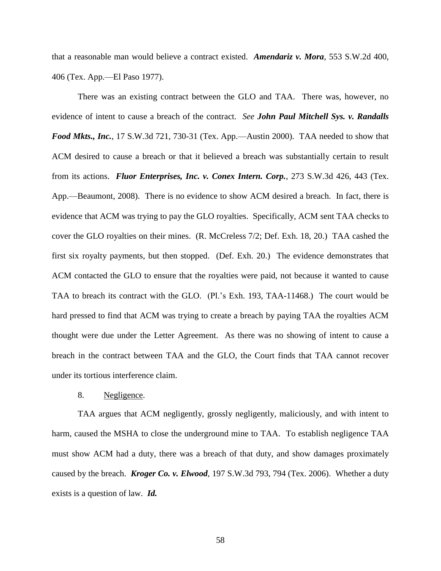that a reasonable man would believe a contract existed. *Amendariz v. Mora*, 553 S.W.2d 400, 406 (Tex. App.—El Paso 1977).

There was an existing contract between the GLO and TAA. There was, however, no evidence of intent to cause a breach of the contract. *See John Paul Mitchell Sys. v. Randalls Food Mkts., Inc.*, 17 S.W.3d 721, 730-31 (Tex. App.—Austin 2000). TAA needed to show that ACM desired to cause a breach or that it believed a breach was substantially certain to result from its actions. *Fluor Enterprises, Inc. v. Conex Intern. Corp.*, 273 S.W.3d 426, 443 (Tex. App.—Beaumont, 2008). There is no evidence to show ACM desired a breach. In fact, there is evidence that ACM was trying to pay the GLO royalties. Specifically, ACM sent TAA checks to cover the GLO royalties on their mines. (R. McCreless 7/2; Def. Exh. 18, 20.) TAA cashed the first six royalty payments, but then stopped. (Def. Exh. 20.) The evidence demonstrates that ACM contacted the GLO to ensure that the royalties were paid, not because it wanted to cause TAA to breach its contract with the GLO. (Pl.'s Exh. 193, TAA-11468.) The court would be hard pressed to find that ACM was trying to create a breach by paying TAA the royalties ACM thought were due under the Letter Agreement. As there was no showing of intent to cause a breach in the contract between TAA and the GLO, the Court finds that TAA cannot recover under its tortious interference claim.

# 8. Negligence.

TAA argues that ACM negligently, grossly negligently, maliciously, and with intent to harm, caused the MSHA to close the underground mine to TAA. To establish negligence TAA must show ACM had a duty, there was a breach of that duty, and show damages proximately caused by the breach. *Kroger Co. v. Elwood*, 197 S.W.3d 793, 794 (Tex. 2006). Whether a duty exists is a question of law. *Id.*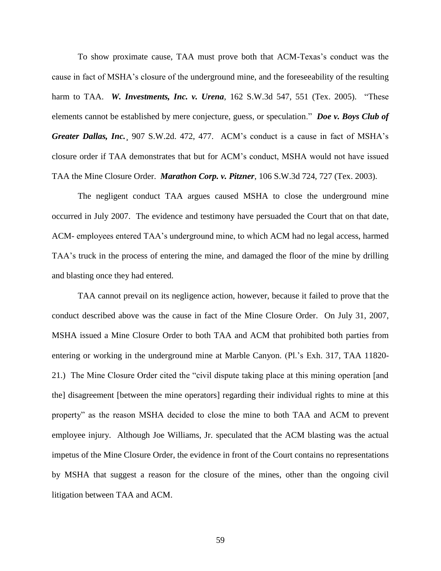To show proximate cause, TAA must prove both that ACM-Texas's conduct was the cause in fact of MSHA's closure of the underground mine, and the foreseeability of the resulting harm to TAA. *W. Investments, Inc. v. Urena*, 162 S.W.3d 547, 551 (Tex. 2005). "These elements cannot be established by mere conjecture, guess, or speculation." *Doe v. Boys Club of Greater Dallas, Inc.*¸ 907 S.W.2d. 472, 477. ACM's conduct is a cause in fact of MSHA's closure order if TAA demonstrates that but for ACM's conduct, MSHA would not have issued TAA the Mine Closure Order. *Marathon Corp. v. Pitzner*, 106 S.W.3d 724, 727 (Tex. 2003).

The negligent conduct TAA argues caused MSHA to close the underground mine occurred in July 2007. The evidence and testimony have persuaded the Court that on that date, ACM- employees entered TAA's underground mine, to which ACM had no legal access, harmed TAA's truck in the process of entering the mine, and damaged the floor of the mine by drilling and blasting once they had entered.

TAA cannot prevail on its negligence action, however, because it failed to prove that the conduct described above was the cause in fact of the Mine Closure Order. On July 31, 2007, MSHA issued a Mine Closure Order to both TAA and ACM that prohibited both parties from entering or working in the underground mine at Marble Canyon. (Pl.'s Exh. 317, TAA 11820- 21.) The Mine Closure Order cited the "civil dispute taking place at this mining operation [and the] disagreement [between the mine operators] regarding their individual rights to mine at this property" as the reason MSHA decided to close the mine to both TAA and ACM to prevent employee injury. Although Joe Williams, Jr. speculated that the ACM blasting was the actual impetus of the Mine Closure Order, the evidence in front of the Court contains no representations by MSHA that suggest a reason for the closure of the mines, other than the ongoing civil litigation between TAA and ACM.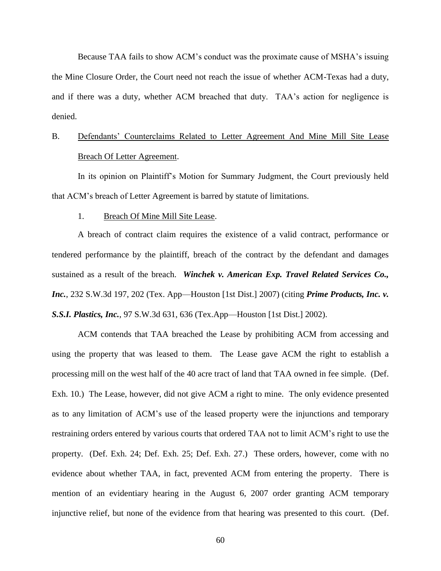Because TAA fails to show ACM's conduct was the proximate cause of MSHA's issuing the Mine Closure Order, the Court need not reach the issue of whether ACM-Texas had a duty, and if there was a duty, whether ACM breached that duty. TAA's action for negligence is denied.

# B. Defendants' Counterclaims Related to Letter Agreement And Mine Mill Site Lease Breach Of Letter Agreement.

In its opinion on Plaintiff's Motion for Summary Judgment, the Court previously held that ACM's breach of Letter Agreement is barred by statute of limitations.

# 1. Breach Of Mine Mill Site Lease.

A breach of contract claim requires the existence of a valid contract, performance or tendered performance by the plaintiff, breach of the contract by the defendant and damages sustained as a result of the breach. *Winchek v. American Exp. Travel Related Services Co., Inc.*, 232 S.W.3d 197, 202 (Tex. App—Houston [1st Dist.] 2007) (citing *Prime Products, Inc. v. S.S.I. Plastics, Inc.*, 97 S.W.3d 631, 636 (Tex.App—Houston [1st Dist.] 2002).

ACM contends that TAA breached the Lease by prohibiting ACM from accessing and using the property that was leased to them. The Lease gave ACM the right to establish a processing mill on the west half of the 40 acre tract of land that TAA owned in fee simple. (Def. Exh. 10.) The Lease, however, did not give ACM a right to mine. The only evidence presented as to any limitation of ACM's use of the leased property were the injunctions and temporary restraining orders entered by various courts that ordered TAA not to limit ACM's right to use the property. (Def. Exh. 24; Def. Exh. 25; Def. Exh. 27.) These orders, however, come with no evidence about whether TAA, in fact, prevented ACM from entering the property. There is mention of an evidentiary hearing in the August 6, 2007 order granting ACM temporary injunctive relief, but none of the evidence from that hearing was presented to this court. (Def.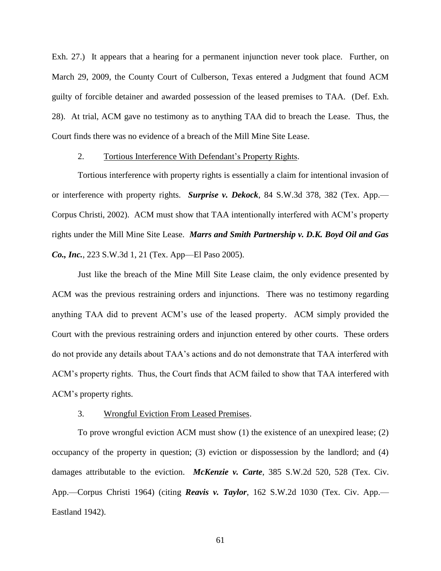Exh. 27.) It appears that a hearing for a permanent injunction never took place. Further, on March 29, 2009, the County Court of Culberson, Texas entered a Judgment that found ACM guilty of forcible detainer and awarded possession of the leased premises to TAA. (Def. Exh. 28). At trial, ACM gave no testimony as to anything TAA did to breach the Lease. Thus, the Court finds there was no evidence of a breach of the Mill Mine Site Lease.

## 2. Tortious Interference With Defendant's Property Rights.

Tortious interference with property rights is essentially a claim for intentional invasion of or interference with property rights. *Surprise v. Dekock*, 84 S.W.3d 378, 382 (Tex. App.— Corpus Christi, 2002). ACM must show that TAA intentionally interfered with ACM's property rights under the Mill Mine Site Lease. *Marrs and Smith Partnership v. D.K. Boyd Oil and Gas Co., Inc.*, 223 S.W.3d 1, 21 (Tex. App—El Paso 2005).

Just like the breach of the Mine Mill Site Lease claim, the only evidence presented by ACM was the previous restraining orders and injunctions. There was no testimony regarding anything TAA did to prevent ACM's use of the leased property. ACM simply provided the Court with the previous restraining orders and injunction entered by other courts. These orders do not provide any details about TAA's actions and do not demonstrate that TAA interfered with ACM's property rights. Thus, the Court finds that ACM failed to show that TAA interfered with ACM's property rights.

# 3. Wrongful Eviction From Leased Premises.

To prove wrongful eviction ACM must show (1) the existence of an unexpired lease; (2) occupancy of the property in question; (3) eviction or dispossession by the landlord; and (4) damages attributable to the eviction. *McKenzie v. Carte*, 385 S.W.2d 520, 528 (Tex. Civ. App.—Corpus Christi 1964) (citing *Reavis v. Taylor*, 162 S.W.2d 1030 (Tex. Civ. App.— Eastland 1942).

61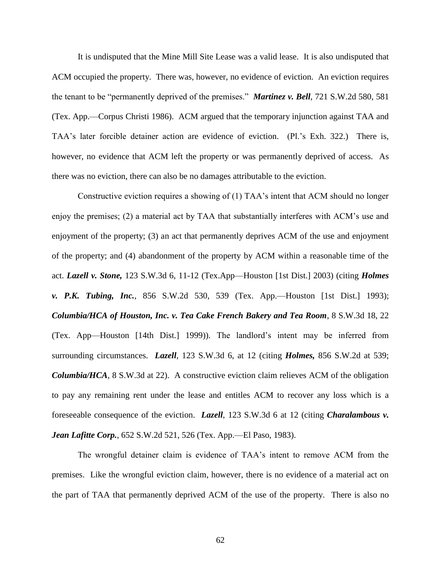It is undisputed that the Mine Mill Site Lease was a valid lease. It is also undisputed that ACM occupied the property. There was, however, no evidence of eviction. An eviction requires the tenant to be "permanently deprived of the premises." *Martinez v. Bell*, 721 S.W.2d 580, 581 (Tex. App.—Corpus Christi 1986). ACM argued that the temporary injunction against TAA and TAA's later forcible detainer action are evidence of eviction. (Pl.'s Exh. 322.) There is, however, no evidence that ACM left the property or was permanently deprived of access. As there was no eviction, there can also be no damages attributable to the eviction.

Constructive eviction requires a showing of (1) TAA's intent that ACM should no longer enjoy the premises; (2) a material act by TAA that substantially interferes with ACM's use and enjoyment of the property; (3) an act that permanently deprives ACM of the use and enjoyment of the property; and (4) abandonment of the property by ACM within a reasonable time of the act. *Lazell v. Stone,* 123 S.W.3d 6, 11-12 (Tex.App—Houston [1st Dist.] 2003) (citing *Holmes v. P.K. Tubing, Inc.*, 856 S.W.2d 530, 539 (Tex. App.—Houston [1st Dist.] 1993); *Columbia/HCA of Houston, Inc. v. Tea Cake French Bakery and Tea Room*, 8 S.W.3d 18, 22 (Tex. App—Houston [14th Dist.] 1999)). The landlord's intent may be inferred from surrounding circumstances. *Lazell*, 123 S.W.3d 6, at 12 (citing *Holmes,* 856 S.W.2d at 539; *Columbia/HCA*, 8 S.W.3d at 22). A constructive eviction claim relieves ACM of the obligation to pay any remaining rent under the lease and entitles ACM to recover any loss which is a foreseeable consequence of the eviction. *Lazell*, 123 S.W.3d 6 at 12 (citing *Charalambous v. Jean Lafitte Corp.*, 652 S.W.2d 521, 526 (Tex. App.—El Paso, 1983).

The wrongful detainer claim is evidence of TAA's intent to remove ACM from the premises. Like the wrongful eviction claim, however, there is no evidence of a material act on the part of TAA that permanently deprived ACM of the use of the property. There is also no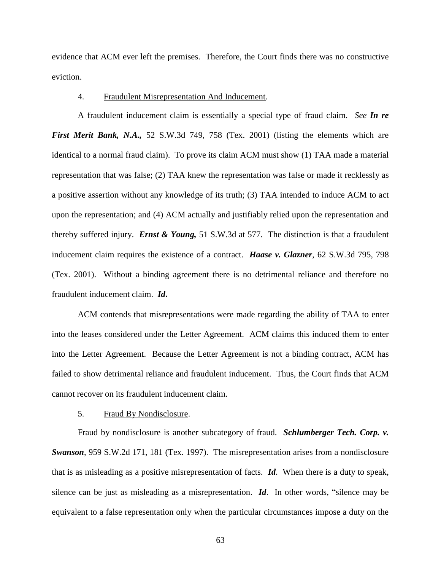evidence that ACM ever left the premises. Therefore, the Court finds there was no constructive eviction.

# 4. Fraudulent Misrepresentation And Inducement.

A fraudulent inducement claim is essentially a special type of fraud claim. *See In re First Merit Bank, N.A.,* 52 S.W.3d 749, 758 (Tex. 2001) (listing the elements which are identical to a normal fraud claim). To prove its claim ACM must show (1) TAA made a material representation that was false; (2) TAA knew the representation was false or made it recklessly as a positive assertion without any knowledge of its truth; (3) TAA intended to induce ACM to act upon the representation; and (4) ACM actually and justifiably relied upon the representation and thereby suffered injury. *Ernst & Young,* 51 S.W.3d at 577. The distinction is that a fraudulent inducement claim requires the existence of a contract. *Haase v. Glazner*, 62 S.W.3d 795, 798 (Tex. 2001). Without a binding agreement there is no detrimental reliance and therefore no fraudulent inducement claim. *Id***.**

ACM contends that misrepresentations were made regarding the ability of TAA to enter into the leases considered under the Letter Agreement. ACM claims this induced them to enter into the Letter Agreement. Because the Letter Agreement is not a binding contract, ACM has failed to show detrimental reliance and fraudulent inducement. Thus, the Court finds that ACM cannot recover on its fraudulent inducement claim.

## 5. Fraud By Nondisclosure.

Fraud by nondisclosure is another subcategory of fraud. *Schlumberger Tech. Corp. v. Swanson*, 959 S.W.2d 171, 181 (Tex. 1997). The misrepresentation arises from a nondisclosure that is as misleading as a positive misrepresentation of facts. *Id*. When there is a duty to speak, silence can be just as misleading as a misrepresentation.  $Id$ . In other words, "silence may be equivalent to a false representation only when the particular circumstances impose a duty on the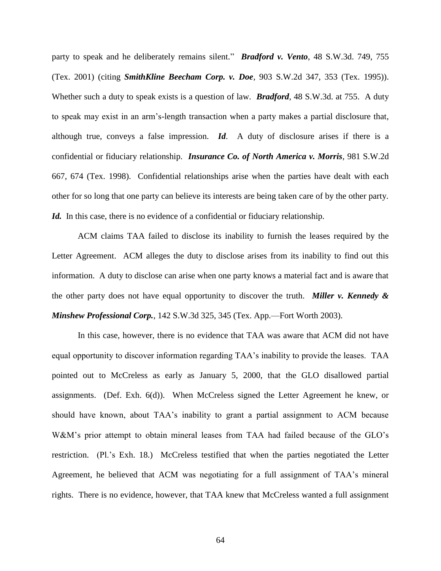party to speak and he deliberately remains silent." *Bradford v. Vento*, 48 S.W.3d. 749, 755 (Tex. 2001) (citing *SmithKline Beecham Corp. v. Doe,* 903 S.W.2d 347, 353 (Tex. 1995)). Whether such a duty to speak exists is a question of law. *Bradford*, 48 S.W.3d. at 755. A duty to speak may exist in an arm's-length transaction when a party makes a partial disclosure that, although true, conveys a false impression. *Id*. A duty of disclosure arises if there is a confidential or fiduciary relationship. *Insurance Co. of North America v. Morris*, 981 S.W.2d 667, 674 (Tex. 1998). Confidential relationships arise when the parties have dealt with each other for so long that one party can believe its interests are being taken care of by the other party. *Id.* In this case, there is no evidence of a confidential or fiduciary relationship.

ACM claims TAA failed to disclose its inability to furnish the leases required by the Letter Agreement. ACM alleges the duty to disclose arises from its inability to find out this information. A duty to disclose can arise when one party knows a material fact and is aware that the other party does not have equal opportunity to discover the truth. *Miller v. Kennedy & Minshew Professional Corp.*, 142 S.W.3d 325, 345 (Tex. App.—Fort Worth 2003).

In this case, however, there is no evidence that TAA was aware that ACM did not have equal opportunity to discover information regarding TAA's inability to provide the leases. TAA pointed out to McCreless as early as January 5, 2000, that the GLO disallowed partial assignments. (Def. Exh. 6(d)). When McCreless signed the Letter Agreement he knew, or should have known, about TAA's inability to grant a partial assignment to ACM because W&M's prior attempt to obtain mineral leases from TAA had failed because of the GLO's restriction. (Pl.'s Exh. 18.) McCreless testified that when the parties negotiated the Letter Agreement, he believed that ACM was negotiating for a full assignment of TAA's mineral rights. There is no evidence, however, that TAA knew that McCreless wanted a full assignment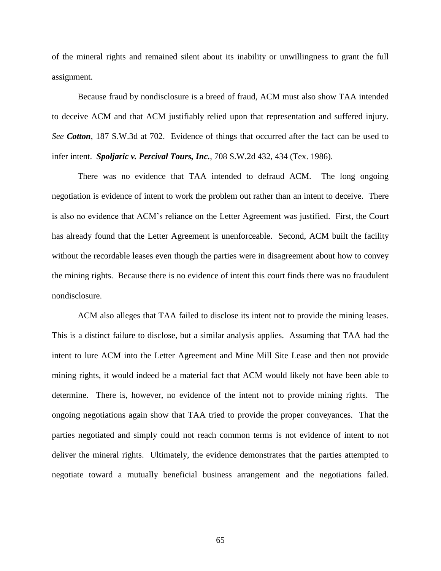of the mineral rights and remained silent about its inability or unwillingness to grant the full assignment.

Because fraud by nondisclosure is a breed of fraud, ACM must also show TAA intended to deceive ACM and that ACM justifiably relied upon that representation and suffered injury. *See Cotton*, 187 S.W.3d at 702. Evidence of things that occurred after the fact can be used to infer intent. *Spoljaric v. Percival Tours, Inc.*, 708 S.W.2d 432, 434 (Tex. 1986).

There was no evidence that TAA intended to defraud ACM. The long ongoing negotiation is evidence of intent to work the problem out rather than an intent to deceive. There is also no evidence that ACM's reliance on the Letter Agreement was justified. First, the Court has already found that the Letter Agreement is unenforceable. Second, ACM built the facility without the recordable leases even though the parties were in disagreement about how to convey the mining rights. Because there is no evidence of intent this court finds there was no fraudulent nondisclosure.

ACM also alleges that TAA failed to disclose its intent not to provide the mining leases. This is a distinct failure to disclose, but a similar analysis applies. Assuming that TAA had the intent to lure ACM into the Letter Agreement and Mine Mill Site Lease and then not provide mining rights, it would indeed be a material fact that ACM would likely not have been able to determine. There is, however, no evidence of the intent not to provide mining rights. The ongoing negotiations again show that TAA tried to provide the proper conveyances. That the parties negotiated and simply could not reach common terms is not evidence of intent to not deliver the mineral rights. Ultimately, the evidence demonstrates that the parties attempted to negotiate toward a mutually beneficial business arrangement and the negotiations failed.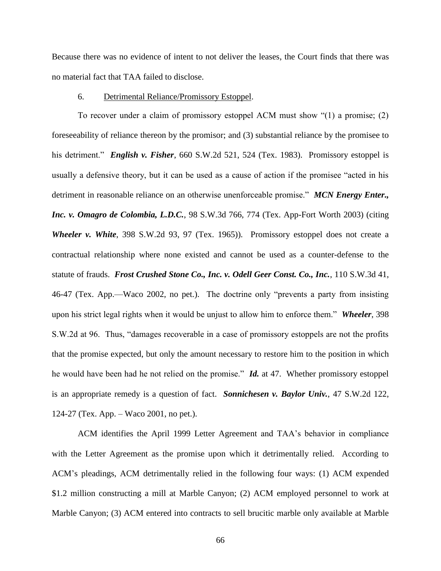Because there was no evidence of intent to not deliver the leases, the Court finds that there was no material fact that TAA failed to disclose.

## 6. Detrimental Reliance/Promissory Estoppel.

To recover under a claim of promissory estoppel ACM must show  $\degree(1)$  a promise; (2) foreseeability of reliance thereon by the promisor; and (3) substantial reliance by the promisee to his detriment." *English v. Fisher*, 660 S.W.2d 521, 524 (Tex. 1983). Promissory estoppel is usually a defensive theory, but it can be used as a cause of action if the promisee "acted in his detriment in reasonable reliance on an otherwise unenforceable promise." *MCN Energy Enter.*, *Inc. v. Omagro de Colombia, L.D.C.*, 98 S.W.3d 766, 774 (Tex. App-Fort Worth 2003) (citing *Wheeler v. White*, 398 S.W.2d 93, 97 (Tex. 1965)). Promissory estoppel does not create a contractual relationship where none existed and cannot be used as a counter-defense to the statute of frauds. *Frost Crushed Stone Co., Inc. v. Odell Geer Const. Co., Inc.*, 110 S.W.3d 41, 46-47 (Tex. App.—Waco 2002, no pet.). The doctrine only "prevents a party from insisting upon his strict legal rights when it would be unjust to allow him to enforce them." **Wheeler**, 398 S.W.2d at 96. Thus, "damages recoverable in a case of promissory estoppels are not the profits that the promise expected, but only the amount necessary to restore him to the position in which he would have been had he not relied on the promise." *Id.* at 47. Whether promissory estoppel is an appropriate remedy is a question of fact. *Sonnichesen v. Baylor Univ.*, 47 S.W.2d 122, 124-27 (Tex. App. – Waco 2001, no pet.).

ACM identifies the April 1999 Letter Agreement and TAA's behavior in compliance with the Letter Agreement as the promise upon which it detrimentally relied. According to ACM's pleadings, ACM detrimentally relied in the following four ways: (1) ACM expended \$1.2 million constructing a mill at Marble Canyon; (2) ACM employed personnel to work at Marble Canyon; (3) ACM entered into contracts to sell brucitic marble only available at Marble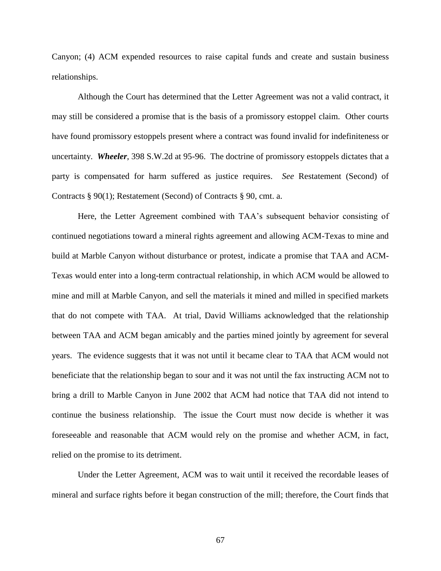Canyon; (4) ACM expended resources to raise capital funds and create and sustain business relationships.

Although the Court has determined that the Letter Agreement was not a valid contract, it may still be considered a promise that is the basis of a promissory estoppel claim. Other courts have found promissory estoppels present where a contract was found invalid for indefiniteness or uncertainty. *Wheeler*, 398 S.W.2d at 95-96. The doctrine of promissory estoppels dictates that a party is compensated for harm suffered as justice requires. *See* Restatement (Second) of Contracts § 90(1); Restatement (Second) of Contracts § 90, cmt. a.

Here, the Letter Agreement combined with TAA's subsequent behavior consisting of continued negotiations toward a mineral rights agreement and allowing ACM-Texas to mine and build at Marble Canyon without disturbance or protest, indicate a promise that TAA and ACM-Texas would enter into a long-term contractual relationship, in which ACM would be allowed to mine and mill at Marble Canyon, and sell the materials it mined and milled in specified markets that do not compete with TAA. At trial, David Williams acknowledged that the relationship between TAA and ACM began amicably and the parties mined jointly by agreement for several years. The evidence suggests that it was not until it became clear to TAA that ACM would not beneficiate that the relationship began to sour and it was not until the fax instructing ACM not to bring a drill to Marble Canyon in June 2002 that ACM had notice that TAA did not intend to continue the business relationship. The issue the Court must now decide is whether it was foreseeable and reasonable that ACM would rely on the promise and whether ACM, in fact, relied on the promise to its detriment.

Under the Letter Agreement, ACM was to wait until it received the recordable leases of mineral and surface rights before it began construction of the mill; therefore, the Court finds that

67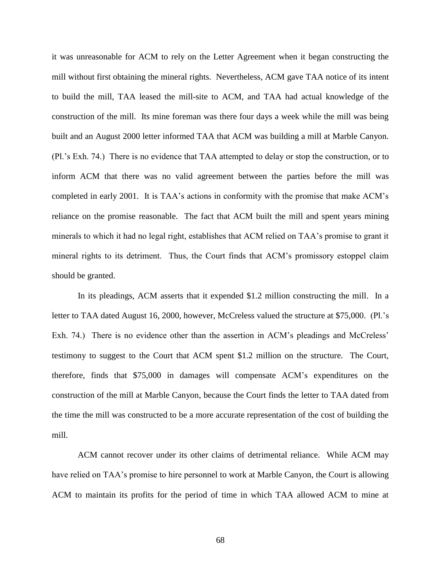it was unreasonable for ACM to rely on the Letter Agreement when it began constructing the mill without first obtaining the mineral rights. Nevertheless, ACM gave TAA notice of its intent to build the mill, TAA leased the mill-site to ACM, and TAA had actual knowledge of the construction of the mill. Its mine foreman was there four days a week while the mill was being built and an August 2000 letter informed TAA that ACM was building a mill at Marble Canyon. (Pl.'s Exh. 74.) There is no evidence that TAA attempted to delay or stop the construction, or to inform ACM that there was no valid agreement between the parties before the mill was completed in early 2001. It is TAA's actions in conformity with the promise that make ACM's reliance on the promise reasonable. The fact that ACM built the mill and spent years mining minerals to which it had no legal right, establishes that ACM relied on TAA's promise to grant it mineral rights to its detriment. Thus, the Court finds that ACM's promissory estoppel claim should be granted.

In its pleadings, ACM asserts that it expended \$1.2 million constructing the mill. In a letter to TAA dated August 16, 2000, however, McCreless valued the structure at \$75,000. (Pl.'s Exh. 74.) There is no evidence other than the assertion in ACM's pleadings and McCreless' testimony to suggest to the Court that ACM spent \$1.2 million on the structure. The Court, therefore, finds that \$75,000 in damages will compensate ACM's expenditures on the construction of the mill at Marble Canyon, because the Court finds the letter to TAA dated from the time the mill was constructed to be a more accurate representation of the cost of building the mill.

ACM cannot recover under its other claims of detrimental reliance. While ACM may have relied on TAA's promise to hire personnel to work at Marble Canyon, the Court is allowing ACM to maintain its profits for the period of time in which TAA allowed ACM to mine at

68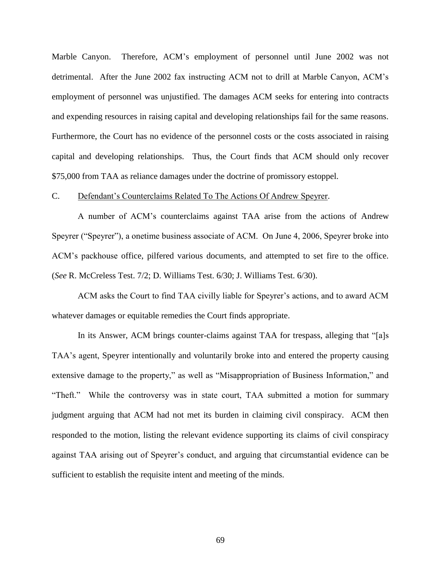Marble Canyon. Therefore, ACM's employment of personnel until June 2002 was not detrimental. After the June 2002 fax instructing ACM not to drill at Marble Canyon, ACM's employment of personnel was unjustified. The damages ACM seeks for entering into contracts and expending resources in raising capital and developing relationships fail for the same reasons. Furthermore, the Court has no evidence of the personnel costs or the costs associated in raising capital and developing relationships. Thus, the Court finds that ACM should only recover \$75,000 from TAA as reliance damages under the doctrine of promissory estoppel.

# C. Defendant's Counterclaims Related To The Actions Of Andrew Speyrer.

A number of ACM's counterclaims against TAA arise from the actions of Andrew Speyrer ("Speyrer"), a onetime business associate of ACM. On June 4, 2006, Speyrer broke into ACM's packhouse office, pilfered various documents, and attempted to set fire to the office. (*See* R. McCreless Test. 7/2; D. Williams Test. 6/30; J. Williams Test. 6/30).

ACM asks the Court to find TAA civilly liable for Speyrer's actions, and to award ACM whatever damages or equitable remedies the Court finds appropriate.

In its Answer, ACM brings counter-claims against TAA for trespass, alleging that "[a]s TAA's agent, Speyrer intentionally and voluntarily broke into and entered the property causing extensive damage to the property," as well as "Misappropriation of Business Information," and "Theft." While the controversy was in state court, TAA submitted a motion for summary judgment arguing that ACM had not met its burden in claiming civil conspiracy. ACM then responded to the motion, listing the relevant evidence supporting its claims of civil conspiracy against TAA arising out of Speyrer's conduct, and arguing that circumstantial evidence can be sufficient to establish the requisite intent and meeting of the minds.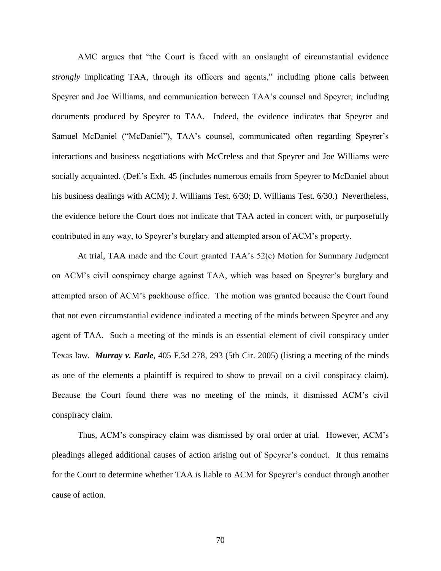AMC argues that "the Court is faced with an onslaught of circumstantial evidence *strongly* implicating TAA, through its officers and agents," including phone calls between Speyrer and Joe Williams, and communication between TAA's counsel and Speyrer, including documents produced by Speyrer to TAA. Indeed, the evidence indicates that Speyrer and Samuel McDaniel ("McDaniel"), TAA's counsel, communicated often regarding Speyrer's interactions and business negotiations with McCreless and that Speyrer and Joe Williams were socially acquainted. (Def.'s Exh. 45 (includes numerous emails from Speyrer to McDaniel about his business dealings with ACM); J. Williams Test. 6/30; D. Williams Test. 6/30.) Nevertheless, the evidence before the Court does not indicate that TAA acted in concert with, or purposefully contributed in any way, to Speyrer's burglary and attempted arson of ACM's property.

At trial, TAA made and the Court granted TAA's 52(c) Motion for Summary Judgment on ACM's civil conspiracy charge against TAA, which was based on Speyrer's burglary and attempted arson of ACM's packhouse office. The motion was granted because the Court found that not even circumstantial evidence indicated a meeting of the minds between Speyrer and any agent of TAA. Such a meeting of the minds is an essential element of civil conspiracy under Texas law. *Murray v. Earle*, 405 F.3d 278, 293 (5th Cir. 2005) (listing a meeting of the minds as one of the elements a plaintiff is required to show to prevail on a civil conspiracy claim). Because the Court found there was no meeting of the minds, it dismissed ACM's civil conspiracy claim.

Thus, ACM's conspiracy claim was dismissed by oral order at trial. However, ACM's pleadings alleged additional causes of action arising out of Speyrer's conduct. It thus remains for the Court to determine whether TAA is liable to ACM for Speyrer's conduct through another cause of action.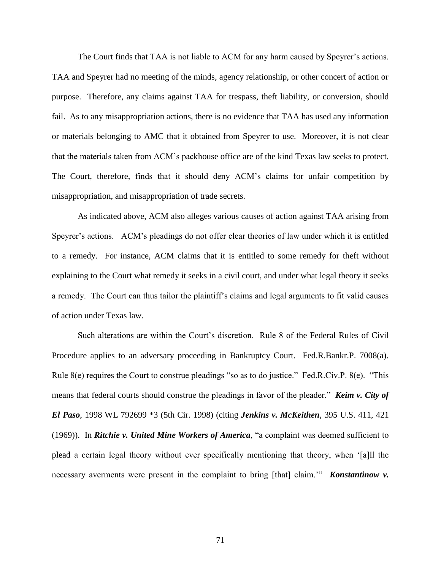The Court finds that TAA is not liable to ACM for any harm caused by Speyrer's actions. TAA and Speyrer had no meeting of the minds, agency relationship, or other concert of action or purpose. Therefore, any claims against TAA for trespass, theft liability, or conversion, should fail. As to any misappropriation actions, there is no evidence that TAA has used any information or materials belonging to AMC that it obtained from Speyrer to use. Moreover, it is not clear that the materials taken from ACM's packhouse office are of the kind Texas law seeks to protect. The Court, therefore, finds that it should deny ACM's claims for unfair competition by misappropriation, and misappropriation of trade secrets.

As indicated above, ACM also alleges various causes of action against TAA arising from Speyrer's actions. ACM's pleadings do not offer clear theories of law under which it is entitled to a remedy. For instance, ACM claims that it is entitled to some remedy for theft without explaining to the Court what remedy it seeks in a civil court, and under what legal theory it seeks a remedy. The Court can thus tailor the plaintiff's claims and legal arguments to fit valid causes of action under Texas law.

Such alterations are within the Court's discretion. Rule 8 of the Federal Rules of Civil Procedure applies to an adversary proceeding in Bankruptcy Court. Fed.R.Bankr.P. 7008(a). Rule  $8(e)$  requires the Court to construe pleadings "so as to do justice." Fed.R.Civ.P.  $8(e)$ . "This means that federal courts should construe the pleadings in favor of the pleader." *Keim v. City of El Paso*, 1998 WL 792699 \*3 (5th Cir. 1998) (citing *Jenkins v. McKeithen*, 395 U.S. 411, 421 (1969)). In *Ritchie v. United Mine Workers of America*, "a complaint was deemed sufficient to plead a certain legal theory without ever specifically mentioning that theory, when '[a]ll the necessary averments were present in the complaint to bring [that] claim." **Konstantinow v.**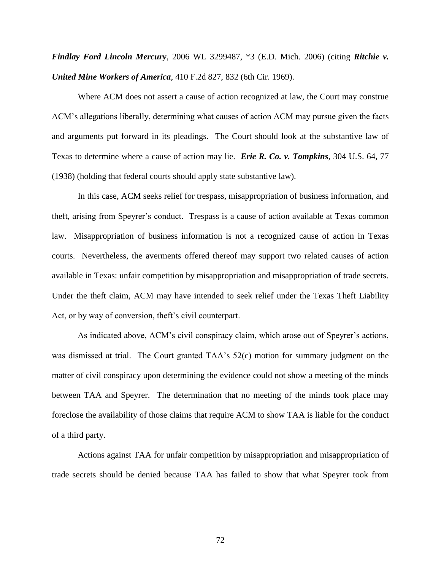*Findlay Ford Lincoln Mercury*, 2006 WL 3299487, \*3 (E.D. Mich. 2006) (citing *Ritchie v. United Mine Workers of America*, 410 F.2d 827, 832 (6th Cir. 1969).

Where ACM does not assert a cause of action recognized at law, the Court may construe ACM's allegations liberally, determining what causes of action ACM may pursue given the facts and arguments put forward in its pleadings. The Court should look at the substantive law of Texas to determine where a cause of action may lie. *Erie R. Co. v. Tompkins*, 304 U.S. 64, 77 (1938) (holding that federal courts should apply state substantive law).

In this case, ACM seeks relief for trespass, misappropriation of business information, and theft, arising from Speyrer's conduct. Trespass is a cause of action available at Texas common law. Misappropriation of business information is not a recognized cause of action in Texas courts. Nevertheless, the averments offered thereof may support two related causes of action available in Texas: unfair competition by misappropriation and misappropriation of trade secrets. Under the theft claim, ACM may have intended to seek relief under the Texas Theft Liability Act, or by way of conversion, theft's civil counterpart.

As indicated above, ACM's civil conspiracy claim, which arose out of Speyrer's actions, was dismissed at trial. The Court granted TAA's 52(c) motion for summary judgment on the matter of civil conspiracy upon determining the evidence could not show a meeting of the minds between TAA and Speyrer. The determination that no meeting of the minds took place may foreclose the availability of those claims that require ACM to show TAA is liable for the conduct of a third party.

Actions against TAA for unfair competition by misappropriation and misappropriation of trade secrets should be denied because TAA has failed to show that what Speyrer took from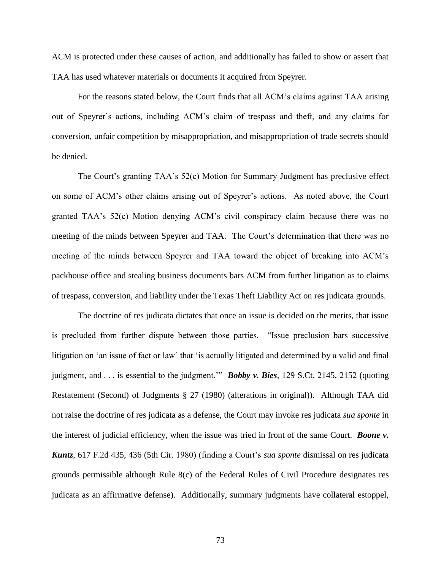ACM is protected under these causes of action, and additionally has failed to show or assert that TAA has used whatever materials or documents it acquired from Speyrer.

For the reasons stated below, the Court finds that all ACM's claims against TAA arising out of Speyrer's actions, including ACM's claim of trespass and theft, and any claims for conversion, unfair competition by misappropriation, and misappropriation of trade secrets should be denied.

The Court's granting TAA's 52(c) Motion for Summary Judgment has preclusive effect on some of ACM's other claims arising out of Speyrer's actions. As noted above, the Court granted TAA's 52(c) Motion denying ACM's civil conspiracy claim because there was no meeting of the minds between Speyrer and TAA. The Court's determination that there was no meeting of the minds between Speyrer and TAA toward the object of breaking into ACM's packhouse office and stealing business documents bars ACM from further litigation as to claims of trespass, conversion, and liability under the Texas Theft Liability Act on res judicata grounds.

The doctrine of res judicata dictates that once an issue is decided on the merits, that issue is precluded from further dispute between those parties. "Issue preclusion bars successive litigation on 'an issue of fact or law' that 'is actually litigated and determined by a valid and final judgment, and . . . is essential to the judgment." **Bobby v. Bies**, 129 S.Ct. 2145, 2152 (quoting Restatement (Second) of Judgments § 27 (1980) (alterations in original)). Although TAA did not raise the doctrine of res judicata as a defense, the Court may invoke res judicata *sua sponte* in the interest of judicial efficiency, when the issue was tried in front of the same Court. *Boone v. Kuntz*, 617 F.2d 435, 436 (5th Cir. 1980) (finding a Court's *sua sponte* dismissal on res judicata grounds permissible although Rule 8(c) of the Federal Rules of Civil Procedure designates res judicata as an affirmative defense). Additionally, summary judgments have collateral estoppel,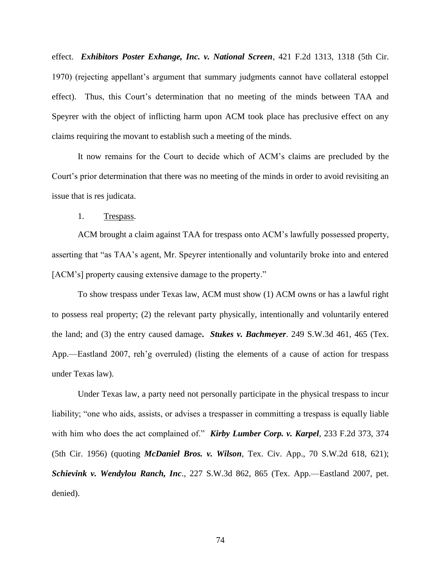effect. *Exhibitors Poster Exhange, Inc. v. National Screen*, 421 F.2d 1313, 1318 (5th Cir. 1970) (rejecting appellant's argument that summary judgments cannot have collateral estoppel effect). Thus, this Court's determination that no meeting of the minds between TAA and Speyrer with the object of inflicting harm upon ACM took place has preclusive effect on any claims requiring the movant to establish such a meeting of the minds.

It now remains for the Court to decide which of ACM's claims are precluded by the Court's prior determination that there was no meeting of the minds in order to avoid revisiting an issue that is res judicata.

1. Trespass.

ACM brought a claim against TAA for trespass onto ACM's lawfully possessed property, asserting that "as TAA's agent, Mr. Speyrer intentionally and voluntarily broke into and entered [ACM's] property causing extensive damage to the property."

To show trespass under Texas law, ACM must show (1) ACM owns or has a lawful right to possess real property; (2) the relevant party physically, intentionally and voluntarily entered the land; and (3) the entry caused damage**.** *Stukes v. Bachmeyer*. 249 S.W.3d 461, 465 (Tex. App.—Eastland 2007, reh'g overruled) (listing the elements of a cause of action for trespass under Texas law).

Under Texas law, a party need not personally participate in the physical trespass to incur liability; "one who aids, assists, or advises a trespasser in committing a trespass is equally liable with him who does the act complained of." **Kirby Lumber Corp. v. Karpel**, 233 F.2d 373, 374 (5th Cir. 1956) (quoting *McDaniel Bros. v. Wilson*, Tex. Civ. App., 70 S.W.2d 618, 621); *Schievink v. Wendylou Ranch, Inc*., 227 S.W.3d 862, 865 (Tex. App.—Eastland 2007, pet. denied).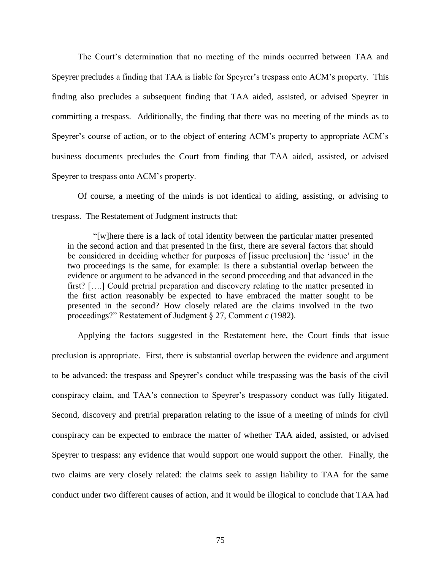The Court's determination that no meeting of the minds occurred between TAA and Speyrer precludes a finding that TAA is liable for Speyrer's trespass onto ACM's property. This finding also precludes a subsequent finding that TAA aided, assisted, or advised Speyrer in committing a trespass. Additionally, the finding that there was no meeting of the minds as to Speyrer's course of action, or to the object of entering ACM's property to appropriate ACM's business documents precludes the Court from finding that TAA aided, assisted, or advised Speyrer to trespass onto ACM's property.

Of course, a meeting of the minds is not identical to aiding, assisting, or advising to trespass. The Restatement of Judgment instructs that:

―[w]here there is a lack of total identity between the particular matter presented in the second action and that presented in the first, there are several factors that should be considered in deciding whether for purposes of [issue preclusion] the 'issue' in the two proceedings is the same, for example: Is there a substantial overlap between the evidence or argument to be advanced in the second proceeding and that advanced in the first? [….] Could pretrial preparation and discovery relating to the matter presented in the first action reasonably be expected to have embraced the matter sought to be presented in the second? How closely related are the claims involved in the two proceedings?‖ Restatement of Judgment § 27, Comment *c* (1982).

Applying the factors suggested in the Restatement here, the Court finds that issue preclusion is appropriate. First, there is substantial overlap between the evidence and argument to be advanced: the trespass and Speyrer's conduct while trespassing was the basis of the civil conspiracy claim, and TAA's connection to Speyrer's trespassory conduct was fully litigated. Second, discovery and pretrial preparation relating to the issue of a meeting of minds for civil conspiracy can be expected to embrace the matter of whether TAA aided, assisted, or advised Speyrer to trespass: any evidence that would support one would support the other. Finally, the two claims are very closely related: the claims seek to assign liability to TAA for the same conduct under two different causes of action, and it would be illogical to conclude that TAA had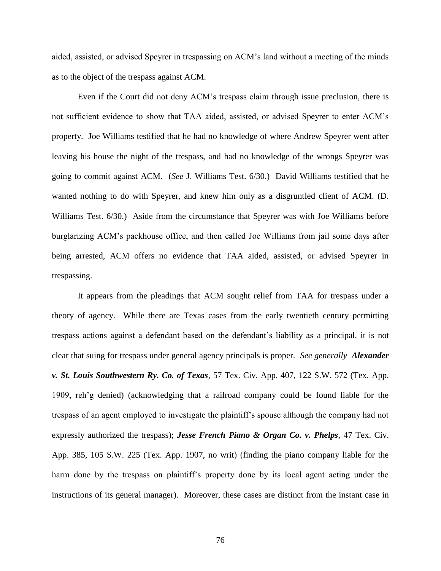aided, assisted, or advised Speyrer in trespassing on ACM's land without a meeting of the minds as to the object of the trespass against ACM.

Even if the Court did not deny ACM's trespass claim through issue preclusion, there is not sufficient evidence to show that TAA aided, assisted, or advised Speyrer to enter ACM's property. Joe Williams testified that he had no knowledge of where Andrew Speyrer went after leaving his house the night of the trespass, and had no knowledge of the wrongs Speyrer was going to commit against ACM. (*See* J. Williams Test. 6/30.) David Williams testified that he wanted nothing to do with Speyrer, and knew him only as a disgruntled client of ACM. (D. Williams Test. 6/30.) Aside from the circumstance that Speyrer was with Joe Williams before burglarizing ACM's packhouse office, and then called Joe Williams from jail some days after being arrested, ACM offers no evidence that TAA aided, assisted, or advised Speyrer in trespassing.

It appears from the pleadings that ACM sought relief from TAA for trespass under a theory of agency. While there are Texas cases from the early twentieth century permitting trespass actions against a defendant based on the defendant's liability as a principal, it is not clear that suing for trespass under general agency principals is proper. *See generally Alexander v. St. Louis Southwestern Ry. Co. of Texas,* 57 Tex. Civ. App. 407, 122 S.W. 572 (Tex. App. 1909, reh'g denied) (acknowledging that a railroad company could be found liable for the trespass of an agent employed to investigate the plaintiff's spouse although the company had not expressly authorized the trespass); *Jesse French Piano & Organ Co. v. Phelps*, 47 Tex. Civ. App. 385, 105 S.W. 225 (Tex. App. 1907, no writ) (finding the piano company liable for the harm done by the trespass on plaintiff's property done by its local agent acting under the instructions of its general manager).Moreover, these cases are distinct from the instant case in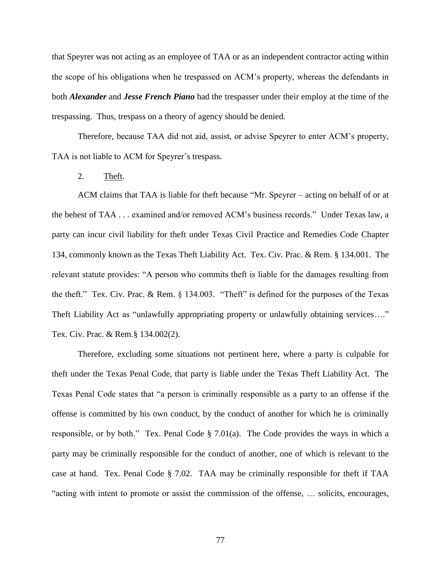that Speyrer was not acting as an employee of TAA or as an independent contractor acting within the scope of his obligations when he trespassed on ACM's property, whereas the defendants in both *Alexander* and *Jesse French Piano* had the trespasser under their employ at the time of the trespassing. Thus, trespass on a theory of agency should be denied.

Therefore, because TAA did not aid, assist, or advise Speyrer to enter ACM's property, TAA is not liable to ACM for Speyrer's trespass.

2. Theft.

ACM claims that TAA is liable for theft because "Mr. Speyrer – acting on behalf of or at the behest of TAA . . . examined and/or removed ACM's business records." Under Texas law, a party can incur civil liability for theft under Texas Civil Practice and Remedies Code Chapter 134, commonly known as the Texas Theft Liability Act. Tex. Civ. Prac. & Rem. § 134.001. The relevant statute provides: "A person who commits theft is liable for the damages resulting from the theft." Tex. Civ. Prac. & Rem.  $\S$  134.003. "Theft" is defined for the purposes of the Texas Theft Liability Act as "unlawfully appropriating property or unlawfully obtaining services...." Tex. Civ. Prac. & Rem.§ 134.002(2).

Therefore, excluding some situations not pertinent here, where a party is culpable for theft under the Texas Penal Code, that party is liable under the Texas Theft Liability Act. The Texas Penal Code states that "a person is criminally responsible as a party to an offense if the offense is committed by his own conduct, by the conduct of another for which he is criminally responsible, or by both." Tex. Penal Code  $\S$  7.01(a). The Code provides the ways in which a party may be criminally responsible for the conduct of another, one of which is relevant to the case at hand. Tex. Penal Code § 7.02. TAA may be criminally responsible for theft if TAA "acting with intent to promote or assist the commission of the offense, ... solicits, encourages,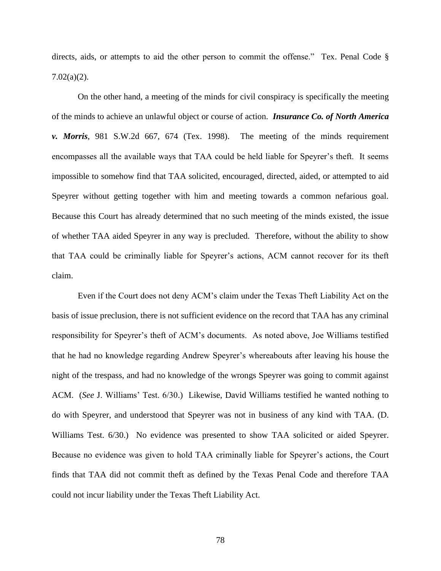directs, aids, or attempts to aid the other person to commit the offense." Tex. Penal Code  $\S$ 7.02(a)(2).

On the other hand, a meeting of the minds for civil conspiracy is specifically the meeting of the minds to achieve an unlawful object or course of action. *Insurance Co. of North America v. Morris*, 981 S.W.2d 667, 674 (Tex. 1998). The meeting of the minds requirement encompasses all the available ways that TAA could be held liable for Speyrer's theft. It seems impossible to somehow find that TAA solicited, encouraged, directed, aided, or attempted to aid Speyrer without getting together with him and meeting towards a common nefarious goal. Because this Court has already determined that no such meeting of the minds existed, the issue of whether TAA aided Speyrer in any way is precluded. Therefore, without the ability to show that TAA could be criminally liable for Speyrer's actions, ACM cannot recover for its theft claim.

Even if the Court does not deny ACM's claim under the Texas Theft Liability Act on the basis of issue preclusion, there is not sufficient evidence on the record that TAA has any criminal responsibility for Speyrer's theft of ACM's documents. As noted above, Joe Williams testified that he had no knowledge regarding Andrew Speyrer's whereabouts after leaving his house the night of the trespass, and had no knowledge of the wrongs Speyrer was going to commit against ACM. (*See* J. Williams' Test. 6/30.) Likewise, David Williams testified he wanted nothing to do with Speyrer, and understood that Speyrer was not in business of any kind with TAA. (D. Williams Test. 6/30.) No evidence was presented to show TAA solicited or aided Speyrer. Because no evidence was given to hold TAA criminally liable for Speyrer's actions, the Court finds that TAA did not commit theft as defined by the Texas Penal Code and therefore TAA could not incur liability under the Texas Theft Liability Act.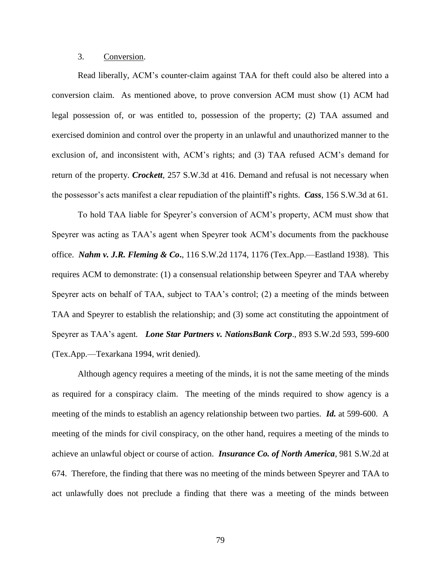# 3. Conversion.

Read liberally, ACM's counter-claim against TAA for theft could also be altered into a conversion claim. As mentioned above, to prove conversion ACM must show (1) ACM had legal possession of, or was entitled to, possession of the property; (2) TAA assumed and exercised dominion and control over the property in an unlawful and unauthorized manner to the exclusion of, and inconsistent with, ACM's rights; and (3) TAA refused ACM's demand for return of the property. *Crockett*, 257 S.W.3d at 416. Demand and refusal is not necessary when the possessor's acts manifest a clear repudiation of the plaintiff's rights. *Cass*, 156 S.W.3d at 61.

To hold TAA liable for Speyrer's conversion of ACM's property, ACM must show that Speyrer was acting as TAA's agent when Speyrer took ACM's documents from the packhouse office. *Nahm v. J.R. Fleming & Co***.**, 116 S.W.2d 1174, 1176 (Tex.App.—Eastland 1938). This requires ACM to demonstrate: (1) a consensual relationship between Speyrer and TAA whereby Speyrer acts on behalf of TAA, subject to TAA's control; (2) a meeting of the minds between TAA and Speyrer to establish the relationship; and (3) some act constituting the appointment of Speyrer as TAA's agent*. Lone Star Partners v. NationsBank Corp*., 893 S.W.2d 593, 599-600 (Tex.App.—Texarkana 1994, writ denied).

Although agency requires a meeting of the minds, it is not the same meeting of the minds as required for a conspiracy claim. The meeting of the minds required to show agency is a meeting of the minds to establish an agency relationship between two parties. *Id.* at 599-600. A meeting of the minds for civil conspiracy, on the other hand, requires a meeting of the minds to achieve an unlawful object or course of action. *Insurance Co. of North America,* 981 S.W.2d at 674. Therefore, the finding that there was no meeting of the minds between Speyrer and TAA to act unlawfully does not preclude a finding that there was a meeting of the minds between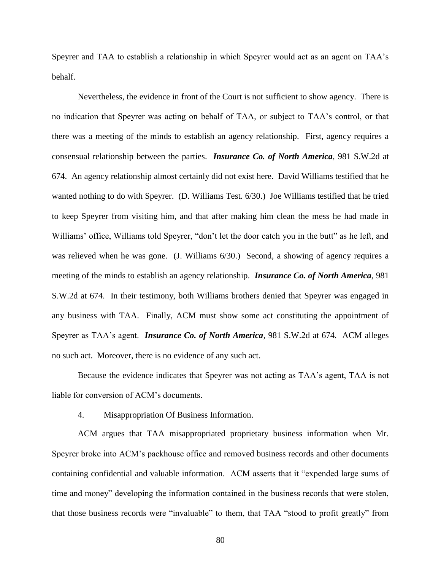Speyrer and TAA to establish a relationship in which Speyrer would act as an agent on TAA's behalf.

Nevertheless, the evidence in front of the Court is not sufficient to show agency. There is no indication that Speyrer was acting on behalf of TAA, or subject to TAA's control, or that there was a meeting of the minds to establish an agency relationship. First, agency requires a consensual relationship between the parties. *Insurance Co. of North America,* 981 S.W.2d at 674. An agency relationship almost certainly did not exist here. David Williams testified that he wanted nothing to do with Speyrer. (D. Williams Test. 6/30.) Joe Williams testified that he tried to keep Speyrer from visiting him, and that after making him clean the mess he had made in Williams' office, Williams told Speyrer, "don't let the door catch you in the butt" as he left, and was relieved when he was gone. (J. Williams 6/30.) Second, a showing of agency requires a meeting of the minds to establish an agency relationship. *Insurance Co. of North America,* 981 S.W.2d at 674. In their testimony, both Williams brothers denied that Speyrer was engaged in any business with TAA. Finally, ACM must show some act constituting the appointment of Speyrer as TAA's agent. *Insurance Co. of North America,* 981 S.W.2d at 674. ACM alleges no such act. Moreover, there is no evidence of any such act.

Because the evidence indicates that Speyrer was not acting as TAA's agent, TAA is not liable for conversion of ACM's documents.

## 4. Misappropriation Of Business Information.

ACM argues that TAA misappropriated proprietary business information when Mr. Speyrer broke into ACM's packhouse office and removed business records and other documents containing confidential and valuable information. ACM asserts that it "expended large sums of time and money" developing the information contained in the business records that were stolen, that those business records were "invaluable" to them, that TAA "stood to profit greatly" from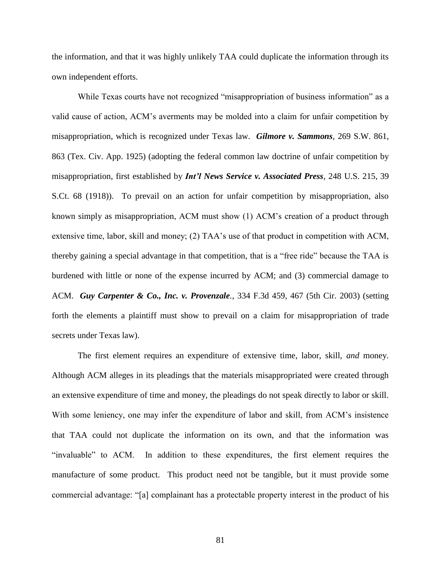the information, and that it was highly unlikely TAA could duplicate the information through its own independent efforts.

While Texas courts have not recognized "misappropriation of business information" as a valid cause of action, ACM's averments may be molded into a claim for unfair competition by misappropriation, which is recognized under Texas law. *Gilmore v. Sammons*, 269 S.W. 861, 863 (Tex. Civ. App. 1925) (adopting the federal common law doctrine of unfair competition by misappropriation, first established by *Int'l News Service v. Associated Press*, 248 U.S. 215, 39 S.Ct. 68 (1918)). To prevail on an action for unfair competition by misappropriation, also known simply as misappropriation, ACM must show (1) ACM's creation of a product through extensive time, labor, skill and money; (2) TAA's use of that product in competition with ACM, thereby gaining a special advantage in that competition, that is a "free ride" because the TAA is burdened with little or none of the expense incurred by ACM; and (3) commercial damage to ACM. *Guy Carpenter & Co., Inc. v. Provenzale.*, 334 F.3d 459, 467 (5th Cir. 2003) (setting forth the elements a plaintiff must show to prevail on a claim for misappropriation of trade secrets under Texas law).

The first element requires an expenditure of extensive time, labor, skill, *and* money. Although ACM alleges in its pleadings that the materials misappropriated were created through an extensive expenditure of time and money, the pleadings do not speak directly to labor or skill. With some leniency, one may infer the expenditure of labor and skill, from ACM's insistence that TAA could not duplicate the information on its own, and that the information was "invaluable" to ACM. In addition to these expenditures, the first element requires the manufacture of some product. This product need not be tangible, but it must provide some commercial advantage: "[a] complainant has a protectable property interest in the product of his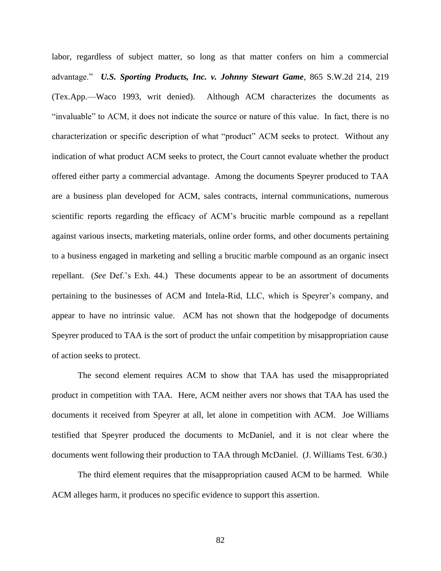labor, regardless of subject matter, so long as that matter confers on him a commercial advantage.‖ *U.S. Sporting Products, Inc. v. Johnny Stewart Game*, 865 S.W.2d 214, 219 (Tex.App.—Waco 1993, writ denied). Although ACM characterizes the documents as ―invaluable‖ to ACM, it does not indicate the source or nature of this value. In fact, there is no characterization or specific description of what "product" ACM seeks to protect. Without any indication of what product ACM seeks to protect, the Court cannot evaluate whether the product offered either party a commercial advantage. Among the documents Speyrer produced to TAA are a business plan developed for ACM, sales contracts, internal communications, numerous scientific reports regarding the efficacy of ACM's brucitic marble compound as a repellant against various insects, marketing materials, online order forms, and other documents pertaining to a business engaged in marketing and selling a brucitic marble compound as an organic insect repellant. (*See* Def.'s Exh. 44.) These documents appear to be an assortment of documents pertaining to the businesses of ACM and Intela-Rid, LLC, which is Speyrer's company, and appear to have no intrinsic value. ACM has not shown that the hodgepodge of documents Speyrer produced to TAA is the sort of product the unfair competition by misappropriation cause of action seeks to protect.

The second element requires ACM to show that TAA has used the misappropriated product in competition with TAA. Here, ACM neither avers nor shows that TAA has used the documents it received from Speyrer at all, let alone in competition with ACM. Joe Williams testified that Speyrer produced the documents to McDaniel, and it is not clear where the documents went following their production to TAA through McDaniel. (J. Williams Test. 6/30.)

The third element requires that the misappropriation caused ACM to be harmed. While ACM alleges harm, it produces no specific evidence to support this assertion.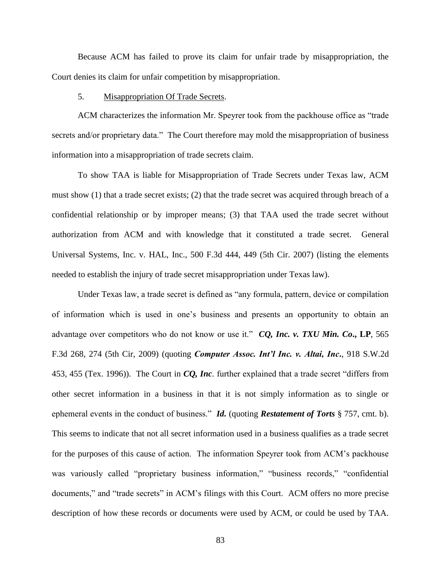Because ACM has failed to prove its claim for unfair trade by misappropriation, the Court denies its claim for unfair competition by misappropriation.

#### 5. Misappropriation Of Trade Secrets.

ACM characterizes the information Mr. Speyrer took from the packhouse office as "trade" secrets and/or proprietary data." The Court therefore may mold the misappropriation of business information into a misappropriation of trade secrets claim.

To show TAA is liable for Misappropriation of Trade Secrets under Texas law, ACM must show (1) that a trade secret exists; (2) that the trade secret was acquired through breach of a confidential relationship or by improper means; (3) that TAA used the trade secret without authorization from ACM and with knowledge that it constituted a trade secret. General Universal Systems, Inc. v. HAL, Inc., 500 F.3d 444, 449 (5th Cir. 2007) (listing the elements needed to establish the injury of trade secret misappropriation under Texas law).

Under Texas law, a trade secret is defined as "any formula, pattern, device or compilation of information which is used in one's business and presents an opportunity to obtain an advantage over competitors who do not know or use it." *CQ*, Inc. v. TXU Min. Co., LP, 565 F.3d 268, 274 (5th Cir, 2009) (quoting *Computer Assoc. Int'l Inc. v. Altai, Inc***.**, 918 S.W.2d 453, 455 (Tex. 1996)). The Court in *CO*, *Inc*. further explained that a trade secret "differs from other secret information in a business in that it is not simply information as to single or ephemeral events in the conduct of business." *Id.* (quoting *Restatement of Torts* § 757, cmt. b). This seems to indicate that not all secret information used in a business qualifies as a trade secret for the purposes of this cause of action. The information Speyrer took from ACM's packhouse was variously called "proprietary business information," "business records," "confidential documents," and "trade secrets" in ACM's filings with this Court. ACM offers no more precise description of how these records or documents were used by ACM, or could be used by TAA.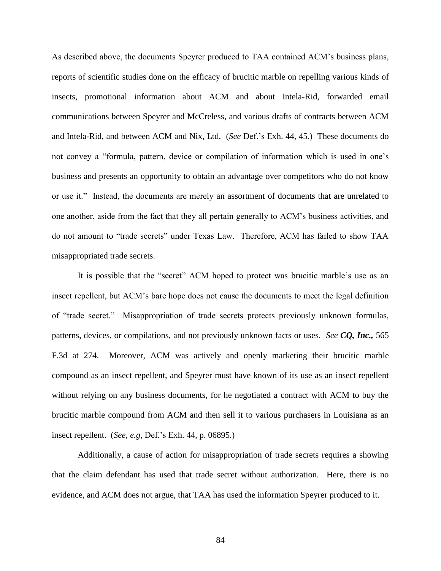As described above, the documents Speyrer produced to TAA contained ACM's business plans, reports of scientific studies done on the efficacy of brucitic marble on repelling various kinds of insects, promotional information about ACM and about Intela-Rid, forwarded email communications between Speyrer and McCreless, and various drafts of contracts between ACM and Intela-Rid, and between ACM and Nix, Ltd. (*See* Def.'s Exh. 44, 45.) These documents do not convey a "formula, pattern, device or compilation of information which is used in one's business and presents an opportunity to obtain an advantage over competitors who do not know or use it." Instead, the documents are merely an assortment of documents that are unrelated to one another, aside from the fact that they all pertain generally to ACM's business activities, and do not amount to "trade secrets" under Texas Law. Therefore, ACM has failed to show TAA misappropriated trade secrets.

It is possible that the "secret" ACM hoped to protect was brucitic marble's use as an insect repellent, but ACM's bare hope does not cause the documents to meet the legal definition of "trade secret." Misappropriation of trade secrets protects previously unknown formulas, patterns, devices, or compilations, and not previously unknown facts or uses. *See CQ, Inc.,* 565 F.3d at 274. Moreover, ACM was actively and openly marketing their brucitic marble compound as an insect repellent, and Speyrer must have known of its use as an insect repellent without relying on any business documents, for he negotiated a contract with ACM to buy the brucitic marble compound from ACM and then sell it to various purchasers in Louisiana as an insect repellent. (*See, e.g,* Def.'s Exh. 44, p. 06895.)

Additionally, a cause of action for misappropriation of trade secrets requires a showing that the claim defendant has used that trade secret without authorization. Here, there is no evidence, and ACM does not argue, that TAA has used the information Speyrer produced to it.